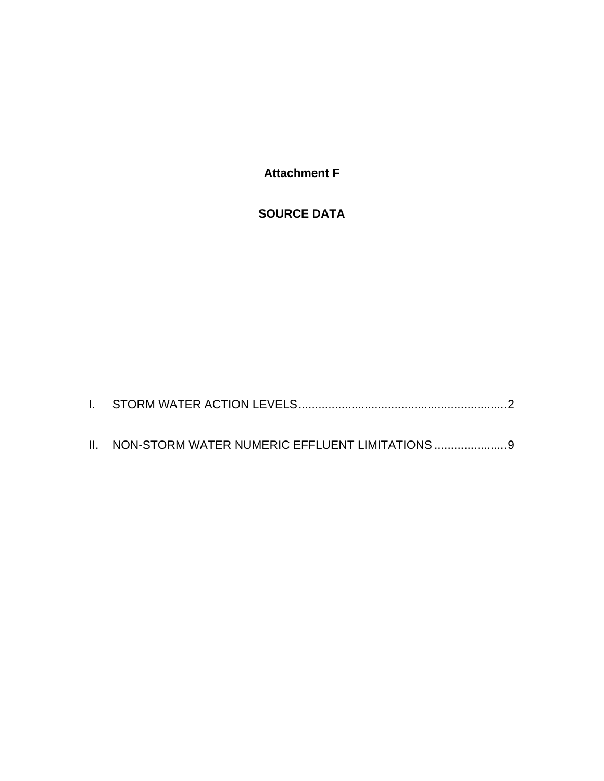**Attachment F** 

### **SOURCE DATA**

| II. NON-STORM WATER NUMERIC EFFLUENT LIMITATIONS  9 |  |
|-----------------------------------------------------|--|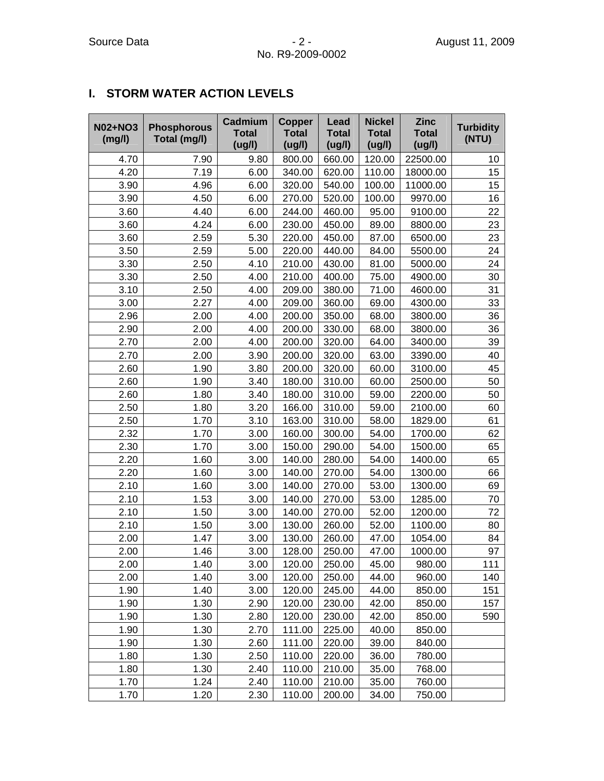### **I. STORM WATER ACTION LEVELS**

| <b>N02+NO3</b><br>(mg/l) | <b>Phosphorous</b><br>Total (mg/l) | Cadmium<br><b>Total</b><br>(ug/l) | <b>Copper</b><br><b>Total</b><br>(ug/l) | Lead<br><b>Total</b><br>(ug/l) | <b>Nickel</b><br><b>Total</b><br>(ug/l) | <b>Zinc</b><br><b>Total</b><br>(ug/l) | <b>Turbidity</b><br>(NTU) |
|--------------------------|------------------------------------|-----------------------------------|-----------------------------------------|--------------------------------|-----------------------------------------|---------------------------------------|---------------------------|
| 4.70                     | 7.90                               | 9.80                              | 800.00                                  | 660.00                         | 120.00                                  | 22500.00                              | 10                        |
| 4.20                     | 7.19                               | 6.00                              | 340.00                                  | 620.00                         | 110.00                                  | 18000.00                              | 15                        |
| 3.90                     | 4.96                               | 6.00                              | 320.00                                  | 540.00                         | 100.00                                  | 11000.00                              | 15                        |
| 3.90                     | 4.50                               | 6.00                              | 270.00                                  | 520.00                         | 100.00                                  | 9970.00                               | 16                        |
| 3.60                     | 4.40                               | 6.00                              | 244.00                                  | 460.00                         | 95.00                                   | 9100.00                               | 22                        |
| 3.60                     | 4.24                               | 6.00                              | 230.00                                  | 450.00                         | 89.00                                   | 8800.00                               | 23                        |
| 3.60                     | 2.59                               | 5.30                              | 220.00                                  | 450.00                         | 87.00                                   | 6500.00                               | 23                        |
| 3.50                     | 2.59                               | 5.00                              | 220.00                                  | 440.00                         | 84.00                                   | 5500.00                               | 24                        |
| 3.30                     | 2.50                               | 4.10                              | 210.00                                  | 430.00                         | 81.00                                   | 5000.00                               | 24                        |
| 3.30                     | 2.50                               | 4.00                              | 210.00                                  | 400.00                         | 75.00                                   | 4900.00                               | 30                        |
| 3.10                     | 2.50                               | 4.00                              | 209.00                                  | 380.00                         | 71.00                                   | 4600.00                               | 31                        |
| 3.00                     | 2.27                               | 4.00                              | 209.00                                  | 360.00                         | 69.00                                   | 4300.00                               | 33                        |
| 2.96                     | 2.00                               | 4.00                              | 200.00                                  | 350.00                         | 68.00                                   | 3800.00                               | 36                        |
| 2.90                     | 2.00                               | 4.00                              | 200.00                                  | 330.00                         | 68.00                                   | 3800.00                               | 36                        |
| 2.70                     | 2.00                               | 4.00                              | 200.00                                  | 320.00                         | 64.00                                   | 3400.00                               | 39                        |
| 2.70                     | 2.00                               | 3.90                              | 200.00                                  | 320.00                         | 63.00                                   | 3390.00                               | 40                        |
| 2.60                     | 1.90                               | 3.80                              | 200.00                                  | 320.00                         | 60.00                                   | 3100.00                               | 45                        |
| 2.60                     | 1.90                               | 3.40                              | 180.00                                  | 310.00                         | 60.00                                   | 2500.00                               | 50                        |
| 2.60                     | 1.80                               | 3.40                              | 180.00                                  | 310.00                         | 59.00                                   | 2200.00                               | 50                        |
| 2.50                     | 1.80                               | 3.20                              | 166.00                                  | 310.00                         | 59.00                                   | 2100.00                               | 60                        |
| 2.50                     | 1.70                               | 3.10                              | 163.00                                  | 310.00                         | 58.00                                   | 1829.00                               | 61                        |
| 2.32                     | 1.70                               | 3.00                              | 160.00                                  | 300.00                         | 54.00                                   | 1700.00                               | 62                        |
| 2.30                     | 1.70                               | 3.00                              | 150.00                                  | 290.00                         | 54.00                                   | 1500.00                               | 65                        |
| 2.20                     | 1.60                               | 3.00                              | 140.00                                  | 280.00                         | 54.00                                   | 1400.00                               | 65                        |
| 2.20                     | 1.60                               | 3.00                              | 140.00                                  | 270.00                         | 54.00                                   | 1300.00                               | 66                        |
| 2.10                     | 1.60                               | 3.00                              | 140.00                                  | 270.00                         | 53.00                                   | 1300.00                               | 69                        |
| 2.10                     | 1.53                               | 3.00                              | 140.00                                  | 270.00                         | 53.00                                   | 1285.00                               | 70                        |
| 2.10                     | 1.50                               | 3.00                              | 140.00                                  | 270.00                         | 52.00                                   | 1200.00                               | 72                        |
| 2.10                     | 1.50                               | 3.00                              | 130.00                                  | 260.00                         | 52.00                                   | 1100.00                               | 80                        |
| 2.00                     | 1.47                               | 3.00                              | 130.00                                  | 260.00                         | 47.00                                   | 1054.00                               | 84                        |
| 2.00                     | 1.46                               | 3.00                              | 128.00                                  | 250.00                         | 47.00                                   | 1000.00                               | 97                        |
| 2.00                     | 1.40                               | 3.00                              | 120.00                                  | 250.00                         | 45.00                                   | 980.00                                | 111                       |
| 2.00                     | 1.40                               | 3.00                              | 120.00                                  | 250.00                         | 44.00                                   | 960.00                                | 140                       |
| 1.90                     | 1.40                               | 3.00                              | 120.00                                  | 245.00                         | 44.00                                   | 850.00                                | 151                       |
| 1.90                     | 1.30                               | 2.90                              | 120.00                                  | 230.00                         | 42.00                                   | 850.00                                | 157                       |
| 1.90                     | 1.30                               | 2.80                              | 120.00                                  | 230.00                         | 42.00                                   | 850.00                                | 590                       |
| 1.90                     | 1.30                               | 2.70                              | 111.00                                  | 225.00                         | 40.00                                   | 850.00                                |                           |
| 1.90                     | 1.30                               | 2.60                              | 111.00                                  | 220.00                         | 39.00                                   | 840.00                                |                           |
| 1.80                     | 1.30                               | 2.50                              | 110.00                                  | 220.00                         | 36.00                                   | 780.00                                |                           |
| 1.80                     | 1.30                               | 2.40                              | 110.00                                  | 210.00                         | 35.00                                   | 768.00                                |                           |
| 1.70                     | 1.24                               | 2.40                              | 110.00                                  | 210.00                         | 35.00                                   | 760.00                                |                           |
| 1.70                     | 1.20                               | 2.30                              | 110.00                                  | 200.00                         | 34.00                                   | 750.00                                |                           |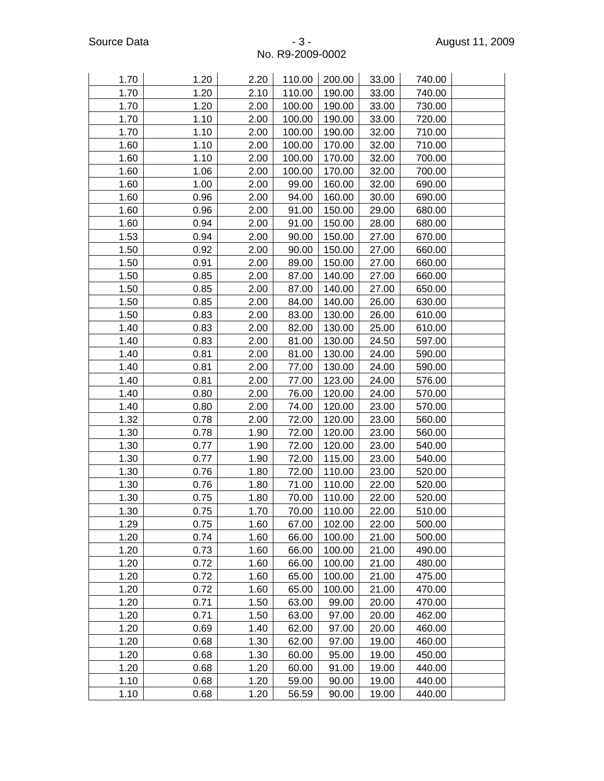| 1.70 | 1.20 | 2.20 | 110.00 | 200.00 | 33.00 | 740.00 |  |
|------|------|------|--------|--------|-------|--------|--|
| 1.70 | 1.20 | 2.10 | 110.00 | 190.00 | 33.00 | 740.00 |  |
| 1.70 | 1.20 | 2.00 | 100.00 | 190.00 | 33.00 | 730.00 |  |
| 1.70 | 1.10 | 2.00 | 100.00 | 190.00 | 33.00 | 720.00 |  |
| 1.70 | 1.10 | 2.00 | 100.00 | 190.00 | 32.00 | 710.00 |  |
| 1.60 | 1.10 | 2.00 | 100.00 | 170.00 | 32.00 | 710.00 |  |
| 1.60 | 1.10 | 2.00 | 100.00 | 170.00 | 32.00 | 700.00 |  |
| 1.60 | 1.06 | 2.00 | 100.00 | 170.00 | 32.00 | 700.00 |  |
| 1.60 | 1.00 | 2.00 | 99.00  | 160.00 | 32.00 | 690.00 |  |
| 1.60 | 0.96 | 2.00 | 94.00  | 160.00 | 30.00 | 690.00 |  |
| 1.60 | 0.96 | 2.00 | 91.00  | 150.00 | 29.00 | 680.00 |  |
| 1.60 | 0.94 | 2.00 | 91.00  | 150.00 | 28.00 | 680.00 |  |
| 1.53 | 0.94 | 2.00 | 90.00  | 150.00 | 27.00 | 670.00 |  |
| 1.50 | 0.92 | 2.00 | 90.00  | 150.00 | 27.00 | 660.00 |  |
| 1.50 | 0.91 | 2.00 | 89.00  | 150.00 | 27.00 | 660.00 |  |
| 1.50 | 0.85 | 2.00 | 87.00  | 140.00 | 27.00 | 660.00 |  |
| 1.50 | 0.85 | 2.00 | 87.00  | 140.00 | 27.00 | 650.00 |  |
| 1.50 | 0.85 | 2.00 | 84.00  | 140.00 | 26.00 | 630.00 |  |
| 1.50 | 0.83 | 2.00 | 83.00  | 130.00 | 26.00 | 610.00 |  |
| 1.40 | 0.83 | 2.00 | 82.00  | 130.00 | 25.00 | 610.00 |  |
| 1.40 | 0.83 | 2.00 | 81.00  | 130.00 | 24.50 | 597.00 |  |
| 1.40 | 0.81 | 2.00 | 81.00  | 130.00 | 24.00 | 590.00 |  |
| 1.40 | 0.81 | 2.00 | 77.00  | 130.00 | 24.00 | 590.00 |  |
| 1.40 | 0.81 | 2.00 | 77.00  | 123.00 | 24.00 | 576.00 |  |
| 1.40 | 0.80 | 2.00 | 76.00  | 120.00 | 24.00 | 570.00 |  |
| 1.40 | 0.80 | 2.00 | 74.00  | 120.00 | 23.00 | 570.00 |  |
| 1.32 | 0.78 | 2.00 | 72.00  | 120.00 | 23.00 | 560.00 |  |
| 1.30 | 0.78 | 1.90 | 72.00  | 120.00 | 23.00 | 560.00 |  |
| 1.30 | 0.77 | 1.90 | 72.00  | 120.00 | 23.00 | 540.00 |  |
| 1.30 | 0.77 | 1.90 | 72.00  | 115.00 | 23.00 | 540.00 |  |
| 1.30 | 0.76 | 1.80 | 72.00  | 110.00 | 23.00 | 520.00 |  |
| 1.30 | 0.76 | 1.80 | 71.00  | 110.00 | 22.00 | 520.00 |  |
| 1.30 | 0.75 | 1.80 | 70.00  | 110.00 | 22.00 | 520.00 |  |
| 1.30 | 0.75 | 1.70 | 70.00  | 110.00 | 22.00 | 510.00 |  |
| 1.29 | 0.75 | 1.60 | 67.00  | 102.00 | 22.00 | 500.00 |  |
| 1.20 | 0.74 | 1.60 | 66.00  | 100.00 | 21.00 | 500.00 |  |
| 1.20 | 0.73 | 1.60 | 66.00  | 100.00 | 21.00 | 490.00 |  |
| 1.20 | 0.72 | 1.60 | 66.00  | 100.00 | 21.00 | 480.00 |  |
| 1.20 | 0.72 | 1.60 | 65.00  | 100.00 | 21.00 | 475.00 |  |
| 1.20 | 0.72 | 1.60 | 65.00  | 100.00 | 21.00 | 470.00 |  |
| 1.20 | 0.71 | 1.50 | 63.00  | 99.00  | 20.00 | 470.00 |  |
| 1.20 | 0.71 | 1.50 | 63.00  | 97.00  | 20.00 | 462.00 |  |
| 1.20 | 0.69 | 1.40 | 62.00  | 97.00  | 20.00 | 460.00 |  |
| 1.20 | 0.68 | 1.30 | 62.00  | 97.00  | 19.00 | 460.00 |  |
| 1.20 | 0.68 | 1.30 | 60.00  | 95.00  | 19.00 | 450.00 |  |
| 1.20 | 0.68 | 1.20 | 60.00  | 91.00  | 19.00 | 440.00 |  |
| 1.10 | 0.68 | 1.20 | 59.00  | 90.00  | 19.00 | 440.00 |  |
| 1.10 | 0.68 | 1.20 | 56.59  | 90.00  | 19.00 | 440.00 |  |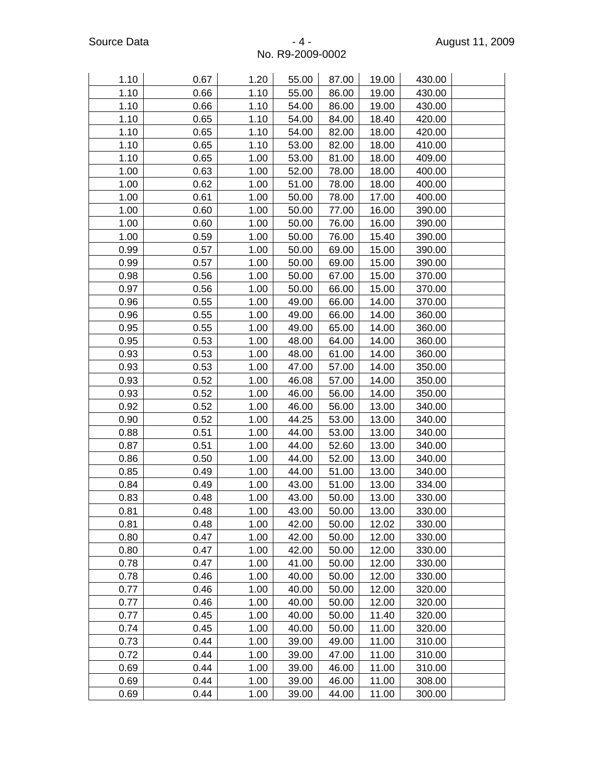#### 1.10 0.67 1.20 55.00 87.00 19.00 430.00 1.10 0.66 1.10 55.00 86.00 19.00 430.00 1.10 0.66 1.10 54.00 86.00 19.00 430.00 1.10 | 0.65 | 1.10 | 54.00 | 84.00 | 18.40 | 420.00 1.10 0.65 1.10 54.00 82.00 18.00 420.00 1.10 | 0.65 | 1.10 | 53.00 | 82.00 | 18.00 | 410.00 1.10 | 0.65 | 1.00 | 53.00 | 81.00 | 18.00 | 409.00 1.00 0.63 1.00 52.00 78.00 18.00 400.00 1.00 0.62 1.00 51.00 78.00 18.00 400.00 1.00 0.61 1.00 50.00 78.00 17.00 400.00 1.00 0.60 1.00 50.00 77.00 16.00 390.00 1.00 0.60 1.00 50.00 76.00 16.00 390.00 1.00 0.59 1.00 50.00 76.00 15.40 390.00 0.99 0.57 1.00 50.00 69.00 15.00 390.00 0.99 0.57 1.00 50.00 69.00 15.00 390.00 0.98 0.56 1.00 50.00 67.00 15.00 370.00 0.97 0.56 1.00 50.00 66.00 15.00 370.00 0.96 0.55 1.00 49.00 66.00 14.00 370.00 0.96 0.55 1.00 49.00 66.00 14.00 360.00 0.95 0.55 1.00 49.00 65.00 14.00 360.00 0.95 0.53 1.00 48.00 64.00 14.00 360.00 0.93 0.53 1.00 48.00 61.00 14.00 360.00 0.93 0.53 1.00 47.00 57.00 14.00 350.00 0.93 0.52 1.00 46.08 57.00 14.00 350.00 0.93 0.52 1.00 46.00 56.00 14.00 350.00 0.92 0.52 1.00 46.00 56.00 13.00 340.00 0.90 0.52 1.00 44.25 53.00 13.00 340.00 0.88 0.51 1.00 44.00 53.00 13.00 340.00 0.87 0.51 1.00 44.00 52.60 13.00 340.00 0.86 0.50 1.00 44.00 52.00 13.00 340.00 0.85 0.49 1.00 44.00 51.00 13.00 340.00 0.84 0.49 1.00 43.00 51.00 13.00 334.00 0.83 0.48 1.00 43.00 50.00 13.00 330.00 0.81 0.48 1.00 43.00 50.00 13.00 330.00 0.81 0.48 1.00 42.00 50.00 12.02 330.00 0.80 0.47 1.00 42.00 50.00 12.00 330.00 0.80 0.47 1.00 42.00 50.00 12.00 330.00 0.78 0.47 1.00 41.00 50.00 12.00 330.00 0.78 0.46 1.00 40.00 50.00 12.00 330.00 0.77 0.46 1.00 40.00 50.00 12.00 320.00 0.77 0.46 1.00 40.00 50.00 12.00 320.00 0.77 0.45 1.00 40.00 50.00 11.40 320.00 0.74 0.45 1.00 40.00 50.00 11.00 320.00 0.73 0.44 1.00 39.00 49.00 11.00 310.00 0.72 0.44 1.00 39.00 47.00 11.00 310.00 0.69 0.44 1.00 39.00 46.00 11.00 310.00 0.69 0.44 1.00 39.00 46.00 11.00 308.00 0.69 0.44 1.00 39.00 44.00 11.00 300.00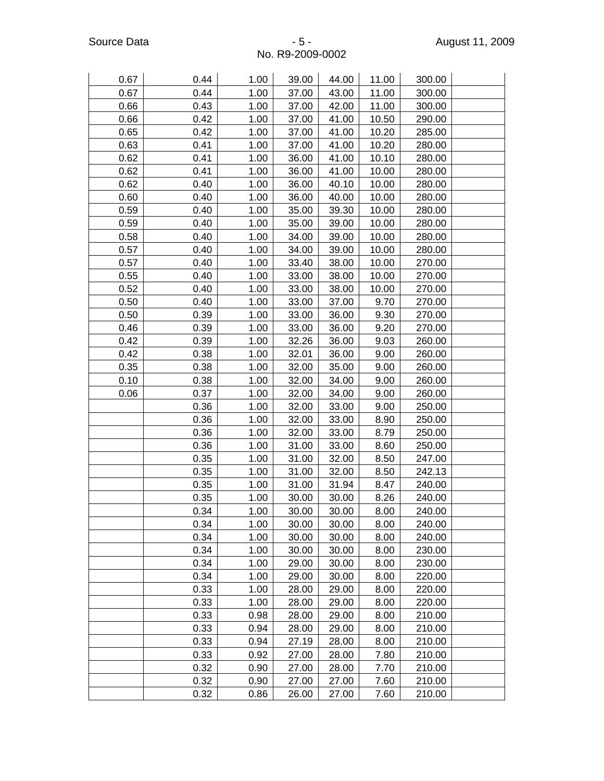| 0.67 | 0.44 | 1.00 | 39.00 | 44.00 | 11.00 | 300.00 |  |
|------|------|------|-------|-------|-------|--------|--|
| 0.67 | 0.44 | 1.00 | 37.00 | 43.00 | 11.00 | 300.00 |  |
| 0.66 | 0.43 | 1.00 | 37.00 | 42.00 | 11.00 | 300.00 |  |
| 0.66 | 0.42 | 1.00 | 37.00 | 41.00 | 10.50 | 290.00 |  |
| 0.65 | 0.42 | 1.00 | 37.00 | 41.00 | 10.20 | 285.00 |  |
| 0.63 | 0.41 | 1.00 | 37.00 | 41.00 | 10.20 | 280.00 |  |
| 0.62 | 0.41 | 1.00 | 36.00 | 41.00 | 10.10 | 280.00 |  |
| 0.62 | 0.41 | 1.00 | 36.00 | 41.00 | 10.00 | 280.00 |  |
| 0.62 | 0.40 | 1.00 | 36.00 | 40.10 | 10.00 | 280.00 |  |
| 0.60 | 0.40 | 1.00 | 36.00 | 40.00 | 10.00 | 280.00 |  |
| 0.59 | 0.40 | 1.00 | 35.00 | 39.30 | 10.00 | 280.00 |  |
| 0.59 | 0.40 | 1.00 | 35.00 | 39.00 | 10.00 | 280.00 |  |
| 0.58 | 0.40 | 1.00 | 34.00 | 39.00 | 10.00 | 280.00 |  |
| 0.57 | 0.40 | 1.00 | 34.00 | 39.00 | 10.00 | 280.00 |  |
| 0.57 | 0.40 | 1.00 | 33.40 | 38.00 | 10.00 | 270.00 |  |
| 0.55 | 0.40 | 1.00 | 33.00 | 38.00 | 10.00 | 270.00 |  |
| 0.52 | 0.40 | 1.00 | 33.00 | 38.00 | 10.00 | 270.00 |  |
| 0.50 | 0.40 | 1.00 | 33.00 | 37.00 | 9.70  | 270.00 |  |
| 0.50 | 0.39 | 1.00 | 33.00 | 36.00 | 9.30  | 270.00 |  |
| 0.46 | 0.39 | 1.00 | 33.00 | 36.00 | 9.20  | 270.00 |  |
| 0.42 | 0.39 | 1.00 | 32.26 | 36.00 | 9.03  | 260.00 |  |
| 0.42 | 0.38 | 1.00 | 32.01 | 36.00 | 9.00  | 260.00 |  |
| 0.35 | 0.38 | 1.00 | 32.00 | 35.00 | 9.00  | 260.00 |  |
| 0.10 | 0.38 | 1.00 | 32.00 | 34.00 | 9.00  | 260.00 |  |
| 0.06 | 0.37 | 1.00 | 32.00 | 34.00 | 9.00  | 260.00 |  |
|      | 0.36 | 1.00 | 32.00 | 33.00 | 9.00  | 250.00 |  |
|      | 0.36 | 1.00 | 32.00 | 33.00 | 8.90  | 250.00 |  |
|      | 0.36 | 1.00 | 32.00 | 33.00 | 8.79  | 250.00 |  |
|      | 0.36 | 1.00 | 31.00 | 33.00 | 8.60  | 250.00 |  |
|      | 0.35 | 1.00 | 31.00 | 32.00 | 8.50  | 247.00 |  |
|      | 0.35 | 1.00 | 31.00 | 32.00 | 8.50  | 242.13 |  |
|      | 0.35 | 1.00 | 31.00 | 31.94 | 8.47  | 240.00 |  |
|      | 0.35 | 1.00 | 30.00 | 30.00 | 8.26  | 240.00 |  |
|      | 0.34 | 1.00 | 30.00 | 30.00 | 8.00  | 240.00 |  |
|      | 0.34 | 1.00 | 30.00 | 30.00 | 8.00  | 240.00 |  |
|      | 0.34 | 1.00 | 30.00 | 30.00 | 8.00  | 240.00 |  |
|      | 0.34 | 1.00 | 30.00 | 30.00 | 8.00  | 230.00 |  |
|      | 0.34 | 1.00 | 29.00 | 30.00 | 8.00  | 230.00 |  |
|      | 0.34 | 1.00 | 29.00 | 30.00 | 8.00  | 220.00 |  |
|      | 0.33 | 1.00 | 28.00 | 29.00 | 8.00  | 220.00 |  |
|      | 0.33 | 1.00 | 28.00 | 29.00 | 8.00  | 220.00 |  |
|      | 0.33 | 0.98 | 28.00 | 29.00 | 8.00  | 210.00 |  |
|      | 0.33 | 0.94 | 28.00 | 29.00 | 8.00  | 210.00 |  |
|      | 0.33 | 0.94 | 27.19 | 28.00 | 8.00  | 210.00 |  |
|      | 0.33 | 0.92 | 27.00 | 28.00 | 7.80  | 210.00 |  |
|      | 0.32 | 0.90 | 27.00 | 28.00 | 7.70  | 210.00 |  |
|      | 0.32 | 0.90 | 27.00 | 27.00 | 7.60  | 210.00 |  |
|      | 0.32 | 0.86 | 26.00 | 27.00 | 7.60  | 210.00 |  |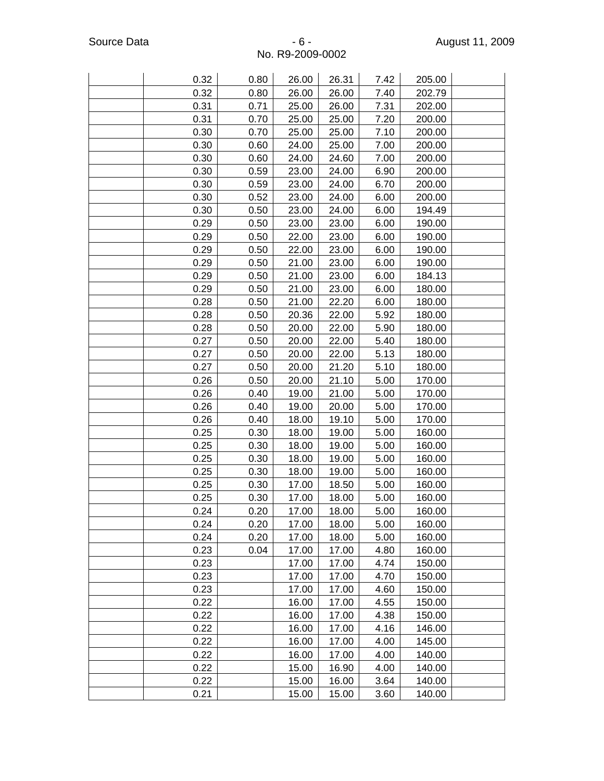| 0.32 | 0.80 | 26.00 | 26.31 | 7.42 | 205.00 |  |
|------|------|-------|-------|------|--------|--|
| 0.32 | 0.80 | 26.00 | 26.00 | 7.40 | 202.79 |  |
| 0.31 | 0.71 | 25.00 | 26.00 | 7.31 | 202.00 |  |
| 0.31 | 0.70 | 25.00 | 25.00 | 7.20 | 200.00 |  |
| 0.30 | 0.70 | 25.00 | 25.00 | 7.10 | 200.00 |  |
| 0.30 | 0.60 | 24.00 | 25.00 | 7.00 | 200.00 |  |
| 0.30 | 0.60 | 24.00 | 24.60 | 7.00 | 200.00 |  |
| 0.30 | 0.59 | 23.00 | 24.00 | 6.90 | 200.00 |  |
| 0.30 | 0.59 | 23.00 | 24.00 | 6.70 | 200.00 |  |
| 0.30 | 0.52 | 23.00 | 24.00 | 6.00 | 200.00 |  |
| 0.30 | 0.50 | 23.00 | 24.00 | 6.00 | 194.49 |  |
| 0.29 | 0.50 | 23.00 | 23.00 | 6.00 | 190.00 |  |
| 0.29 | 0.50 | 22.00 | 23.00 | 6.00 | 190.00 |  |
| 0.29 | 0.50 | 22.00 | 23.00 | 6.00 | 190.00 |  |
| 0.29 | 0.50 | 21.00 | 23.00 | 6.00 | 190.00 |  |
| 0.29 | 0.50 | 21.00 | 23.00 | 6.00 | 184.13 |  |
| 0.29 | 0.50 | 21.00 | 23.00 | 6.00 | 180.00 |  |
| 0.28 | 0.50 | 21.00 | 22.20 | 6.00 | 180.00 |  |
| 0.28 | 0.50 | 20.36 | 22.00 | 5.92 | 180.00 |  |
| 0.28 | 0.50 | 20.00 | 22.00 | 5.90 | 180.00 |  |
| 0.27 | 0.50 | 20.00 | 22.00 | 5.40 | 180.00 |  |
| 0.27 | 0.50 | 20.00 | 22.00 | 5.13 | 180.00 |  |
| 0.27 | 0.50 | 20.00 | 21.20 | 5.10 | 180.00 |  |
| 0.26 | 0.50 | 20.00 | 21.10 | 5.00 | 170.00 |  |
| 0.26 | 0.40 | 19.00 | 21.00 | 5.00 | 170.00 |  |
| 0.26 | 0.40 | 19.00 | 20.00 | 5.00 | 170.00 |  |
| 0.26 | 0.40 | 18.00 | 19.10 | 5.00 | 170.00 |  |
| 0.25 | 0.30 | 18.00 | 19.00 | 5.00 | 160.00 |  |
| 0.25 | 0.30 | 18.00 | 19.00 | 5.00 | 160.00 |  |
| 0.25 | 0.30 | 18.00 | 19.00 | 5.00 | 160.00 |  |
| 0.25 | 0.30 | 18.00 | 19.00 | 5.00 | 160.00 |  |
| 0.25 | 0.30 | 17.00 | 18.50 | 5.00 | 160.00 |  |
| 0.25 | 0.30 | 17.00 | 18.00 | 5.00 | 160.00 |  |
| 0.24 | 0.20 | 17.00 | 18.00 | 5.00 | 160.00 |  |
| 0.24 | 0.20 | 17.00 | 18.00 | 5.00 | 160.00 |  |
| 0.24 | 0.20 | 17.00 | 18.00 | 5.00 | 160.00 |  |
| 0.23 | 0.04 | 17.00 | 17.00 | 4.80 | 160.00 |  |
| 0.23 |      | 17.00 | 17.00 | 4.74 | 150.00 |  |
| 0.23 |      | 17.00 | 17.00 | 4.70 | 150.00 |  |
| 0.23 |      | 17.00 | 17.00 | 4.60 | 150.00 |  |
| 0.22 |      | 16.00 | 17.00 | 4.55 | 150.00 |  |
| 0.22 |      | 16.00 | 17.00 | 4.38 | 150.00 |  |
| 0.22 |      | 16.00 | 17.00 | 4.16 | 146.00 |  |
| 0.22 |      | 16.00 | 17.00 | 4.00 | 145.00 |  |
| 0.22 |      | 16.00 | 17.00 | 4.00 | 140.00 |  |
| 0.22 |      | 15.00 | 16.90 | 4.00 | 140.00 |  |
| 0.22 |      | 15.00 | 16.00 | 3.64 | 140.00 |  |
| 0.21 |      | 15.00 | 15.00 | 3.60 | 140.00 |  |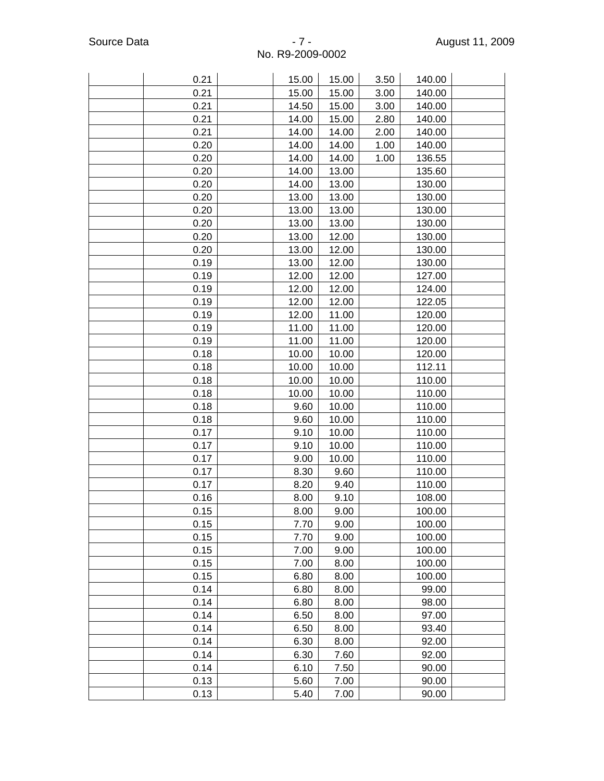| 0.21 | 15.00 | 15.00 | 3.50 | 140.00 |  |
|------|-------|-------|------|--------|--|
| 0.21 | 15.00 | 15.00 | 3.00 | 140.00 |  |
| 0.21 | 14.50 | 15.00 | 3.00 | 140.00 |  |
| 0.21 | 14.00 | 15.00 | 2.80 | 140.00 |  |
| 0.21 | 14.00 | 14.00 | 2.00 | 140.00 |  |
| 0.20 | 14.00 | 14.00 | 1.00 | 140.00 |  |
| 0.20 | 14.00 | 14.00 | 1.00 | 136.55 |  |
| 0.20 | 14.00 | 13.00 |      | 135.60 |  |
| 0.20 | 14.00 | 13.00 |      | 130.00 |  |
| 0.20 | 13.00 | 13.00 |      | 130.00 |  |
| 0.20 | 13.00 | 13.00 |      | 130.00 |  |
| 0.20 | 13.00 | 13.00 |      | 130.00 |  |
| 0.20 | 13.00 | 12.00 |      | 130.00 |  |
| 0.20 | 13.00 | 12.00 |      | 130.00 |  |
| 0.19 | 13.00 | 12.00 |      | 130.00 |  |
| 0.19 | 12.00 | 12.00 |      | 127.00 |  |
| 0.19 | 12.00 | 12.00 |      | 124.00 |  |
| 0.19 | 12.00 | 12.00 |      | 122.05 |  |
| 0.19 | 12.00 | 11.00 |      | 120.00 |  |
| 0.19 | 11.00 | 11.00 |      | 120.00 |  |
| 0.19 | 11.00 | 11.00 |      | 120.00 |  |
| 0.18 | 10.00 | 10.00 |      | 120.00 |  |
| 0.18 | 10.00 | 10.00 |      | 112.11 |  |
| 0.18 | 10.00 | 10.00 |      | 110.00 |  |
| 0.18 | 10.00 | 10.00 |      | 110.00 |  |
| 0.18 | 9.60  | 10.00 |      | 110.00 |  |
| 0.18 | 9.60  | 10.00 |      | 110.00 |  |
| 0.17 | 9.10  | 10.00 |      | 110.00 |  |
| 0.17 | 9.10  | 10.00 |      | 110.00 |  |
| 0.17 | 9.00  | 10.00 |      | 110.00 |  |
| 0.17 | 8.30  | 9.60  |      | 110.00 |  |
| 0.17 | 8.20  | 9.40  |      | 110.00 |  |
| 0.16 | 8.00  | 9.10  |      | 108.00 |  |
| 0.15 | 8.00  | 9.00  |      | 100.00 |  |
| 0.15 | 7.70  | 9.00  |      | 100.00 |  |
| 0.15 | 7.70  | 9.00  |      | 100.00 |  |
| 0.15 | 7.00  | 9.00  |      | 100.00 |  |
| 0.15 | 7.00  | 8.00  |      | 100.00 |  |
| 0.15 | 6.80  | 8.00  |      | 100.00 |  |
| 0.14 | 6.80  | 8.00  |      | 99.00  |  |
| 0.14 | 6.80  | 8.00  |      | 98.00  |  |
| 0.14 | 6.50  | 8.00  |      | 97.00  |  |
| 0.14 | 6.50  | 8.00  |      | 93.40  |  |
| 0.14 | 6.30  | 8.00  |      | 92.00  |  |
| 0.14 | 6.30  | 7.60  |      | 92.00  |  |
| 0.14 | 6.10  | 7.50  |      | 90.00  |  |
| 0.13 | 5.60  | 7.00  |      | 90.00  |  |
| 0.13 | 5.40  | 7.00  |      | 90.00  |  |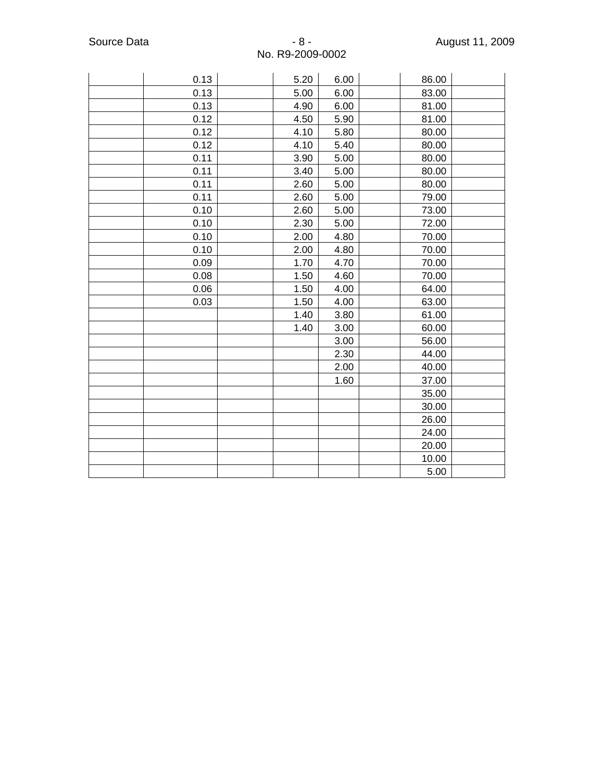| 0.13 | 5.20 | 6.00 | 86.00 |  |
|------|------|------|-------|--|
| 0.13 | 5.00 | 6.00 | 83.00 |  |
| 0.13 | 4.90 | 6.00 | 81.00 |  |
| 0.12 | 4.50 | 5.90 | 81.00 |  |
| 0.12 | 4.10 | 5.80 | 80.00 |  |
| 0.12 | 4.10 | 5.40 | 80.00 |  |
| 0.11 | 3.90 | 5.00 | 80.00 |  |
| 0.11 | 3.40 | 5.00 | 80.00 |  |
| 0.11 | 2.60 | 5.00 | 80.00 |  |
| 0.11 | 2.60 | 5.00 | 79.00 |  |
| 0.10 | 2.60 | 5.00 | 73.00 |  |
| 0.10 | 2.30 | 5.00 | 72.00 |  |
| 0.10 | 2.00 | 4.80 | 70.00 |  |
| 0.10 | 2.00 | 4.80 | 70.00 |  |
| 0.09 | 1.70 | 4.70 | 70.00 |  |
| 0.08 | 1.50 | 4.60 | 70.00 |  |
| 0.06 | 1.50 | 4.00 | 64.00 |  |
| 0.03 | 1.50 | 4.00 | 63.00 |  |
|      | 1.40 | 3.80 | 61.00 |  |
|      | 1.40 | 3.00 | 60.00 |  |
|      |      | 3.00 | 56.00 |  |
|      |      | 2.30 | 44.00 |  |
|      |      | 2.00 | 40.00 |  |
|      |      | 1.60 | 37.00 |  |
|      |      |      | 35.00 |  |
|      |      |      | 30.00 |  |
|      |      |      | 26.00 |  |
|      |      |      | 24.00 |  |
|      |      |      | 20.00 |  |
|      |      |      | 10.00 |  |
|      |      |      | 5.00  |  |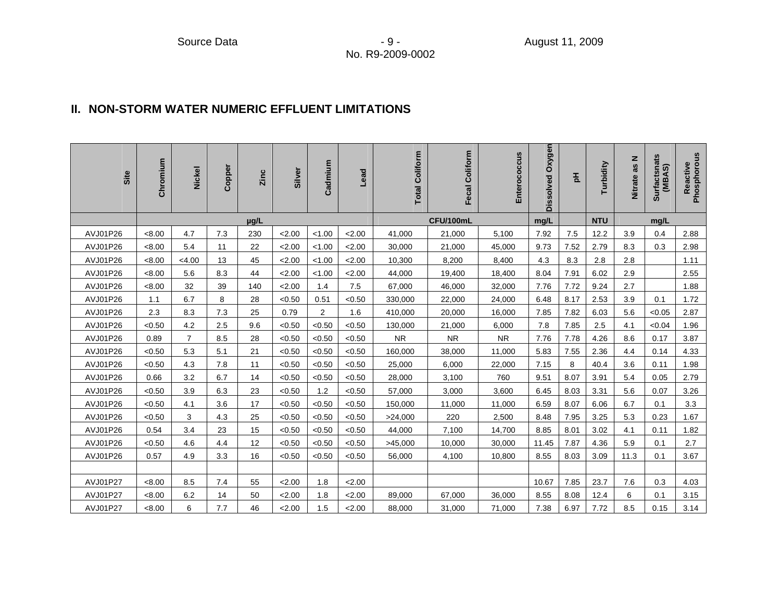#### **II. NON-STORM WATER NUMERIC EFFLUENT LIMITATIONS**

| Site     | Chromium | <b>Nickel</b>  | Copper | Zinc | Silver | Cadmium        | Lead   | <b>Total Coliform</b> | Fecal Coliform | Enterococcus | Dissolved Oxygen | 玉    | Turbidity  | Nitrate as N | Surfactsnats<br>(MBAS) | Reactive<br>Phosphorous |
|----------|----------|----------------|--------|------|--------|----------------|--------|-----------------------|----------------|--------------|------------------|------|------------|--------------|------------------------|-------------------------|
|          |          |                |        | µg/L |        |                |        |                       | CFU/100mL      |              | mg/L             |      | <b>NTU</b> |              | mg/L                   |                         |
| AVJ01P26 | < 8.00   | 4.7            | 7.3    | 230  | 2.00   | < 1.00         | 2.00   | 41,000                | 21,000         | 5,100        | 7.92             | 7.5  | 12.2       | 3.9          | 0.4                    | 2.88                    |
| AVJ01P26 | < 8.00   | 5.4            | 11     | 22   | 2.00   | < 1.00         | 2.00   | 30,000                | 21,000         | 45,000       | 9.73             | 7.52 | 2.79       | 8.3          | 0.3                    | 2.98                    |
| AVJ01P26 | < 8.00   | < 4.00         | 13     | 45   | 2.00   | < 1.00         | 2.00   | 10,300                | 8,200          | 8,400        | 4.3              | 8.3  | 2.8        | 2.8          |                        | 1.11                    |
| AVJ01P26 | < 8.00   | 5.6            | 8.3    | 44   | 2.00   | < 1.00         | 2.00   | 44,000                | 19,400         | 18,400       | 8.04             | 7.91 | 6.02       | 2.9          |                        | 2.55                    |
| AVJ01P26 | < 8.00   | 32             | 39     | 140  | 2.00   | 1.4            | 7.5    | 67,000                | 46,000         | 32,000       | 7.76             | 7.72 | 9.24       | 2.7          |                        | 1.88                    |
| AVJ01P26 | 1.1      | 6.7            | 8      | 28   | < 0.50 | 0.51           | < 0.50 | 330,000               | 22,000         | 24,000       | 6.48             | 8.17 | 2.53       | 3.9          | 0.1                    | 1.72                    |
| AVJ01P26 | 2.3      | 8.3            | 7.3    | 25   | 0.79   | $\overline{2}$ | 1.6    | 410,000               | 20,000         | 16,000       | 7.85             | 7.82 | 6.03       | 5.6          | < 0.05                 | 2.87                    |
| AVJ01P26 | < 0.50   | 4.2            | 2.5    | 9.6  | < 0.50 | < 0.50         | < 0.50 | 130,000               | 21,000         | 6,000        | 7.8              | 7.85 | 2.5        | 4.1          | < 0.04                 | 1.96                    |
| AVJ01P26 | 0.89     | $\overline{7}$ | 8.5    | 28   | < 0.50 | < 0.50         | < 0.50 | <b>NR</b>             | <b>NR</b>      | <b>NR</b>    | 7.76             | 7.78 | 4.26       | 8.6          | 0.17                   | 3.87                    |
| AVJ01P26 | < 0.50   | 5.3            | 5.1    | 21   | < 0.50 | < 0.50         | < 0.50 | 160,000               | 38,000         | 11,000       | 5.83             | 7.55 | 2.36       | 4.4          | 0.14                   | 4.33                    |
| AVJ01P26 | < 0.50   | 4.3            | 7.8    | 11   | < 0.50 | < 0.50         | < 0.50 | 25,000                | 6,000          | 22,000       | 7.15             | 8    | 40.4       | 3.6          | 0.11                   | 1.98                    |
| AVJ01P26 | 0.66     | 3.2            | 6.7    | 14   | < 0.50 | < 0.50         | < 0.50 | 28,000                | 3,100          | 760          | 9.51             | 8.07 | 3.91       | 5.4          | 0.05                   | 2.79                    |
| AVJ01P26 | < 0.50   | 3.9            | 6.3    | 23   | < 0.50 | 1.2            | < 0.50 | 57,000                | 3,000          | 3,600        | 6.45             | 8.03 | 3.31       | 5.6          | 0.07                   | 3.26                    |
| AVJ01P26 | < 0.50   | 4.1            | 3.6    | 17   | < 0.50 | < 0.50         | < 0.50 | 150,000               | 11,000         | 11,000       | 6.59             | 8.07 | 6.06       | 6.7          | 0.1                    | 3.3                     |
| AVJ01P26 | < 0.50   | 3              | 4.3    | 25   | < 0.50 | < 0.50         | < 0.50 | >24,000               | 220            | 2,500        | 8.48             | 7.95 | 3.25       | 5.3          | 0.23                   | 1.67                    |
| AVJ01P26 | 0.54     | 3.4            | 23     | 15   | < 0.50 | < 0.50         | < 0.50 | 44,000                | 7,100          | 14,700       | 8.85             | 8.01 | 3.02       | 4.1          | 0.11                   | 1.82                    |
| AVJ01P26 | < 0.50   | 4.6            | 4.4    | 12   | < 0.50 | < 0.50         | < 0.50 | >45,000               | 10,000         | 30,000       | 11.45            | 7.87 | 4.36       | 5.9          | 0.1                    | 2.7                     |
| AVJ01P26 | 0.57     | 4.9            | 3.3    | 16   | < 0.50 | < 0.50         | < 0.50 | 56,000                | 4,100          | 10,800       | 8.55             | 8.03 | 3.09       | 11.3         | 0.1                    | 3.67                    |
|          |          |                |        |      |        |                |        |                       |                |              |                  |      |            |              |                        |                         |
| AVJ01P27 | < 8.00   | 8.5            | 7.4    | 55   | 2.00   | 1.8            | 2.00   |                       |                |              | 10.67            | 7.85 | 23.7       | 7.6          | 0.3                    | 4.03                    |
| AVJ01P27 | < 8.00   | 6.2            | 14     | 50   | 2.00   | 1.8            | 2.00   | 89,000                | 67,000         | 36,000       | 8.55             | 8.08 | 12.4       | 6            | 0.1                    | 3.15                    |
| AVJ01P27 | < 8.00   | 6              | 7.7    | 46   | 2.00   | 1.5            | 2.00   | 88,000                | 31,000         | 71,000       | 7.38             | 6.97 | 7.72       | 8.5          | 0.15                   | 3.14                    |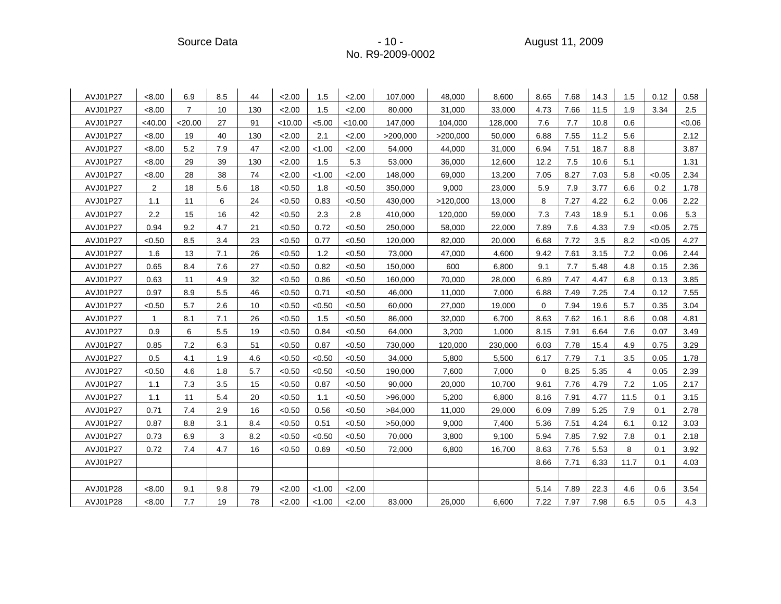Source Data - 10 - August 11, 2009

| AVJ01P27 | <8.00          | 6.9            | 8.5 | 44  | 2.00    | 1.5    | 2.00    | 107,000  | 48,000   | 8,600   | 8.65        | 7.68 | 14.3 | 1.5  | 0.12   | 0.58  |
|----------|----------------|----------------|-----|-----|---------|--------|---------|----------|----------|---------|-------------|------|------|------|--------|-------|
| AVJ01P27 | < 8.00         | $\overline{7}$ | 10  | 130 | 2.00    | 1.5    | 2.00    | 80,000   | 31,000   | 33,000  | 4.73        | 7.66 | 11.5 | 1.9  | 3.34   | 2.5   |
| AVJ01P27 | $<$ 40.00      | < 20.00        | 27  | 91  | < 10.00 | < 5.00 | < 10.00 | 147,000  | 104,000  | 128,000 | 7.6         | 7.7  | 10.8 | 0.6  |        | <0.06 |
| AVJ01P27 | < 8.00         | 19             | 40  | 130 | 2.00    | 2.1    | 2.00    | >200,000 | >200,000 | 50,000  | 6.88        | 7.55 | 11.2 | 5.6  |        | 2.12  |
| AVJ01P27 | < 8.00         | 5.2            | 7.9 | 47  | 2.00    | < 1.00 | 2.00    | 54,000   | 44,000   | 31,000  | 6.94        | 7.51 | 18.7 | 8.8  |        | 3.87  |
| AVJ01P27 | < 8.00         | 29             | 39  | 130 | 2.00    | 1.5    | 5.3     | 53,000   | 36,000   | 12,600  | 12.2        | 7.5  | 10.6 | 5.1  |        | 1.31  |
| AVJ01P27 | < 8.00         | 28             | 38  | 74  | 2.00    | < 1.00 | 2.00    | 148,000  | 69,000   | 13,200  | 7.05        | 8.27 | 7.03 | 5.8  | < 0.05 | 2.34  |
| AVJ01P27 | $\overline{a}$ | 18             | 5.6 | 18  | < 0.50  | 1.8    | < 0.50  | 350,000  | 9,000    | 23,000  | 5.9         | 7.9  | 3.77 | 6.6  | 0.2    | 1.78  |
| AVJ01P27 | 1.1            | 11             | 6   | 24  | < 0.50  | 0.83   | < 0.50  | 430,000  | >120,000 | 13,000  | 8           | 7.27 | 4.22 | 6.2  | 0.06   | 2.22  |
| AVJ01P27 | 2.2            | 15             | 16  | 42  | < 0.50  | 2.3    | 2.8     | 410,000  | 120,000  | 59,000  | 7.3         | 7.43 | 18.9 | 5.1  | 0.06   | 5.3   |
| AVJ01P27 | 0.94           | 9.2            | 4.7 | 21  | < 0.50  | 0.72   | < 0.50  | 250,000  | 58,000   | 22,000  | 7.89        | 7.6  | 4.33 | 7.9  | < 0.05 | 2.75  |
| AVJ01P27 | < 0.50         | 8.5            | 3.4 | 23  | < 0.50  | 0.77   | < 0.50  | 120,000  | 82,000   | 20,000  | 6.68        | 7.72 | 3.5  | 8.2  | < 0.05 | 4.27  |
| AVJ01P27 | 1.6            | 13             | 7.1 | 26  | < 0.50  | 1.2    | < 0.50  | 73,000   | 47,000   | 4,600   | 9.42        | 7.61 | 3.15 | 7.2  | 0.06   | 2.44  |
| AVJ01P27 | 0.65           | 8.4            | 7.6 | 27  | < 0.50  | 0.82   | < 0.50  | 150,000  | 600      | 6,800   | 9.1         | 7.7  | 5.48 | 4.8  | 0.15   | 2.36  |
| AVJ01P27 | 0.63           | 11             | 4.9 | 32  | < 0.50  | 0.86   | < 0.50  | 160,000  | 70,000   | 28,000  | 6.89        | 7.47 | 4.47 | 6.8  | 0.13   | 3.85  |
| AVJ01P27 | 0.97           | 8.9            | 5.5 | 46  | < 0.50  | 0.71   | < 0.50  | 46,000   | 11,000   | 7,000   | 6.88        | 7.49 | 7.25 | 7.4  | 0.12   | 7.55  |
| AVJ01P27 | < 0.50         | 5.7            | 2.6 | 10  | < 0.50  | < 0.50 | < 0.50  | 60,000   | 27,000   | 19,000  | $\mathbf 0$ | 7.94 | 19.6 | 5.7  | 0.35   | 3.04  |
| AVJ01P27 | 1              | 8.1            | 7.1 | 26  | < 0.50  | 1.5    | < 0.50  | 86,000   | 32,000   | 6,700   | 8.63        | 7.62 | 16.1 | 8.6  | 0.08   | 4.81  |
| AVJ01P27 | 0.9            | 6              | 5.5 | 19  | < 0.50  | 0.84   | < 0.50  | 64,000   | 3,200    | 1,000   | 8.15        | 7.91 | 6.64 | 7.6  | 0.07   | 3.49  |
| AVJ01P27 | 0.85           | 7.2            | 6.3 | 51  | < 0.50  | 0.87   | < 0.50  | 730,000  | 120,000  | 230,000 | 6.03        | 7.78 | 15.4 | 4.9  | 0.75   | 3.29  |
| AVJ01P27 | 0.5            | 4.1            | 1.9 | 4.6 | < 0.50  | < 0.50 | < 0.50  | 34,000   | 5,800    | 5,500   | 6.17        | 7.79 | 7.1  | 3.5  | 0.05   | 1.78  |
| AVJ01P27 | < 0.50         | 4.6            | 1.8 | 5.7 | < 0.50  | < 0.50 | < 0.50  | 190,000  | 7,600    | 7,000   | $\mathbf 0$ | 8.25 | 5.35 | 4    | 0.05   | 2.39  |
| AVJ01P27 | 1.1            | 7.3            | 3.5 | 15  | < 0.50  | 0.87   | < 0.50  | 90,000   | 20,000   | 10,700  | 9.61        | 7.76 | 4.79 | 7.2  | 1.05   | 2.17  |
| AVJ01P27 | 1.1            | 11             | 5.4 | 20  | < 0.50  | 1.1    | < 0.50  | >96,000  | 5,200    | 6,800   | 8.16        | 7.91 | 4.77 | 11.5 | 0.1    | 3.15  |
| AVJ01P27 | 0.71           | 7.4            | 2.9 | 16  | < 0.50  | 0.56   | < 0.50  | >84,000  | 11,000   | 29,000  | 6.09        | 7.89 | 5.25 | 7.9  | 0.1    | 2.78  |
| AVJ01P27 | 0.87           | 8.8            | 3.1 | 8.4 | < 0.50  | 0.51   | < 0.50  | >50,000  | 9,000    | 7,400   | 5.36        | 7.51 | 4.24 | 6.1  | 0.12   | 3.03  |
| AVJ01P27 | 0.73           | 6.9            | 3   | 8.2 | < 0.50  | < 0.50 | < 0.50  | 70,000   | 3,800    | 9,100   | 5.94        | 7.85 | 7.92 | 7.8  | 0.1    | 2.18  |
| AVJ01P27 | 0.72           | 7.4            | 4.7 | 16  | < 0.50  | 0.69   | < 0.50  | 72,000   | 6,800    | 16,700  | 8.63        | 7.76 | 5.53 | 8    | 0.1    | 3.92  |
| AVJ01P27 |                |                |     |     |         |        |         |          |          |         | 8.66        | 7.71 | 6.33 | 11.7 | 0.1    | 4.03  |
|          |                |                |     |     |         |        |         |          |          |         |             |      |      |      |        |       |
| AVJ01P28 | <8.00          | 9.1            | 9.8 | 79  | 2.00    | < 1.00 | 2.00    |          |          |         | 5.14        | 7.89 | 22.3 | 4.6  | 0.6    | 3.54  |
| AVJ01P28 | < 8.00         | 7.7            | 19  | 78  | 2.00    | < 1.00 | 2.00    | 83,000   | 26,000   | 6,600   | 7.22        | 7.97 | 7.98 | 6.5  | 0.5    | 4.3   |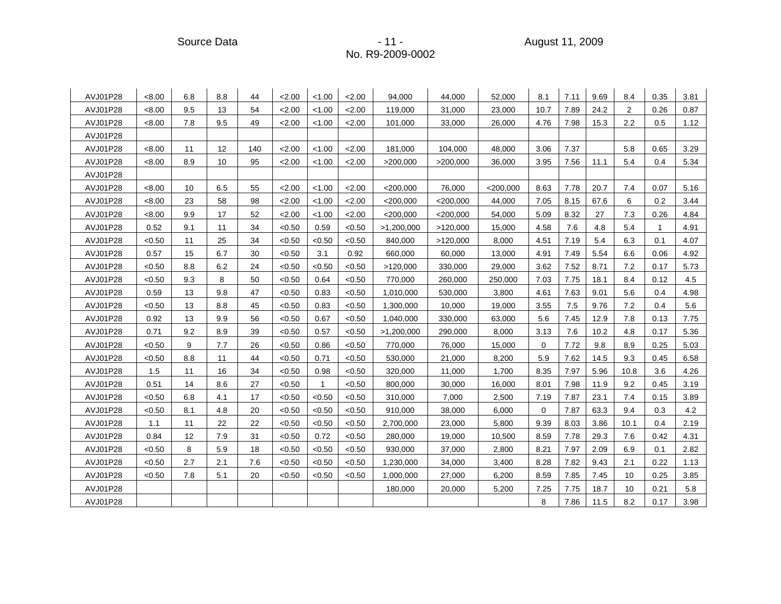Source Data - 11 - August 11, 2009

| AVJ01P28 | <8.00  | 6.8 | 8.8 | 44  | 2.00   | < 1.00 | 2.00   | 94,000      | 44,000      | 52,000      | 8.1         | 7.11 | 9.69 | 8.4  | 0.35         | 3.81 |
|----------|--------|-----|-----|-----|--------|--------|--------|-------------|-------------|-------------|-------------|------|------|------|--------------|------|
| AVJ01P28 | < 8.00 | 9.5 | 13  | 54  | 2.00   | < 1.00 | 2.00   | 119,000     | 31,000      | 23,000      | 10.7        | 7.89 | 24.2 | 2    | 0.26         | 0.87 |
| AVJ01P28 | < 8.00 | 7.8 | 9.5 | 49  | 2.00   | < 1.00 | 2.00   | 101,000     | 33,000      | 26,000      | 4.76        | 7.98 | 15.3 | 2.2  | 0.5          | 1.12 |
| AVJ01P28 |        |     |     |     |        |        |        |             |             |             |             |      |      |      |              |      |
| AVJ01P28 | < 8.00 | 11  | 12  | 140 | 2.00   | < 1.00 | 2.00   | 181,000     | 104,000     | 48.000      | 3.06        | 7.37 |      | 5.8  | 0.65         | 3.29 |
| AVJ01P28 | < 8.00 | 8.9 | 10  | 95  | 2.00   | < 1.00 | 2.00   | >200,000    | >200,000    | 36,000      | 3.95        | 7.56 | 11.1 | 5.4  | 0.4          | 5.34 |
| AVJ01P28 |        |     |     |     |        |        |        |             |             |             |             |      |      |      |              |      |
| AVJ01P28 | < 8.00 | 10  | 6.5 | 55  | 2.00   | < 1.00 | 2.00   | $<$ 200,000 | 76,000      | $<$ 200,000 | 8.63        | 7.78 | 20.7 | 7.4  | 0.07         | 5.16 |
| AVJ01P28 | < 8.00 | 23  | 58  | 98  | 2.00   | < 1.00 | 2.00   | $<$ 200,000 | $<$ 200,000 | 44,000      | 7.05        | 8.15 | 67.6 | 6    | 0.2          | 3.44 |
| AVJ01P28 | < 8.00 | 9.9 | 17  | 52  | 2.00   | < 1.00 | 2.00   | $<$ 200,000 | $<$ 200,000 | 54,000      | 5.09        | 8.32 | 27   | 7.3  | 0.26         | 4.84 |
| AVJ01P28 | 0.52   | 9.1 | 11  | 34  | < 0.50 | 0.59   | < 0.50 | >1,200,000  | >120,000    | 15,000      | 4.58        | 7.6  | 4.8  | 5.4  | $\mathbf{1}$ | 4.91 |
| AVJ01P28 | < 0.50 | 11  | 25  | 34  | < 0.50 | < 0.50 | < 0.50 | 840,000     | >120,000    | 8,000       | 4.51        | 7.19 | 5.4  | 6.3  | 0.1          | 4.07 |
| AVJ01P28 | 0.57   | 15  | 6.7 | 30  | < 0.50 | 3.1    | 0.92   | 660,000     | 60,000      | 13,000      | 4.91        | 7.49 | 5.54 | 6.6  | 0.06         | 4.92 |
| AVJ01P28 | < 0.50 | 8.8 | 6.2 | 24  | < 0.50 | < 0.50 | < 0.50 | >120,000    | 330,000     | 29,000      | 3.62        | 7.52 | 8.71 | 7.2  | 0.17         | 5.73 |
| AVJ01P28 | < 0.50 | 9.3 | 8   | 50  | < 0.50 | 0.64   | < 0.50 | 770,000     | 260,000     | 250,000     | 7.03        | 7.75 | 18.1 | 8.4  | 0.12         | 4.5  |
| AVJ01P28 | 0.59   | 13  | 9.8 | 47  | < 0.50 | 0.83   | < 0.50 | 1,010,000   | 530,000     | 3,800       | 4.61        | 7.63 | 9.01 | 5.6  | 0.4          | 4.98 |
| AVJ01P28 | < 0.50 | 13  | 8.8 | 45  | < 0.50 | 0.83   | < 0.50 | 1,300,000   | 10,000      | 19,000      | 3.55        | 7.5  | 9.76 | 7.2  | 0.4          | 5.6  |
| AVJ01P28 | 0.92   | 13  | 9.9 | 56  | < 0.50 | 0.67   | < 0.50 | 1,040,000   | 330,000     | 63,000      | 5.6         | 7.45 | 12.9 | 7.8  | 0.13         | 7.75 |
| AVJ01P28 | 0.71   | 9.2 | 8.9 | 39  | < 0.50 | 0.57   | < 0.50 | >1,200,000  | 290,000     | 8,000       | 3.13        | 7.6  | 10.2 | 4.8  | 0.17         | 5.36 |
| AVJ01P28 | < 0.50 | 9   | 7.7 | 26  | < 0.50 | 0.86   | < 0.50 | 770,000     | 76,000      | 15,000      | $\mathbf 0$ | 7.72 | 9.8  | 8.9  | 0.25         | 5.03 |
| AVJ01P28 | < 0.50 | 8.8 | 11  | 44  | < 0.50 | 0.71   | < 0.50 | 530,000     | 21,000      | 8,200       | 5.9         | 7.62 | 14.5 | 9.3  | 0.45         | 6.58 |
| AVJ01P28 | 1.5    | 11  | 16  | 34  | < 0.50 | 0.98   | < 0.50 | 320,000     | 11,000      | 1,700       | 8.35        | 7.97 | 5.96 | 10.8 | 3.6          | 4.26 |
| AVJ01P28 | 0.51   | 14  | 8.6 | 27  | < 0.50 | 1      | < 0.50 | 800,000     | 30,000      | 16,000      | 8.01        | 7.98 | 11.9 | 9.2  | 0.45         | 3.19 |
| AVJ01P28 | < 0.50 | 6.8 | 4.1 | 17  | < 0.50 | < 0.50 | < 0.50 | 310,000     | 7,000       | 2,500       | 7.19        | 7.87 | 23.1 | 7.4  | 0.15         | 3.89 |
| AVJ01P28 | < 0.50 | 8.1 | 4.8 | 20  | < 0.50 | < 0.50 | < 0.50 | 910,000     | 38,000      | 6,000       | 0           | 7.87 | 63.3 | 9.4  | 0.3          | 4.2  |
| AVJ01P28 | 1.1    | 11  | 22  | 22  | < 0.50 | < 0.50 | < 0.50 | 2,700,000   | 23,000      | 5,800       | 9.39        | 8.03 | 3.86 | 10.1 | 0.4          | 2.19 |
| AVJ01P28 | 0.84   | 12  | 7.9 | 31  | < 0.50 | 0.72   | < 0.50 | 280,000     | 19,000      | 10,500      | 8.59        | 7.78 | 29.3 | 7.6  | 0.42         | 4.31 |
| AVJ01P28 | < 0.50 | 8   | 5.9 | 18  | < 0.50 | < 0.50 | < 0.50 | 930,000     | 37,000      | 2,800       | 8.21        | 7.97 | 2.09 | 6.9  | 0.1          | 2.82 |
| AVJ01P28 | < 0.50 | 2.7 | 2.1 | 7.6 | < 0.50 | < 0.50 | < 0.50 | 1,230,000   | 34,000      | 3,400       | 8.28        | 7.82 | 9.43 | 2.1  | 0.22         | 1.13 |
| AVJ01P28 | < 0.50 | 7.8 | 5.1 | 20  | < 0.50 | < 0.50 | < 0.50 | 1,000,000   | 27,000      | 6,200       | 8.59        | 7.85 | 7.45 | 10   | 0.25         | 3.85 |
| AVJ01P28 |        |     |     |     |        |        |        | 180,000     | 20,000      | 5,200       | 7.25        | 7.75 | 18.7 | 10   | 0.21         | 5.8  |
| AVJ01P28 |        |     |     |     |        |        |        |             |             |             | 8           | 7.86 | 11.5 | 8.2  | 0.17         | 3.98 |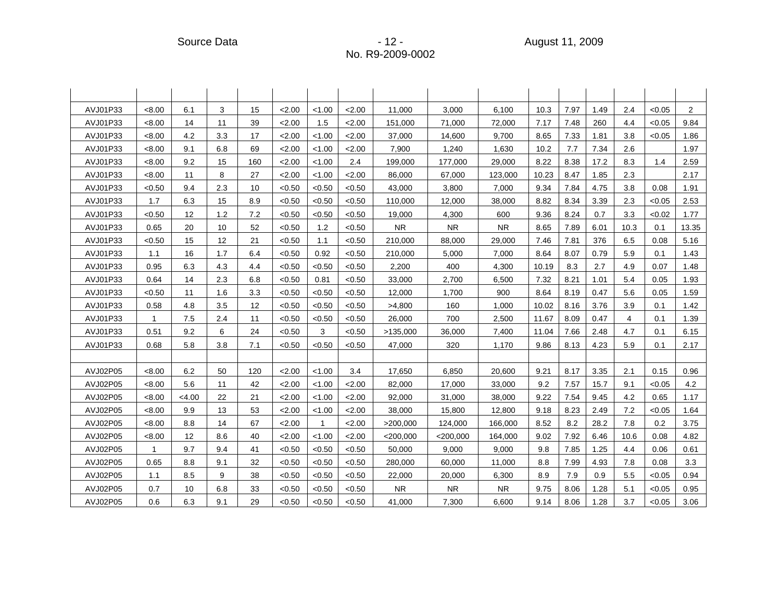| AVJ01P33 | < 8.00       | 6.1   | 3   | 15  | 2.00   | < 1.00       | 2.00   | 11,000      | 3,000       | 6,100     | 10.3  | 7.97 | 1.49 | 2.4  | < 0.05 | $\overline{2}$ |
|----------|--------------|-------|-----|-----|--------|--------------|--------|-------------|-------------|-----------|-------|------|------|------|--------|----------------|
| AVJ01P33 | < 8.00       | 14    | 11  | 39  | 2.00   | 1.5          | 2.00   | 151,000     | 71,000      | 72,000    | 7.17  | 7.48 | 260  | 4.4  | < 0.05 | 9.84           |
| AVJ01P33 | < 8.00       | 4.2   | 3.3 | 17  | 2.00   | < 1.00       | 2.00   | 37.000      | 14,600      | 9.700     | 8.65  | 7.33 | 1.81 | 3.8  | < 0.05 | 1.86           |
| AVJ01P33 | < 8.00       | 9.1   | 6.8 | 69  | 2.00   | < 1.00       | 2.00   | 7,900       | 1,240       | 1,630     | 10.2  | 7.7  | 7.34 | 2.6  |        | 1.97           |
| AVJ01P33 | < 8.00       | 9.2   | 15  | 160 | 2.00   | < 1.00       | 2.4    | 199,000     | 177,000     | 29,000    | 8.22  | 8.38 | 17.2 | 8.3  | 1.4    | 2.59           |
| AVJ01P33 | < 8.00       | 11    | 8   | 27  | 2.00   | < 1.00       | 2.00   | 86,000      | 67,000      | 123,000   | 10.23 | 8.47 | 1.85 | 2.3  |        | 2.17           |
| AVJ01P33 | < 0.50       | 9.4   | 2.3 | 10  | < 0.50 | < 0.50       | < 0.50 | 43,000      | 3,800       | 7,000     | 9.34  | 7.84 | 4.75 | 3.8  | 0.08   | 1.91           |
| AVJ01P33 | 1.7          | 6.3   | 15  | 8.9 | < 0.50 | < 0.50       | < 0.50 | 110,000     | 12,000      | 38,000    | 8.82  | 8.34 | 3.39 | 2.3  | < 0.05 | 2.53           |
| AVJ01P33 | < 0.50       | 12    | 1.2 | 7.2 | < 0.50 | < 0.50       | < 0.50 | 19,000      | 4,300       | 600       | 9.36  | 8.24 | 0.7  | 3.3  | < 0.02 | 1.77           |
| AVJ01P33 | 0.65         | 20    | 10  | 52  | < 0.50 | 1.2          | < 0.50 | <b>NR</b>   | <b>NR</b>   | <b>NR</b> | 8.65  | 7.89 | 6.01 | 10.3 | 0.1    | 13.35          |
| AVJ01P33 | < 0.50       | 15    | 12  | 21  | < 0.50 | 1.1          | < 0.50 | 210,000     | 88,000      | 29,000    | 7.46  | 7.81 | 376  | 6.5  | 0.08   | 5.16           |
| AVJ01P33 | 1.1          | 16    | 1.7 | 6.4 | < 0.50 | 0.92         | < 0.50 | 210,000     | 5,000       | 7,000     | 8.64  | 8.07 | 0.79 | 5.9  | 0.1    | 1.43           |
| AVJ01P33 | 0.95         | 6.3   | 4.3 | 4.4 | < 0.50 | < 0.50       | < 0.50 | 2,200       | 400         | 4,300     | 10.19 | 8.3  | 2.7  | 4.9  | 0.07   | 1.48           |
| AVJ01P33 | 0.64         | 14    | 2.3 | 6.8 | < 0.50 | 0.81         | < 0.50 | 33,000      | 2,700       | 6,500     | 7.32  | 8.21 | 1.01 | 5.4  | 0.05   | 1.93           |
| AVJ01P33 | < 0.50       | 11    | 1.6 | 3.3 | < 0.50 | < 0.50       | < 0.50 | 12,000      | 1,700       | 900       | 8.64  | 8.19 | 0.47 | 5.6  | 0.05   | 1.59           |
| AVJ01P33 | 0.58         | 4.8   | 3.5 | 12  | < 0.50 | < 0.50       | < 0.50 | >4,800      | 160         | 1,000     | 10.02 | 8.16 | 3.76 | 3.9  | 0.1    | 1.42           |
| AVJ01P33 | $\mathbf{1}$ | 7.5   | 2.4 | 11  | < 0.50 | < 0.50       | < 0.50 | 26,000      | 700         | 2,500     | 11.67 | 8.09 | 0.47 | 4    | 0.1    | 1.39           |
| AVJ01P33 | 0.51         | 9.2   | 6   | 24  | < 0.50 | 3            | < 0.50 | >135,000    | 36,000      | 7,400     | 11.04 | 7.66 | 2.48 | 4.7  | 0.1    | 6.15           |
| AVJ01P33 | 0.68         | 5.8   | 3.8 | 7.1 | < 0.50 | < 0.50       | < 0.50 | 47,000      | 320         | 1,170     | 9.86  | 8.13 | 4.23 | 5.9  | 0.1    | 2.17           |
|          |              |       |     |     |        |              |        |             |             |           |       |      |      |      |        |                |
| AVJ02P05 | < 8.00       | 6.2   | 50  | 120 | 2.00   | < 1.00       | 3.4    | 17,650      | 6,850       | 20,600    | 9.21  | 8.17 | 3.35 | 2.1  | 0.15   | 0.96           |
| AVJ02P05 | < 8.00       | 5.6   | 11  | 42  | 2.00   | < 1.00       | 2.00   | 82,000      | 17,000      | 33,000    | 9.2   | 7.57 | 15.7 | 9.1  | < 0.05 | 4.2            |
| AVJ02P05 | < 8.00       | <4.00 | 22  | 21  | 2.00   | < 1.00       | 2.00   | 92,000      | 31,000      | 38,000    | 9.22  | 7.54 | 9.45 | 4.2  | 0.65   | 1.17           |
| AVJ02P05 | < 8.00       | 9.9   | 13  | 53  | 2.00   | < 1.00       | 2.00   | 38,000      | 15,800      | 12,800    | 9.18  | 8.23 | 2.49 | 7.2  | < 0.05 | 1.64           |
| AVJ02P05 | < 8.00       | 8.8   | 14  | 67  | 2.00   | $\mathbf{1}$ | 2.00   | >200,000    | 124,000     | 166,000   | 8.52  | 8.2  | 28.2 | 7.8  | 0.2    | 3.75           |
| AVJ02P05 | < 8.00       | 12    | 8.6 | 40  | 2.00   | < 1.00       | 2.00   | $<$ 200,000 | $<$ 200,000 | 164,000   | 9.02  | 7.92 | 6.46 | 10.6 | 0.08   | 4.82           |
| AVJ02P05 | $\mathbf{1}$ | 9.7   | 9.4 | 41  | < 0.50 | < 0.50       | < 0.50 | 50,000      | 9,000       | 9.000     | 9.8   | 7.85 | 1.25 | 4.4  | 0.06   | 0.61           |
| AVJ02P05 | 0.65         | 8.8   | 9.1 | 32  | < 0.50 | < 0.50       | < 0.50 | 280,000     | 60,000      | 11,000    | 8.8   | 7.99 | 4.93 | 7.8  | 0.08   | 3.3            |
| AVJ02P05 | 1.1          | 8.5   | 9   | 38  | < 0.50 | < 0.50       | < 0.50 | 22,000      | 20,000      | 6,300     | 8.9   | 7.9  | 0.9  | 5.5  | < 0.05 | 0.94           |
| AVJ02P05 | 0.7          | 10    | 6.8 | 33  | < 0.50 | < 0.50       | < 0.50 | <b>NR</b>   | <b>NR</b>   | <b>NR</b> | 9.75  | 8.06 | 1.28 | 5.1  | < 0.05 | 0.95           |
| AVJ02P05 | 0.6          | 6.3   | 9.1 | 29  | < 0.50 | < 0.50       | < 0.50 | 41,000      | 7,300       | 6,600     | 9.14  | 8.06 | 1.28 | 3.7  | < 0.05 | 3.06           |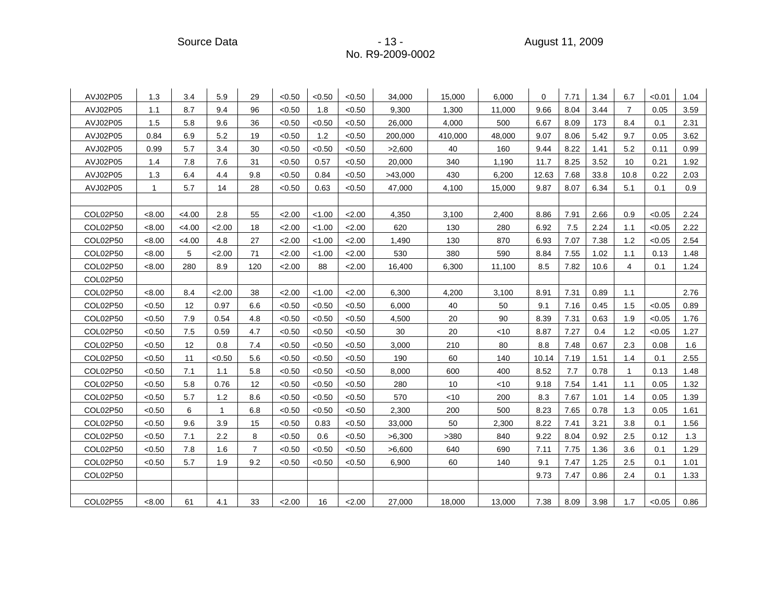Source Data - 13 - August 11, 2009

| AVJ02P05 | 1.3          | 3.4    | 5.9          | 29             | < 0.50 | < 0.50 | < 0.50 | 34,000  | 15,000  | 6,000  | $\Omega$ | 7.71 | 1.34 | 6.7            | < 0.01 | 1.04 |
|----------|--------------|--------|--------------|----------------|--------|--------|--------|---------|---------|--------|----------|------|------|----------------|--------|------|
| AVJ02P05 | 1.1          | 8.7    | 9.4          | 96             | < 0.50 | 1.8    | < 0.50 | 9,300   | 1,300   | 11,000 | 9.66     | 8.04 | 3.44 | $\overline{7}$ | 0.05   | 3.59 |
| AVJ02P05 | 1.5          | 5.8    | 9.6          | 36             | < 0.50 | < 0.50 | < 0.50 | 26,000  | 4,000   | 500    | 6.67     | 8.09 | 173  | 8.4            | 0.1    | 2.31 |
| AVJ02P05 | 0.84         | 6.9    | 5.2          | 19             | < 0.50 | 1.2    | < 0.50 | 200,000 | 410,000 | 48,000 | 9.07     | 8.06 | 5.42 | 9.7            | 0.05   | 3.62 |
| AVJ02P05 | 0.99         | 5.7    | 3.4          | 30             | < 0.50 | < 0.50 | < 0.50 | >2,600  | 40      | 160    | 9.44     | 8.22 | 1.41 | 5.2            | 0.11   | 0.99 |
| AVJ02P05 | 1.4          | 7.8    | 7.6          | 31             | < 0.50 | 0.57   | < 0.50 | 20,000  | 340     | 1,190  | 11.7     | 8.25 | 3.52 | 10             | 0.21   | 1.92 |
| AVJ02P05 | 1.3          | 6.4    | 4.4          | 9.8            | < 0.50 | 0.84   | < 0.50 | >43,000 | 430     | 6,200  | 12.63    | 7.68 | 33.8 | 10.8           | 0.22   | 2.03 |
| AVJ02P05 | $\mathbf{1}$ | 5.7    | 14           | 28             | < 0.50 | 0.63   | < 0.50 | 47,000  | 4,100   | 15,000 | 9.87     | 8.07 | 6.34 | 5.1            | 0.1    | 0.9  |
|          |              |        |              |                |        |        |        |         |         |        |          |      |      |                |        |      |
| COL02P50 | < 8.00       | <4.00  | 2.8          | 55             | 2.00   | < 1.00 | 2.00   | 4,350   | 3,100   | 2.400  | 8.86     | 7.91 | 2.66 | 0.9            | < 0.05 | 2.24 |
| COL02P50 | < 8.00       | < 4.00 | 2.00         | 18             | 2.00   | < 1.00 | 2.00   | 620     | 130     | 280    | 6.92     | 7.5  | 2.24 | 1.1            | < 0.05 | 2.22 |
| COL02P50 | <8.00        | < 4.00 | 4.8          | 27             | 2.00   | < 1.00 | 2.00   | 1,490   | 130     | 870    | 6.93     | 7.07 | 7.38 | 1.2            | < 0.05 | 2.54 |
| COL02P50 | < 8.00       | 5      | 2.00         | 71             | 2.00   | < 1.00 | 2.00   | 530     | 380     | 590    | 8.84     | 7.55 | 1.02 | 1.1            | 0.13   | 1.48 |
| COL02P50 | < 8.00       | 280    | 8.9          | 120            | 2.00   | 88     | 2.00   | 16,400  | 6,300   | 11,100 | 8.5      | 7.82 | 10.6 | 4              | 0.1    | 1.24 |
| COL02P50 |              |        |              |                |        |        |        |         |         |        |          |      |      |                |        |      |
| COL02P50 | < 8.00       | 8.4    | 2.00         | 38             | 2.00   | < 1.00 | 2.00   | 6,300   | 4,200   | 3,100  | 8.91     | 7.31 | 0.89 | 1.1            |        | 2.76 |
| COL02P50 | < 0.50       | 12     | 0.97         | 6.6            | < 0.50 | < 0.50 | < 0.50 | 6,000   | 40      | 50     | 9.1      | 7.16 | 0.45 | 1.5            | < 0.05 | 0.89 |
| COL02P50 | < 0.50       | 7.9    | 0.54         | 4.8            | < 0.50 | < 0.50 | < 0.50 | 4,500   | 20      | 90     | 8.39     | 7.31 | 0.63 | 1.9            | < 0.05 | 1.76 |
| COL02P50 | < 0.50       | 7.5    | 0.59         | 4.7            | < 0.50 | < 0.50 | < 0.50 | 30      | 20      | $<$ 10 | 8.87     | 7.27 | 0.4  | 1.2            | < 0.05 | 1.27 |
| COL02P50 | < 0.50       | 12     | 0.8          | 7.4            | < 0.50 | < 0.50 | < 0.50 | 3,000   | 210     | 80     | 8.8      | 7.48 | 0.67 | 2.3            | 0.08   | 1.6  |
| COL02P50 | < 0.50       | 11     | < 0.50       | 5.6            | < 0.50 | < 0.50 | < 0.50 | 190     | 60      | 140    | 10.14    | 7.19 | 1.51 | 1.4            | 0.1    | 2.55 |
| COL02P50 | < 0.50       | 7.1    | 1.1          | 5.8            | < 0.50 | < 0.50 | < 0.50 | 8,000   | 600     | 400    | 8.52     | 7.7  | 0.78 | $\mathbf{1}$   | 0.13   | 1.48 |
| COL02P50 | < 0.50       | 5.8    | 0.76         | 12             | < 0.50 | < 0.50 | < 0.50 | 280     | 10      | $<$ 10 | 9.18     | 7.54 | 1.41 | 1.1            | 0.05   | 1.32 |
| COL02P50 | < 0.50       | 5.7    | 1.2          | 8.6            | < 0.50 | < 0.50 | < 0.50 | 570     | < 10    | 200    | 8.3      | 7.67 | 1.01 | 1.4            | 0.05   | 1.39 |
| COL02P50 | < 0.50       | 6      | $\mathbf{1}$ | 6.8            | < 0.50 | < 0.50 | < 0.50 | 2,300   | 200     | 500    | 8.23     | 7.65 | 0.78 | 1.3            | 0.05   | 1.61 |
| COL02P50 | < 0.50       | 9.6    | 3.9          | 15             | < 0.50 | 0.83   | < 0.50 | 33,000  | 50      | 2,300  | 8.22     | 7.41 | 3.21 | 3.8            | 0.1    | 1.56 |
| COL02P50 | < 0.50       | 7.1    | 2.2          | 8              | < 0.50 | 0.6    | < 0.50 | >6,300  | >380    | 840    | 9.22     | 8.04 | 0.92 | 2.5            | 0.12   | 1.3  |
| COL02P50 | < 0.50       | 7.8    | 1.6          | $\overline{7}$ | < 0.50 | < 0.50 | < 0.50 | >6,600  | 640     | 690    | 7.11     | 7.75 | 1.36 | 3.6            | 0.1    | 1.29 |
| COL02P50 | < 0.50       | 5.7    | 1.9          | 9.2            | < 0.50 | < 0.50 | < 0.50 | 6,900   | 60      | 140    | 9.1      | 7.47 | 1.25 | 2.5            | 0.1    | 1.01 |
| COL02P50 |              |        |              |                |        |        |        |         |         |        | 9.73     | 7.47 | 0.86 | 2.4            | 0.1    | 1.33 |
|          |              |        |              |                |        |        |        |         |         |        |          |      |      |                |        |      |
| COL02P55 | < 8.00       | 61     | 4.1          | 33             | 2.00   | 16     | 2.00   | 27,000  | 18,000  | 13,000 | 7.38     | 8.09 | 3.98 | 1.7            | < 0.05 | 0.86 |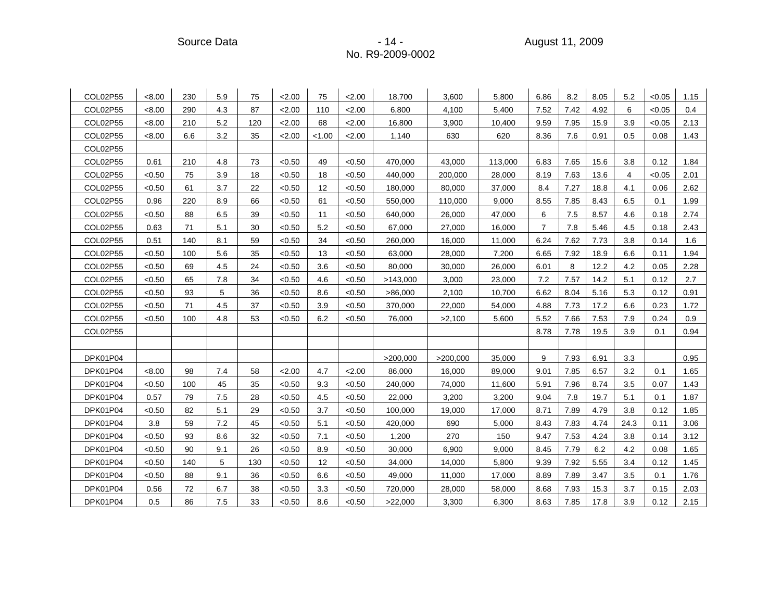Source Data - 14 - August 11, 2009

| COL02P55 | < 8.00 | 230 | 5.9 | 75  | 2.00   | 75     | 2.00   | 18,700   | 3,600    | 5,800   | 6.86           | 8.2  | 8.05 | 5.2  | < 0.05 | 1.15 |
|----------|--------|-----|-----|-----|--------|--------|--------|----------|----------|---------|----------------|------|------|------|--------|------|
| COL02P55 | < 8.00 | 290 | 4.3 | 87  | 2.00   | 110    | 2.00   | 6,800    | 4,100    | 5,400   | 7.52           | 7.42 | 4.92 | 6    | < 0.05 | 0.4  |
| COL02P55 | < 8.00 | 210 | 5.2 | 120 | 2.00   | 68     | 2.00   | 16,800   | 3,900    | 10,400  | 9.59           | 7.95 | 15.9 | 3.9  | < 0.05 | 2.13 |
| COL02P55 | < 8.00 | 6.6 | 3.2 | 35  | 2.00   | < 1.00 | 2.00   | 1,140    | 630      | 620     | 8.36           | 7.6  | 0.91 | 0.5  | 0.08   | 1.43 |
| COL02P55 |        |     |     |     |        |        |        |          |          |         |                |      |      |      |        |      |
| COL02P55 | 0.61   | 210 | 4.8 | 73  | < 0.50 | 49     | < 0.50 | 470,000  | 43,000   | 113,000 | 6.83           | 7.65 | 15.6 | 3.8  | 0.12   | 1.84 |
| COL02P55 | < 0.50 | 75  | 3.9 | 18  | < 0.50 | 18     | < 0.50 | 440,000  | 200,000  | 28,000  | 8.19           | 7.63 | 13.6 | 4    | < 0.05 | 2.01 |
| COL02P55 | < 0.50 | 61  | 3.7 | 22  | < 0.50 | 12     | < 0.50 | 180,000  | 80,000   | 37,000  | 8.4            | 7.27 | 18.8 | 4.1  | 0.06   | 2.62 |
| COL02P55 | 0.96   | 220 | 8.9 | 66  | < 0.50 | 61     | < 0.50 | 550,000  | 110,000  | 9,000   | 8.55           | 7.85 | 8.43 | 6.5  | 0.1    | 1.99 |
| COL02P55 | < 0.50 | 88  | 6.5 | 39  | < 0.50 | 11     | < 0.50 | 640,000  | 26,000   | 47,000  | 6              | 7.5  | 8.57 | 4.6  | 0.18   | 2.74 |
| COL02P55 | 0.63   | 71  | 5.1 | 30  | < 0.50 | 5.2    | < 0.50 | 67,000   | 27,000   | 16,000  | $\overline{7}$ | 7.8  | 5.46 | 4.5  | 0.18   | 2.43 |
| COL02P55 | 0.51   | 140 | 8.1 | 59  | < 0.50 | 34     | < 0.50 | 260,000  | 16,000   | 11,000  | 6.24           | 7.62 | 7.73 | 3.8  | 0.14   | 1.6  |
| COL02P55 | < 0.50 | 100 | 5.6 | 35  | < 0.50 | 13     | < 0.50 | 63,000   | 28,000   | 7,200   | 6.65           | 7.92 | 18.9 | 6.6  | 0.11   | 1.94 |
| COL02P55 | < 0.50 | 69  | 4.5 | 24  | < 0.50 | 3.6    | < 0.50 | 80,000   | 30,000   | 26,000  | 6.01           | 8    | 12.2 | 4.2  | 0.05   | 2.28 |
| COL02P55 | < 0.50 | 65  | 7.8 | 34  | < 0.50 | 4.6    | < 0.50 | >143,000 | 3,000    | 23,000  | 7.2            | 7.57 | 14.2 | 5.1  | 0.12   | 2.7  |
| COL02P55 | < 0.50 | 93  | 5   | 36  | < 0.50 | 8.6    | < 0.50 | >86,000  | 2,100    | 10,700  | 6.62           | 8.04 | 5.16 | 5.3  | 0.12   | 0.91 |
| COL02P55 | < 0.50 | 71  | 4.5 | 37  | < 0.50 | 3.9    | < 0.50 | 370,000  | 22,000   | 54,000  | 4.88           | 7.73 | 17.2 | 6.6  | 0.23   | 1.72 |
| COL02P55 | < 0.50 | 100 | 4.8 | 53  | < 0.50 | 6.2    | < 0.50 | 76,000   | >2,100   | 5,600   | 5.52           | 7.66 | 7.53 | 7.9  | 0.24   | 0.9  |
| COL02P55 |        |     |     |     |        |        |        |          |          |         | 8.78           | 7.78 | 19.5 | 3.9  | 0.1    | 0.94 |
|          |        |     |     |     |        |        |        |          |          |         |                |      |      |      |        |      |
| DPK01P04 |        |     |     |     |        |        |        | >200,000 | >200,000 | 35,000  | 9              | 7.93 | 6.91 | 3.3  |        | 0.95 |
| DPK01P04 | < 8.00 | 98  | 7.4 | 58  | 2.00   | 4.7    | 2.00   | 86,000   | 16,000   | 89,000  | 9.01           | 7.85 | 6.57 | 3.2  | 0.1    | 1.65 |
| DPK01P04 | < 0.50 | 100 | 45  | 35  | < 0.50 | 9.3    | < 0.50 | 240,000  | 74,000   | 11,600  | 5.91           | 7.96 | 8.74 | 3.5  | 0.07   | 1.43 |
| DPK01P04 | 0.57   | 79  | 7.5 | 28  | < 0.50 | 4.5    | < 0.50 | 22,000   | 3,200    | 3,200   | 9.04           | 7.8  | 19.7 | 5.1  | 0.1    | 1.87 |
| DPK01P04 | < 0.50 | 82  | 5.1 | 29  | < 0.50 | 3.7    | < 0.50 | 100,000  | 19,000   | 17,000  | 8.71           | 7.89 | 4.79 | 3.8  | 0.12   | 1.85 |
| DPK01P04 | 3.8    | 59  | 7.2 | 45  | < 0.50 | 5.1    | < 0.50 | 420,000  | 690      | 5,000   | 8.43           | 7.83 | 4.74 | 24.3 | 0.11   | 3.06 |
| DPK01P04 | < 0.50 | 93  | 8.6 | 32  | < 0.50 | 7.1    | < 0.50 | 1,200    | 270      | 150     | 9.47           | 7.53 | 4.24 | 3.8  | 0.14   | 3.12 |
| DPK01P04 | < 0.50 | 90  | 9.1 | 26  | < 0.50 | 8.9    | < 0.50 | 30,000   | 6,900    | 9,000   | 8.45           | 7.79 | 6.2  | 4.2  | 0.08   | 1.65 |
| DPK01P04 | < 0.50 | 140 | 5   | 130 | < 0.50 | 12     | < 0.50 | 34,000   | 14,000   | 5,800   | 9.39           | 7.92 | 5.55 | 3.4  | 0.12   | 1.45 |
| DPK01P04 | < 0.50 | 88  | 9.1 | 36  | < 0.50 | 6.6    | < 0.50 | 49,000   | 11,000   | 17,000  | 8.89           | 7.89 | 3.47 | 3.5  | 0.1    | 1.76 |
| DPK01P04 | 0.56   | 72  | 6.7 | 38  | < 0.50 | 3.3    | < 0.50 | 720,000  | 28,000   | 58,000  | 8.68           | 7.93 | 15.3 | 3.7  | 0.15   | 2.03 |
| DPK01P04 | 0.5    | 86  | 7.5 | 33  | < 0.50 | 8.6    | < 0.50 | >22,000  | 3,300    | 6,300   | 8.63           | 7.85 | 17.8 | 3.9  | 0.12   | 2.15 |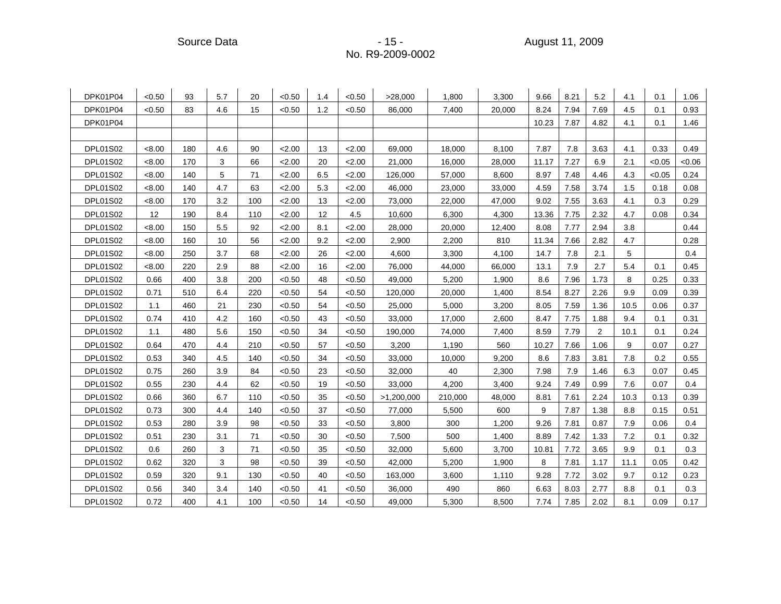Source Data - 15 - 15 - 15 - 15 - 15 - August 11, 2009

| DPK01P04        | < 0.50 | 93  | 5.7 | 20  | < 0.50 | 1.4 | < 0.50 | >28,000    | 1,800   | 3,300  | 9.66  | 8.21 | 5.2            | 4.1  | 0.1    | 1.06  |
|-----------------|--------|-----|-----|-----|--------|-----|--------|------------|---------|--------|-------|------|----------------|------|--------|-------|
| DPK01P04        | < 0.50 | 83  | 4.6 | 15  | < 0.50 | 1.2 | < 0.50 | 86,000     | 7,400   | 20,000 | 8.24  | 7.94 | 7.69           | 4.5  | 0.1    | 0.93  |
| DPK01P04        |        |     |     |     |        |     |        |            |         |        | 10.23 | 7.87 | 4.82           | 4.1  | 0.1    | 1.46  |
|                 |        |     |     |     |        |     |        |            |         |        |       |      |                |      |        |       |
| <b>DPL01S02</b> | < 8.00 | 180 | 4.6 | 90  | 2.00   | 13  | 2.00   | 69,000     | 18,000  | 8,100  | 7.87  | 7.8  | 3.63           | 4.1  | 0.33   | 0.49  |
| <b>DPL01S02</b> | < 8.00 | 170 | 3   | 66  | 2.00   | 20  | 2.00   | 21,000     | 16,000  | 28,000 | 11.17 | 7.27 | 6.9            | 2.1  | < 0.05 | <0.06 |
| <b>DPL01S02</b> | < 8.00 | 140 | 5   | 71  | 2.00   | 6.5 | 2.00   | 126,000    | 57,000  | 8,600  | 8.97  | 7.48 | 4.46           | 4.3  | < 0.05 | 0.24  |
| <b>DPL01S02</b> | <8.00  | 140 | 4.7 | 63  | 2.00   | 5.3 | 2.00   | 46,000     | 23,000  | 33,000 | 4.59  | 7.58 | 3.74           | 1.5  | 0.18   | 0.08  |
| <b>DPL01S02</b> | < 8.00 | 170 | 3.2 | 100 | 2.00   | 13  | 2.00   | 73,000     | 22,000  | 47,000 | 9.02  | 7.55 | 3.63           | 4.1  | 0.3    | 0.29  |
| <b>DPL01S02</b> | 12     | 190 | 8.4 | 110 | 2.00   | 12  | 4.5    | 10,600     | 6,300   | 4,300  | 13.36 | 7.75 | 2.32           | 4.7  | 0.08   | 0.34  |
| <b>DPL01S02</b> | < 8.00 | 150 | 5.5 | 92  | 2.00   | 8.1 | 2.00   | 28,000     | 20,000  | 12,400 | 8.08  | 7.77 | 2.94           | 3.8  |        | 0.44  |
| <b>DPL01S02</b> | < 8.00 | 160 | 10  | 56  | 2.00   | 9.2 | 2.00   | 2,900      | 2,200   | 810    | 11.34 | 7.66 | 2.82           | 4.7  |        | 0.28  |
| <b>DPL01S02</b> | < 8.00 | 250 | 3.7 | 68  | 2.00   | 26  | 2.00   | 4,600      | 3,300   | 4,100  | 14.7  | 7.8  | 2.1            | 5    |        | 0.4   |
| <b>DPL01S02</b> | < 8.00 | 220 | 2.9 | 88  | 2.00   | 16  | 2.00   | 76,000     | 44,000  | 66,000 | 13.1  | 7.9  | 2.7            | 5.4  | 0.1    | 0.45  |
| <b>DPL01S02</b> | 0.66   | 400 | 3.8 | 200 | < 0.50 | 48  | < 0.50 | 49,000     | 5,200   | 1,900  | 8.6   | 7.96 | 1.73           | 8    | 0.25   | 0.33  |
| <b>DPL01S02</b> | 0.71   | 510 | 6.4 | 220 | < 0.50 | 54  | < 0.50 | 120,000    | 20,000  | 1,400  | 8.54  | 8.27 | 2.26           | 9.9  | 0.09   | 0.39  |
| <b>DPL01S02</b> | 1.1    | 460 | 21  | 230 | < 0.50 | 54  | < 0.50 | 25,000     | 5,000   | 3,200  | 8.05  | 7.59 | 1.36           | 10.5 | 0.06   | 0.37  |
| <b>DPL01S02</b> | 0.74   | 410 | 4.2 | 160 | < 0.50 | 43  | < 0.50 | 33,000     | 17,000  | 2,600  | 8.47  | 7.75 | 1.88           | 9.4  | 0.1    | 0.31  |
| <b>DPL01S02</b> | 1.1    | 480 | 5.6 | 150 | < 0.50 | 34  | < 0.50 | 190,000    | 74,000  | 7,400  | 8.59  | 7.79 | $\overline{2}$ | 10.1 | 0.1    | 0.24  |
| <b>DPL01S02</b> | 0.64   | 470 | 4.4 | 210 | < 0.50 | 57  | < 0.50 | 3,200      | 1,190   | 560    | 10.27 | 7.66 | 1.06           | 9    | 0.07   | 0.27  |
| <b>DPL01S02</b> | 0.53   | 340 | 4.5 | 140 | < 0.50 | 34  | < 0.50 | 33,000     | 10,000  | 9,200  | 8.6   | 7.83 | 3.81           | 7.8  | 0.2    | 0.55  |
| <b>DPL01S02</b> | 0.75   | 260 | 3.9 | 84  | < 0.50 | 23  | < 0.50 | 32,000     | 40      | 2,300  | 7.98  | 7.9  | 1.46           | 6.3  | 0.07   | 0.45  |
| <b>DPL01S02</b> | 0.55   | 230 | 4.4 | 62  | < 0.50 | 19  | < 0.50 | 33,000     | 4,200   | 3,400  | 9.24  | 7.49 | 0.99           | 7.6  | 0.07   | 0.4   |
| DPL01S02        | 0.66   | 360 | 6.7 | 110 | < 0.50 | 35  | < 0.50 | >1,200,000 | 210,000 | 48,000 | 8.81  | 7.61 | 2.24           | 10.3 | 0.13   | 0.39  |
| <b>DPL01S02</b> | 0.73   | 300 | 4.4 | 140 | < 0.50 | 37  | < 0.50 | 77,000     | 5,500   | 600    | 9     | 7.87 | 1.38           | 8.8  | 0.15   | 0.51  |
| <b>DPL01S02</b> | 0.53   | 280 | 3.9 | 98  | < 0.50 | 33  | < 0.50 | 3,800      | 300     | 1,200  | 9.26  | 7.81 | 0.87           | 7.9  | 0.06   | 0.4   |
| <b>DPL01S02</b> | 0.51   | 230 | 3.1 | 71  | < 0.50 | 30  | < 0.50 | 7,500      | 500     | 1,400  | 8.89  | 7.42 | 1.33           | 7.2  | 0.1    | 0.32  |
| <b>DPL01S02</b> | 0.6    | 260 | 3   | 71  | < 0.50 | 35  | < 0.50 | 32,000     | 5,600   | 3,700  | 10.81 | 7.72 | 3.65           | 9.9  | 0.1    | 0.3   |
| <b>DPL01S02</b> | 0.62   | 320 | 3   | 98  | < 0.50 | 39  | < 0.50 | 42,000     | 5,200   | 1,900  | 8     | 7.81 | 1.17           | 11.1 | 0.05   | 0.42  |
| DPL01S02        | 0.59   | 320 | 9.1 | 130 | < 0.50 | 40  | < 0.50 | 163,000    | 3,600   | 1,110  | 9.28  | 7.72 | 3.02           | 9.7  | 0.12   | 0.23  |
| <b>DPL01S02</b> | 0.56   | 340 | 3.4 | 140 | < 0.50 | 41  | < 0.50 | 36,000     | 490     | 860    | 6.63  | 8.03 | 2.77           | 8.8  | 0.1    | 0.3   |
| <b>DPL01S02</b> | 0.72   | 400 | 4.1 | 100 | < 0.50 | 14  | < 0.50 | 49,000     | 5,300   | 8,500  | 7.74  | 7.85 | 2.02           | 8.1  | 0.09   | 0.17  |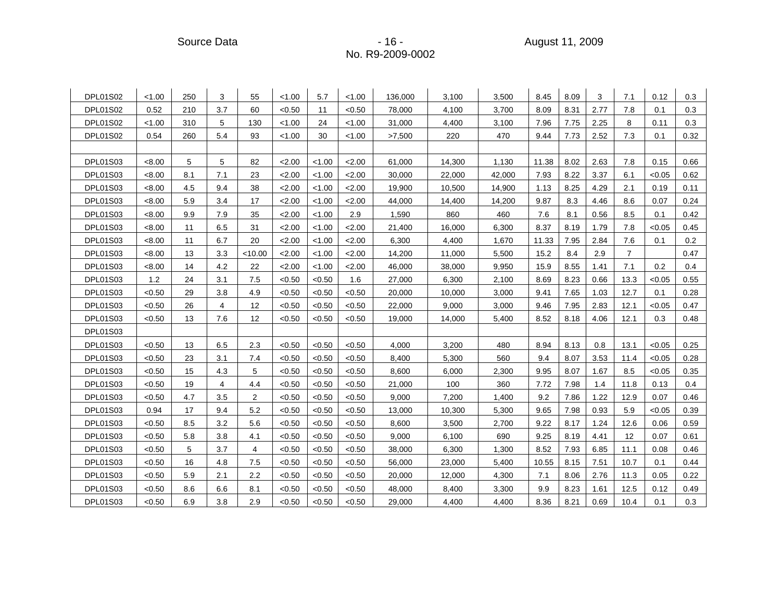Source Data - 16 - August 11, 2009 - 16 - August 11, 2009

| DPL01S02        | < 1.00 | 250 | 3   | 55      | < 1.00 | 5.7    | < 1.00 | 136,000 | 3,100  | 3,500  | 8.45  | 8.09 | 3    | 7.1            | 0.12   | 0.3  |
|-----------------|--------|-----|-----|---------|--------|--------|--------|---------|--------|--------|-------|------|------|----------------|--------|------|
| <b>DPL01S02</b> | 0.52   | 210 | 3.7 | 60      | < 0.50 | 11     | < 0.50 | 78,000  | 4,100  | 3,700  | 8.09  | 8.31 | 2.77 | 7.8            | 0.1    | 0.3  |
| DPL01S02        | < 1.00 | 310 | 5   | 130     | < 1.00 | 24     | < 1.00 | 31,000  | 4,400  | 3,100  | 7.96  | 7.75 | 2.25 | 8              | 0.11   | 0.3  |
| <b>DPL01S02</b> | 0.54   | 260 | 5.4 | 93      | < 1.00 | 30     | < 1.00 | >7,500  | 220    | 470    | 9.44  | 7.73 | 2.52 | 7.3            | 0.1    | 0.32 |
|                 |        |     |     |         |        |        |        |         |        |        |       |      |      |                |        |      |
| DPL01S03        | < 8.00 | 5   | 5   | 82      | 2.00   | < 1.00 | 2.00   | 61,000  | 14,300 | 1,130  | 11.38 | 8.02 | 2.63 | 7.8            | 0.15   | 0.66 |
| <b>DPL01S03</b> | < 8.00 | 8.1 | 7.1 | 23      | 2.00   | < 1.00 | 2.00   | 30,000  | 22,000 | 42,000 | 7.93  | 8.22 | 3.37 | 6.1            | < 0.05 | 0.62 |
| <b>DPL01S03</b> | < 8.00 | 4.5 | 9.4 | 38      | 2.00   | < 1.00 | 2.00   | 19,900  | 10,500 | 14,900 | 1.13  | 8.25 | 4.29 | 2.1            | 0.19   | 0.11 |
| DPL01S03        | <8.00  | 5.9 | 3.4 | 17      | 2.00   | < 1.00 | 2.00   | 44,000  | 14,400 | 14,200 | 9.87  | 8.3  | 4.46 | 8.6            | 0.07   | 0.24 |
| <b>DPL01S03</b> | < 8.00 | 9.9 | 7.9 | 35      | 2.00   | < 1.00 | 2.9    | 1,590   | 860    | 460    | 7.6   | 8.1  | 0.56 | 8.5            | 0.1    | 0.42 |
| <b>DPL01S03</b> | < 8.00 | 11  | 6.5 | 31      | 2.00   | < 1.00 | 2.00   | 21,400  | 16,000 | 6,300  | 8.37  | 8.19 | 1.79 | 7.8            | < 0.05 | 0.45 |
| DPL01S03        | < 8.00 | 11  | 6.7 | 20      | 2.00   | < 1.00 | 2.00   | 6,300   | 4,400  | 1,670  | 11.33 | 7.95 | 2.84 | 7.6            | 0.1    | 0.2  |
| DPL01S03        | < 8.00 | 13  | 3.3 | < 10.00 | 2.00   | < 1.00 | 2.00   | 14,200  | 11,000 | 5,500  | 15.2  | 8.4  | 2.9  | $\overline{7}$ |        | 0.47 |
| <b>DPL01S03</b> | < 8.00 | 14  | 4.2 | 22      | 2.00   | < 1.00 | 2.00   | 46,000  | 38,000 | 9,950  | 15.9  | 8.55 | 1.41 | 7.1            | 0.2    | 0.4  |
| DPL01S03        | 1.2    | 24  | 3.1 | 7.5     | < 0.50 | < 0.50 | 1.6    | 27,000  | 6,300  | 2,100  | 8.69  | 8.23 | 0.66 | 13.3           | < 0.05 | 0.55 |
| DPL01S03        | < 0.50 | 29  | 3.8 | 4.9     | < 0.50 | < 0.50 | < 0.50 | 20,000  | 10,000 | 3,000  | 9.41  | 7.65 | 1.03 | 12.7           | 0.1    | 0.28 |
| DPL01S03        | < 0.50 | 26  | 4   | 12      | < 0.50 | < 0.50 | < 0.50 | 22,000  | 9,000  | 3,000  | 9.46  | 7.95 | 2.83 | 12.1           | < 0.05 | 0.47 |
| DPL01S03        | < 0.50 | 13  | 7.6 | 12      | < 0.50 | < 0.50 | < 0.50 | 19,000  | 14,000 | 5,400  | 8.52  | 8.18 | 4.06 | 12.1           | 0.3    | 0.48 |
| DPL01S03        |        |     |     |         |        |        |        |         |        |        |       |      |      |                |        |      |
| DPL01S03        | < 0.50 | 13  | 6.5 | 2.3     | < 0.50 | < 0.50 | < 0.50 | 4,000   | 3,200  | 480    | 8.94  | 8.13 | 0.8  | 13.1           | < 0.05 | 0.25 |
| DPL01S03        | < 0.50 | 23  | 3.1 | 7.4     | < 0.50 | < 0.50 | < 0.50 | 8,400   | 5,300  | 560    | 9.4   | 8.07 | 3.53 | 11.4           | < 0.05 | 0.28 |
| DPL01S03        | < 0.50 | 15  | 4.3 | 5       | < 0.50 | < 0.50 | < 0.50 | 8,600   | 6,000  | 2,300  | 9.95  | 8.07 | 1.67 | 8.5            | < 0.05 | 0.35 |
| <b>DPL01S03</b> | < 0.50 | 19  | 4   | 4.4     | < 0.50 | < 0.50 | < 0.50 | 21,000  | 100    | 360    | 7.72  | 7.98 | 1.4  | 11.8           | 0.13   | 0.4  |
| DPL01S03        | < 0.50 | 4.7 | 3.5 | 2       | < 0.50 | < 0.50 | < 0.50 | 9,000   | 7,200  | 1,400  | 9.2   | 7.86 | 1.22 | 12.9           | 0.07   | 0.46 |
| DPL01S03        | 0.94   | 17  | 9.4 | 5.2     | < 0.50 | < 0.50 | < 0.50 | 13,000  | 10,300 | 5,300  | 9.65  | 7.98 | 0.93 | 5.9            | < 0.05 | 0.39 |
| <b>DPL01S03</b> | < 0.50 | 8.5 | 3.2 | 5.6     | < 0.50 | < 0.50 | < 0.50 | 8,600   | 3,500  | 2,700  | 9.22  | 8.17 | 1.24 | 12.6           | 0.06   | 0.59 |
| DPL01S03        | < 0.50 | 5.8 | 3.8 | 4.1     | < 0.50 | < 0.50 | < 0.50 | 9,000   | 6,100  | 690    | 9.25  | 8.19 | 4.41 | 12             | 0.07   | 0.61 |
| <b>DPL01S03</b> | < 0.50 | 5   | 3.7 | 4       | < 0.50 | <0.50  | < 0.50 | 38,000  | 6,300  | 1,300  | 8.52  | 7.93 | 6.85 | 11.1           | 0.08   | 0.46 |
| <b>DPL01S03</b> | < 0.50 | 16  | 4.8 | 7.5     | < 0.50 | < 0.50 | < 0.50 | 56,000  | 23,000 | 5,400  | 10.55 | 8.15 | 7.51 | 10.7           | 0.1    | 0.44 |
| DPL01S03        | < 0.50 | 5.9 | 2.1 | 2.2     | < 0.50 | < 0.50 | < 0.50 | 20,000  | 12,000 | 4,300  | 7.1   | 8.06 | 2.76 | 11.3           | 0.05   | 0.22 |
| DPL01S03        | < 0.50 | 8.6 | 6.6 | 8.1     | < 0.50 | < 0.50 | < 0.50 | 48,000  | 8,400  | 3,300  | 9.9   | 8.23 | 1.61 | 12.5           | 0.12   | 0.49 |
| <b>DPL01S03</b> | < 0.50 | 6.9 | 3.8 | 2.9     | < 0.50 | < 0.50 | < 0.50 | 29,000  | 4,400  | 4,400  | 8.36  | 8.21 | 0.69 | 10.4           | 0.1    | 0.3  |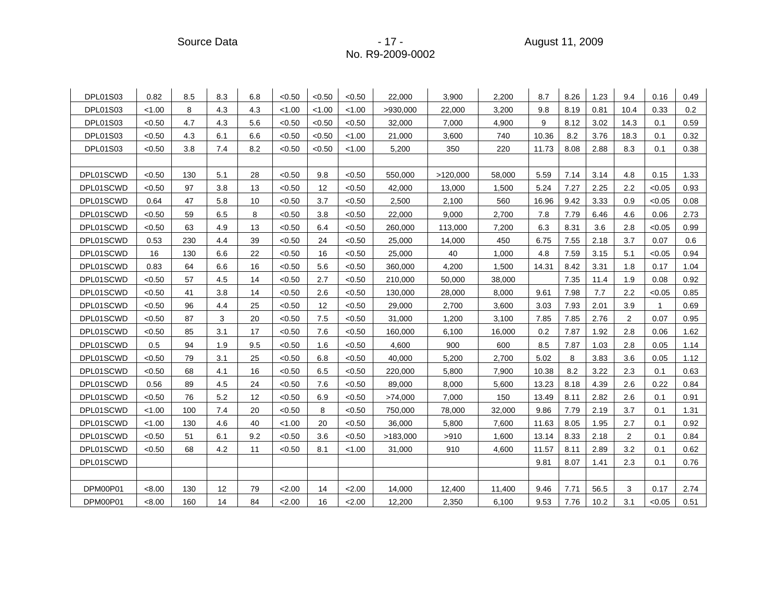Source Data - 17 - August 11, 2009

| <b>DPL01S03</b> | 0.82   | 8.5 | 8.3 | 6.8 | < 0.50 | < 0.50 | < 0.50 | 22,000   | 3,900    | 2,200  | 8.7   | 8.26 | 1.23 | 9.4  | 0.16         | 0.49 |
|-----------------|--------|-----|-----|-----|--------|--------|--------|----------|----------|--------|-------|------|------|------|--------------|------|
| <b>DPL01S03</b> | < 1.00 | 8   | 4.3 | 4.3 | < 1.00 | < 1.00 | < 1.00 | >930,000 | 22,000   | 3,200  | 9.8   | 8.19 | 0.81 | 10.4 | 0.33         | 0.2  |
| <b>DPL01S03</b> | < 0.50 | 4.7 | 4.3 | 5.6 | < 0.50 | < 0.50 | < 0.50 | 32,000   | 7,000    | 4,900  | 9     | 8.12 | 3.02 | 14.3 | 0.1          | 0.59 |
| <b>DPL01S03</b> | < 0.50 | 4.3 | 6.1 | 6.6 | < 0.50 | < 0.50 | < 1.00 | 21,000   | 3,600    | 740    | 10.36 | 8.2  | 3.76 | 18.3 | 0.1          | 0.32 |
| <b>DPL01S03</b> | < 0.50 | 3.8 | 7.4 | 8.2 | < 0.50 | < 0.50 | < 1.00 | 5,200    | 350      | 220    | 11.73 | 8.08 | 2.88 | 8.3  | 0.1          | 0.38 |
|                 |        |     |     |     |        |        |        |          |          |        |       |      |      |      |              |      |
| DPL01SCWD       | < 0.50 | 130 | 5.1 | 28  | < 0.50 | 9.8    | < 0.50 | 550,000  | >120,000 | 58,000 | 5.59  | 7.14 | 3.14 | 4.8  | 0.15         | 1.33 |
| DPL01SCWD       | < 0.50 | 97  | 3.8 | 13  | < 0.50 | 12     | < 0.50 | 42,000   | 13,000   | 1,500  | 5.24  | 7.27 | 2.25 | 2.2  | < 0.05       | 0.93 |
| DPL01SCWD       | 0.64   | 47  | 5.8 | 10  | < 0.50 | 3.7    | < 0.50 | 2,500    | 2,100    | 560    | 16.96 | 9.42 | 3.33 | 0.9  | < 0.05       | 0.08 |
| DPL01SCWD       | < 0.50 | 59  | 6.5 | 8   | < 0.50 | 3.8    | < 0.50 | 22,000   | 9,000    | 2,700  | 7.8   | 7.79 | 6.46 | 4.6  | 0.06         | 2.73 |
| DPL01SCWD       | < 0.50 | 63  | 4.9 | 13  | < 0.50 | 6.4    | < 0.50 | 260,000  | 113,000  | 7,200  | 6.3   | 8.31 | 3.6  | 2.8  | < 0.05       | 0.99 |
| DPL01SCWD       | 0.53   | 230 | 4.4 | 39  | < 0.50 | 24     | <0.50  | 25,000   | 14,000   | 450    | 6.75  | 7.55 | 2.18 | 3.7  | 0.07         | 0.6  |
| DPL01SCWD       | 16     | 130 | 6.6 | 22  | < 0.50 | 16     | < 0.50 | 25,000   | 40       | 1,000  | 4.8   | 7.59 | 3.15 | 5.1  | < 0.05       | 0.94 |
| DPL01SCWD       | 0.83   | 64  | 6.6 | 16  | < 0.50 | 5.6    | < 0.50 | 360,000  | 4,200    | 1,500  | 14.31 | 8.42 | 3.31 | 1.8  | 0.17         | 1.04 |
| DPL01SCWD       | < 0.50 | 57  | 4.5 | 14  | < 0.50 | 2.7    | <0.50  | 210,000  | 50,000   | 38,000 |       | 7.35 | 11.4 | 1.9  | 0.08         | 0.92 |
| DPL01SCWD       | < 0.50 | 41  | 3.8 | 14  | < 0.50 | 2.6    | < 0.50 | 130,000  | 28,000   | 8,000  | 9.61  | 7.98 | 7.7  | 2.2  | < 0.05       | 0.85 |
| DPL01SCWD       | < 0.50 | 96  | 4.4 | 25  | < 0.50 | 12     | < 0.50 | 29,000   | 2,700    | 3,600  | 3.03  | 7.93 | 2.01 | 3.9  | $\mathbf{1}$ | 0.69 |
| DPL01SCWD       | < 0.50 | 87  | 3   | 20  | < 0.50 | 7.5    | < 0.50 | 31,000   | 1,200    | 3,100  | 7.85  | 7.85 | 2.76 | 2    | 0.07         | 0.95 |
| DPL01SCWD       | < 0.50 | 85  | 3.1 | 17  | < 0.50 | 7.6    | < 0.50 | 160,000  | 6,100    | 16,000 | 0.2   | 7.87 | 1.92 | 2.8  | 0.06         | 1.62 |
| DPL01SCWD       | 0.5    | 94  | 1.9 | 9.5 | < 0.50 | 1.6    | < 0.50 | 4,600    | 900      | 600    | 8.5   | 7.87 | 1.03 | 2.8  | 0.05         | 1.14 |
| DPL01SCWD       | < 0.50 | 79  | 3.1 | 25  | < 0.50 | 6.8    | < 0.50 | 40,000   | 5,200    | 2,700  | 5.02  | 8    | 3.83 | 3.6  | 0.05         | 1.12 |
| DPL01SCWD       | < 0.50 | 68  | 4.1 | 16  | < 0.50 | 6.5    | < 0.50 | 220,000  | 5,800    | 7,900  | 10.38 | 8.2  | 3.22 | 2.3  | 0.1          | 0.63 |
| DPL01SCWD       | 0.56   | 89  | 4.5 | 24  | < 0.50 | 7.6    | < 0.50 | 89,000   | 8,000    | 5,600  | 13.23 | 8.18 | 4.39 | 2.6  | 0.22         | 0.84 |
| DPL01SCWD       | < 0.50 | 76  | 5.2 | 12  | < 0.50 | 6.9    | < 0.50 | >74,000  | 7,000    | 150    | 13.49 | 8.11 | 2.82 | 2.6  | 0.1          | 0.91 |
| DPL01SCWD       | < 1.00 | 100 | 7.4 | 20  | < 0.50 | 8      | < 0.50 | 750,000  | 78,000   | 32,000 | 9.86  | 7.79 | 2.19 | 3.7  | 0.1          | 1.31 |
| DPL01SCWD       | < 1.00 | 130 | 4.6 | 40  | < 1.00 | 20     | < 0.50 | 36,000   | 5,800    | 7,600  | 11.63 | 8.05 | 1.95 | 2.7  | 0.1          | 0.92 |
| DPL01SCWD       | < 0.50 | 51  | 6.1 | 9.2 | < 0.50 | 3.6    | < 0.50 | >183,000 | >910     | 1,600  | 13.14 | 8.33 | 2.18 | 2    | 0.1          | 0.84 |
| DPL01SCWD       | < 0.50 | 68  | 4.2 | 11  | < 0.50 | 8.1    | < 1.00 | 31,000   | 910      | 4,600  | 11.57 | 8.11 | 2.89 | 3.2  | 0.1          | 0.62 |
| DPL01SCWD       |        |     |     |     |        |        |        |          |          |        | 9.81  | 8.07 | 1.41 | 2.3  | 0.1          | 0.76 |
|                 |        |     |     |     |        |        |        |          |          |        |       |      |      |      |              |      |
| DPM00P01        | < 8.00 | 130 | 12  | 79  | 2.00   | 14     | 2.00   | 14,000   | 12,400   | 11,400 | 9.46  | 7.71 | 56.5 | 3    | 0.17         | 2.74 |
| DPM00P01        | < 8.00 | 160 | 14  | 84  | 2.00   | 16     | 2.00   | 12,200   | 2,350    | 6,100  | 9.53  | 7.76 | 10.2 | 3.1  | < 0.05       | 0.51 |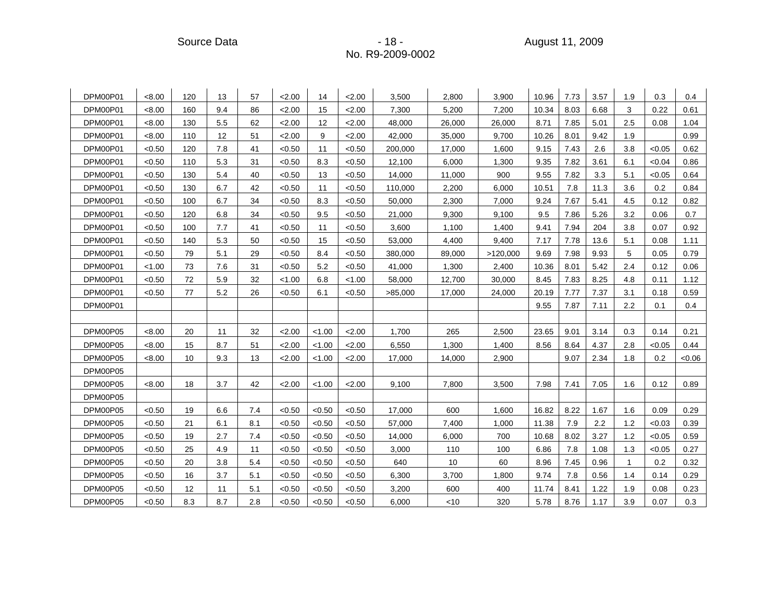| DPM00P01 | < 8.00 | 120 | 13  | 57  | 2.00   | 14     | 2.00   | 3,500   | 2,800  | 3,900    | 10.96 | 7.73 | 3.57 | 1.9 | 0.3    | 0.4   |
|----------|--------|-----|-----|-----|--------|--------|--------|---------|--------|----------|-------|------|------|-----|--------|-------|
| DPM00P01 | < 8.00 | 160 | 9.4 | 86  | 2.00   | 15     | 2.00   | 7,300   | 5,200  | 7,200    | 10.34 | 8.03 | 6.68 | 3   | 0.22   | 0.61  |
| DPM00P01 | < 8.00 | 130 | 5.5 | 62  | 2.00   | 12     | 2.00   | 48,000  | 26,000 | 26,000   | 8.71  | 7.85 | 5.01 | 2.5 | 0.08   | 1.04  |
| DPM00P01 | < 8.00 | 110 | 12  | 51  | 2.00   | 9      | 2.00   | 42,000  | 35,000 | 9,700    | 10.26 | 8.01 | 9.42 | 1.9 |        | 0.99  |
| DPM00P01 | < 0.50 | 120 | 7.8 | 41  | < 0.50 | 11     | < 0.50 | 200,000 | 17,000 | 1,600    | 9.15  | 7.43 | 2.6  | 3.8 | < 0.05 | 0.62  |
| DPM00P01 | < 0.50 | 110 | 5.3 | 31  | < 0.50 | 8.3    | < 0.50 | 12,100  | 6,000  | 1,300    | 9.35  | 7.82 | 3.61 | 6.1 | < 0.04 | 0.86  |
| DPM00P01 | < 0.50 | 130 | 5.4 | 40  | < 0.50 | 13     | < 0.50 | 14,000  | 11,000 | 900      | 9.55  | 7.82 | 3.3  | 5.1 | < 0.05 | 0.64  |
| DPM00P01 | < 0.50 | 130 | 6.7 | 42  | < 0.50 | 11     | < 0.50 | 110,000 | 2,200  | 6,000    | 10.51 | 7.8  | 11.3 | 3.6 | 0.2    | 0.84  |
| DPM00P01 | < 0.50 | 100 | 6.7 | 34  | < 0.50 | 8.3    | < 0.50 | 50,000  | 2,300  | 7,000    | 9.24  | 7.67 | 5.41 | 4.5 | 0.12   | 0.82  |
| DPM00P01 | < 0.50 | 120 | 6.8 | 34  | < 0.50 | 9.5    | < 0.50 | 21,000  | 9,300  | 9,100    | 9.5   | 7.86 | 5.26 | 3.2 | 0.06   | 0.7   |
| DPM00P01 | < 0.50 | 100 | 7.7 | 41  | < 0.50 | 11     | < 0.50 | 3,600   | 1,100  | 1,400    | 9.41  | 7.94 | 204  | 3.8 | 0.07   | 0.92  |
| DPM00P01 | < 0.50 | 140 | 5.3 | 50  | < 0.50 | 15     | < 0.50 | 53,000  | 4,400  | 9,400    | 7.17  | 7.78 | 13.6 | 5.1 | 0.08   | 1.11  |
| DPM00P01 | < 0.50 | 79  | 5.1 | 29  | < 0.50 | 8.4    | < 0.50 | 380,000 | 89,000 | >120,000 | 9.69  | 7.98 | 9.93 | 5   | 0.05   | 0.79  |
| DPM00P01 | < 1.00 | 73  | 7.6 | 31  | < 0.50 | 5.2    | < 0.50 | 41,000  | 1,300  | 2,400    | 10.36 | 8.01 | 5.42 | 2.4 | 0.12   | 0.06  |
| DPM00P01 | < 0.50 | 72  | 5.9 | 32  | < 1.00 | 6.8    | < 1.00 | 58,000  | 12,700 | 30,000   | 8.45  | 7.83 | 8.25 | 4.8 | 0.11   | 1.12  |
| DPM00P01 | < 0.50 | 77  | 5.2 | 26  | < 0.50 | 6.1    | < 0.50 | >85,000 | 17,000 | 24,000   | 20.19 | 7.77 | 7.37 | 3.1 | 0.18   | 0.59  |
| DPM00P01 |        |     |     |     |        |        |        |         |        |          | 9.55  | 7.87 | 7.11 | 2.2 | 0.1    | 0.4   |
|          |        |     |     |     |        |        |        |         |        |          |       |      |      |     |        |       |
| DPM00P05 | < 8.00 | 20  | 11  | 32  | 2.00   | < 1.00 | 2.00   | 1,700   | 265    | 2,500    | 23.65 | 9.01 | 3.14 | 0.3 | 0.14   | 0.21  |
| DPM00P05 | < 8.00 | 15  | 8.7 | 51  | 2.00   | < 1.00 | 2.00   | 6,550   | 1,300  | 1,400    | 8.56  | 8.64 | 4.37 | 2.8 | < 0.05 | 0.44  |
| DPM00P05 | < 8.00 | 10  | 9.3 | 13  | 2.00   | < 1.00 | 2.00   | 17,000  | 14,000 | 2,900    |       | 9.07 | 2.34 | 1.8 | 0.2    | <0.06 |
| DPM00P05 |        |     |     |     |        |        |        |         |        |          |       |      |      |     |        |       |
| DPM00P05 | < 8.00 | 18  | 3.7 | 42  | 2.00   | < 1.00 | 2.00   | 9,100   | 7,800  | 3,500    | 7.98  | 7.41 | 7.05 | 1.6 | 0.12   | 0.89  |
| DPM00P05 |        |     |     |     |        |        |        |         |        |          |       |      |      |     |        |       |
| DPM00P05 | < 0.50 | 19  | 6.6 | 7.4 | < 0.50 | < 0.50 | < 0.50 | 17,000  | 600    | 1.600    | 16.82 | 8.22 | 1.67 | 1.6 | 0.09   | 0.29  |
| DPM00P05 | < 0.50 | 21  | 6.1 | 8.1 | < 0.50 | < 0.50 | < 0.50 | 57,000  | 7,400  | 1,000    | 11.38 | 7.9  | 2.2  | 1.2 | < 0.03 | 0.39  |
| DPM00P05 | < 0.50 | 19  | 2.7 | 7.4 | < 0.50 | < 0.50 | < 0.50 | 14,000  | 6,000  | 700      | 10.68 | 8.02 | 3.27 | 1.2 | < 0.05 | 0.59  |
| DPM00P05 | < 0.50 | 25  | 4.9 | 11  | < 0.50 | < 0.50 | < 0.50 | 3,000   | 110    | 100      | 6.86  | 7.8  | 1.08 | 1.3 | < 0.05 | 0.27  |
| DPM00P05 | < 0.50 | 20  | 3.8 | 5.4 | < 0.50 | < 0.50 | < 0.50 | 640     | 10     | 60       | 8.96  | 7.45 | 0.96 |     | 0.2    | 0.32  |
| DPM00P05 | < 0.50 | 16  | 3.7 | 5.1 | < 0.50 | < 0.50 | < 0.50 | 6,300   | 3,700  | 1,800    | 9.74  | 7.8  | 0.56 | 1.4 | 0.14   | 0.29  |
| DPM00P05 | < 0.50 | 12  | 11  | 5.1 | < 0.50 | < 0.50 | < 0.50 | 3,200   | 600    | 400      | 11.74 | 8.41 | 1.22 | 1.9 | 0.08   | 0.23  |
| DPM00P05 | < 0.50 | 8.3 | 8.7 | 2.8 | < 0.50 | < 0.50 | < 0.50 | 6,000   | < 10   | 320      | 5.78  | 8.76 | 1.17 | 3.9 | 0.07   | 0.3   |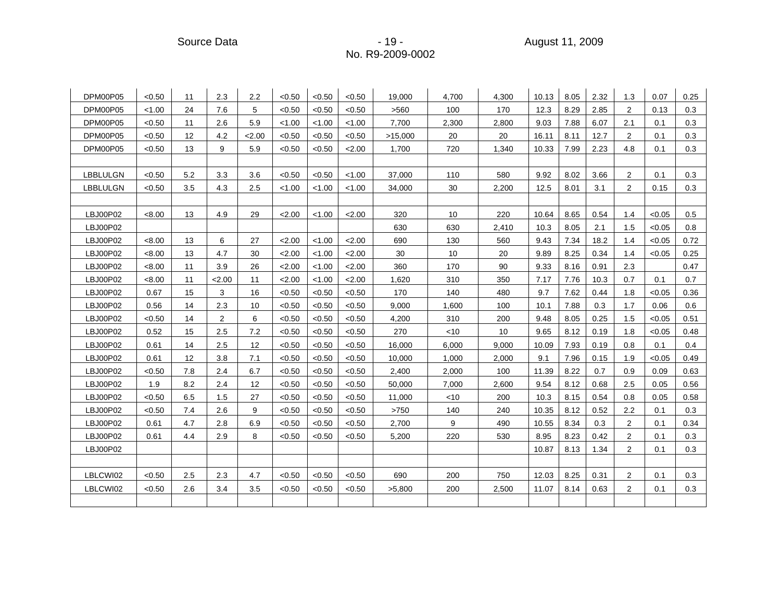| DPM00P05        | < 0.50 | 11  | 2.3            | 2.2  | < 0.50 | < 0.50 | < 0.50 | 19.000  | 4.700 | 4.300 | 10.13 | 8.05 | 2.32 | 1.3            | 0.07   | 0.25 |
|-----------------|--------|-----|----------------|------|--------|--------|--------|---------|-------|-------|-------|------|------|----------------|--------|------|
| DPM00P05        | < 1.00 | 24  | 7.6            | 5    | < 0.50 | < 0.50 | < 0.50 | >560    | 100   | 170   | 12.3  | 8.29 | 2.85 | 2              | 0.13   | 0.3  |
| DPM00P05        | < 0.50 | 11  | 2.6            | 5.9  | < 1.00 | < 1.00 | < 1.00 | 7,700   | 2,300 | 2,800 | 9.03  | 7.88 | 6.07 | 2.1            | 0.1    | 0.3  |
| DPM00P05        | < 0.50 | 12  | 4.2            | 2.00 | < 0.50 | < 0.50 | < 0.50 | >15,000 | 20    | 20    | 16.11 | 8.11 | 12.7 | 2              | 0.1    | 0.3  |
| DPM00P05        | < 0.50 | 13  | 9              | 5.9  | < 0.50 | < 0.50 | 2.00   | 1,700   | 720   | 1,340 | 10.33 | 7.99 | 2.23 | 4.8            | 0.1    | 0.3  |
|                 |        |     |                |      |        |        |        |         |       |       |       |      |      |                |        |      |
| <b>LBBLULGN</b> | < 0.50 | 5.2 | 3.3            | 3.6  | < 0.50 | < 0.50 | < 1.00 | 37,000  | 110   | 580   | 9.92  | 8.02 | 3.66 | 2              | 0.1    | 0.3  |
| LBBLULGN        | < 0.50 | 3.5 | 4.3            | 2.5  | < 1.00 | < 1.00 | < 1.00 | 34,000  | 30    | 2,200 | 12.5  | 8.01 | 3.1  | $\overline{2}$ | 0.15   | 0.3  |
|                 |        |     |                |      |        |        |        |         |       |       |       |      |      |                |        |      |
| LBJ00P02        | < 8.00 | 13  | 4.9            | 29   | 2.00   | < 1.00 | 2.00   | 320     | 10    | 220   | 10.64 | 8.65 | 0.54 | 1.4            | < 0.05 | 0.5  |
| LBJ00P02        |        |     |                |      |        |        |        | 630     | 630   | 2,410 | 10.3  | 8.05 | 2.1  | 1.5            | < 0.05 | 0.8  |
| LBJ00P02        | < 8.00 | 13  | 6              | 27   | 2.00   | < 1.00 | 2.00   | 690     | 130   | 560   | 9.43  | 7.34 | 18.2 | 1.4            | < 0.05 | 0.72 |
| LBJ00P02        | < 8.00 | 13  | 4.7            | 30   | 2.00   | < 1.00 | 2.00   | 30      | 10    | 20    | 9.89  | 8.25 | 0.34 | 1.4            | < 0.05 | 0.25 |
| LBJ00P02        | < 8.00 | 11  | 3.9            | 26   | 2.00   | < 1.00 | 2.00   | 360     | 170   | 90    | 9.33  | 8.16 | 0.91 | 2.3            |        | 0.47 |
| LBJ00P02        | < 8.00 | 11  | 2.00           | 11   | 2.00   | < 1.00 | 2.00   | 1,620   | 310   | 350   | 7.17  | 7.76 | 10.3 | 0.7            | 0.1    | 0.7  |
| LBJ00P02        | 0.67   | 15  | 3              | 16   | < 0.50 | < 0.50 | < 0.50 | 170     | 140   | 480   | 9.7   | 7.62 | 0.44 | 1.8            | < 0.05 | 0.36 |
| LBJ00P02        | 0.56   | 14  | 2.3            | 10   | < 0.50 | < 0.50 | <0.50  | 9,000   | 1,600 | 100   | 10.1  | 7.88 | 0.3  | 1.7            | 0.06   | 0.6  |
| LBJ00P02        | < 0.50 | 14  | $\overline{2}$ | 6    | < 0.50 | < 0.50 | < 0.50 | 4,200   | 310   | 200   | 9.48  | 8.05 | 0.25 | 1.5            | < 0.05 | 0.51 |
| LBJ00P02        | 0.52   | 15  | 2.5            | 7.2  | < 0.50 | < 0.50 | < 0.50 | 270     | < 10  | 10    | 9.65  | 8.12 | 0.19 | 1.8            | < 0.05 | 0.48 |
| LBJ00P02        | 0.61   | 14  | 2.5            | 12   | < 0.50 | < 0.50 | < 0.50 | 16,000  | 6,000 | 9,000 | 10.09 | 7.93 | 0.19 | 0.8            | 0.1    | 0.4  |
| LBJ00P02        | 0.61   | 12  | 3.8            | 7.1  | < 0.50 | < 0.50 | < 0.50 | 10,000  | 1,000 | 2,000 | 9.1   | 7.96 | 0.15 | 1.9            | < 0.05 | 0.49 |
| LBJ00P02        | < 0.50 | 7.8 | 2.4            | 6.7  | < 0.50 | < 0.50 | < 0.50 | 2,400   | 2,000 | 100   | 11.39 | 8.22 | 0.7  | 0.9            | 0.09   | 0.63 |
| LBJ00P02        | 1.9    | 8.2 | 2.4            | 12   | < 0.50 | < 0.50 | < 0.50 | 50,000  | 7,000 | 2,600 | 9.54  | 8.12 | 0.68 | 2.5            | 0.05   | 0.56 |
| LBJ00P02        | < 0.50 | 6.5 | 1.5            | 27   | < 0.50 | < 0.50 | < 0.50 | 11,000  | < 10  | 200   | 10.3  | 8.15 | 0.54 | 0.8            | 0.05   | 0.58 |
| LBJ00P02        | < 0.50 | 7.4 | 2.6            | 9    | < 0.50 | < 0.50 | < 0.50 | >750    | 140   | 240   | 10.35 | 8.12 | 0.52 | 2.2            | 0.1    | 0.3  |
| LBJ00P02        | 0.61   | 4.7 | 2.8            | 6.9  | < 0.50 | < 0.50 | < 0.50 | 2,700   | 9     | 490   | 10.55 | 8.34 | 0.3  | 2              | 0.1    | 0.34 |
| LBJ00P02        | 0.61   | 4.4 | 2.9            | 8    | < 0.50 | < 0.50 | < 0.50 | 5,200   | 220   | 530   | 8.95  | 8.23 | 0.42 | 2              | 0.1    | 0.3  |
| LBJ00P02        |        |     |                |      |        |        |        |         |       |       | 10.87 | 8.13 | 1.34 | $\overline{2}$ | 0.1    | 0.3  |
|                 |        |     |                |      |        |        |        |         |       |       |       |      |      |                |        |      |
| LBLCWI02        | < 0.50 | 2.5 | 2.3            | 4.7  | < 0.50 | < 0.50 | < 0.50 | 690     | 200   | 750   | 12.03 | 8.25 | 0.31 | 2              | 0.1    | 0.3  |
| LBLCWI02        | < 0.50 | 2.6 | 3.4            | 3.5  | < 0.50 | < 0.50 | < 0.50 | >5,800  | 200   | 2,500 | 11.07 | 8.14 | 0.63 | 2              | 0.1    | 0.3  |
|                 |        |     |                |      |        |        |        |         |       |       |       |      |      |                |        |      |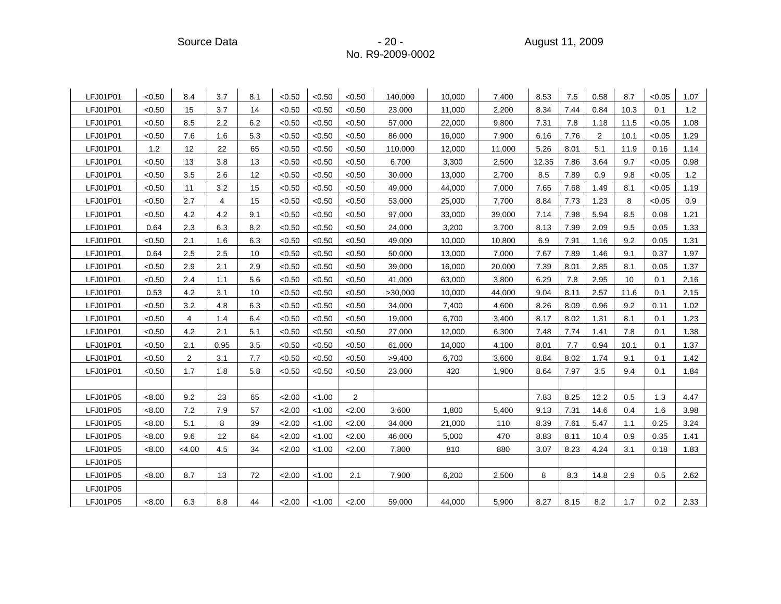| LFJ01P01 | < 0.50 | 8.4            | 3.7  | 8.1 | < 0.50 | < 0.50 | < 0.50 | 140,000 | 10,000 | 7,400  | 8.53  | 7.5  | 0.58           | 8.7  | < 0.05 | 1.07 |
|----------|--------|----------------|------|-----|--------|--------|--------|---------|--------|--------|-------|------|----------------|------|--------|------|
| LFJ01P01 | < 0.50 | 15             | 3.7  | 14  | < 0.50 | < 0.50 | < 0.50 | 23,000  | 11,000 | 2,200  | 8.34  | 7.44 | 0.84           | 10.3 | 0.1    | 1.2  |
| LFJ01P01 | < 0.50 | 8.5            | 2.2  | 6.2 | < 0.50 | < 0.50 | < 0.50 | 57,000  | 22,000 | 9,800  | 7.31  | 7.8  | 1.18           | 11.5 | < 0.05 | 1.08 |
| LFJ01P01 | < 0.50 | 7.6            | 1.6  | 5.3 | < 0.50 | < 0.50 | < 0.50 | 86,000  | 16,000 | 7,900  | 6.16  | 7.76 | $\overline{2}$ | 10.1 | < 0.05 | 1.29 |
| LFJ01P01 | 1.2    | 12             | 22   | 65  | < 0.50 | < 0.50 | < 0.50 | 110,000 | 12,000 | 11,000 | 5.26  | 8.01 | 5.1            | 11.9 | 0.16   | 1.14 |
| LFJ01P01 | < 0.50 | 13             | 3.8  | 13  | < 0.50 | < 0.50 | < 0.50 | 6,700   | 3,300  | 2,500  | 12.35 | 7.86 | 3.64           | 9.7  | < 0.05 | 0.98 |
| LFJ01P01 | < 0.50 | 3.5            | 2.6  | 12  | < 0.50 | < 0.50 | < 0.50 | 30,000  | 13,000 | 2,700  | 8.5   | 7.89 | 0.9            | 9.8  | < 0.05 | 1.2  |
| LFJ01P01 | < 0.50 | 11             | 3.2  | 15  | < 0.50 | < 0.50 | < 0.50 | 49,000  | 44,000 | 7,000  | 7.65  | 7.68 | 1.49           | 8.1  | < 0.05 | 1.19 |
| LFJ01P01 | < 0.50 | 2.7            | 4    | 15  | < 0.50 | < 0.50 | < 0.50 | 53,000  | 25,000 | 7,700  | 8.84  | 7.73 | 1.23           | 8    | < 0.05 | 0.9  |
| LFJ01P01 | < 0.50 | 4.2            | 4.2  | 9.1 | < 0.50 | < 0.50 | < 0.50 | 97,000  | 33,000 | 39,000 | 7.14  | 7.98 | 5.94           | 8.5  | 0.08   | 1.21 |
| LFJ01P01 | 0.64   | 2.3            | 6.3  | 8.2 | < 0.50 | < 0.50 | < 0.50 | 24,000  | 3,200  | 3,700  | 8.13  | 7.99 | 2.09           | 9.5  | 0.05   | 1.33 |
| LFJ01P01 | < 0.50 | 2.1            | 1.6  | 6.3 | < 0.50 | < 0.50 | < 0.50 | 49,000  | 10,000 | 10,800 | 6.9   | 7.91 | 1.16           | 9.2  | 0.05   | 1.31 |
| LFJ01P01 | 0.64   | 2.5            | 2.5  | 10  | < 0.50 | < 0.50 | <0.50  | 50,000  | 13,000 | 7,000  | 7.67  | 7.89 | 1.46           | 9.1  | 0.37   | 1.97 |
| LFJ01P01 | < 0.50 | 2.9            | 2.1  | 2.9 | < 0.50 | < 0.50 | < 0.50 | 39,000  | 16,000 | 20,000 | 7.39  | 8.01 | 2.85           | 8.1  | 0.05   | 1.37 |
| LFJ01P01 | < 0.50 | 2.4            | 1.1  | 5.6 | < 0.50 | < 0.50 | < 0.50 | 41,000  | 63,000 | 3,800  | 6.29  | 7.8  | 2.95           | 10   | 0.1    | 2.16 |
| LFJ01P01 | 0.53   | 4.2            | 3.1  | 10  | < 0.50 | < 0.50 | < 0.50 | >30,000 | 10,000 | 44,000 | 9.04  | 8.11 | 2.57           | 11.6 | 0.1    | 2.15 |
| LFJ01P01 | < 0.50 | 3.2            | 4.8  | 6.3 | <0.50  | < 0.50 | <0.50  | 34,000  | 7,400  | 4,600  | 8.26  | 8.09 | 0.96           | 9.2  | 0.11   | 1.02 |
| LFJ01P01 | < 0.50 | 4              | 1.4  | 6.4 | < 0.50 | < 0.50 | < 0.50 | 19,000  | 6,700  | 3,400  | 8.17  | 8.02 | 1.31           | 8.1  | 0.1    | 1.23 |
| LFJ01P01 | < 0.50 | 4.2            | 2.1  | 5.1 | < 0.50 | < 0.50 | < 0.50 | 27,000  | 12,000 | 6,300  | 7.48  | 7.74 | 1.41           | 7.8  | 0.1    | 1.38 |
| LFJ01P01 | < 0.50 | 2.1            | 0.95 | 3.5 | < 0.50 | < 0.50 | < 0.50 | 61,000  | 14,000 | 4,100  | 8.01  | 7.7  | 0.94           | 10.1 | 0.1    | 1.37 |
| LFJ01P01 | < 0.50 | $\overline{2}$ | 3.1  | 7.7 | < 0.50 | < 0.50 | < 0.50 | >9,400  | 6,700  | 3,600  | 8.84  | 8.02 | 1.74           | 9.1  | 0.1    | 1.42 |
| LFJ01P01 | < 0.50 | 1.7            | 1.8  | 5.8 | < 0.50 | < 0.50 | < 0.50 | 23,000  | 420    | 1,900  | 8.64  | 7.97 | 3.5            | 9.4  | 0.1    | 1.84 |
|          |        |                |      |     |        |        |        |         |        |        |       |      |                |      |        |      |
| LFJ01P05 | < 8.00 | 9.2            | 23   | 65  | 2.00   | < 1.00 | 2      |         |        |        | 7.83  | 8.25 | 12.2           | 0.5  | 1.3    | 4.47 |
| LFJ01P05 | < 8.00 | 7.2            | 7.9  | 57  | 2.00   | < 1.00 | 2.00   | 3,600   | 1,800  | 5,400  | 9.13  | 7.31 | 14.6           | 0.4  | 1.6    | 3.98 |
| LFJ01P05 | < 8.00 | 5.1            | 8    | 39  | 2.00   | < 1.00 | 2.00   | 34,000  | 21,000 | 110    | 8.39  | 7.61 | 5.47           | 1.1  | 0.25   | 3.24 |
| LFJ01P05 | <8.00  | 9.6            | 12   | 64  | 2.00   | < 1.00 | 2.00   | 46,000  | 5,000  | 470    | 8.83  | 8.11 | 10.4           | 0.9  | 0.35   | 1.41 |
| LFJ01P05 | < 8.00 | < 4.00         | 4.5  | 34  | 2.00   | < 1.00 | 2.00   | 7,800   | 810    | 880    | 3.07  | 8.23 | 4.24           | 3.1  | 0.18   | 1.83 |
| LFJ01P05 |        |                |      |     |        |        |        |         |        |        |       |      |                |      |        |      |
| LFJ01P05 | <8.00  | 8.7            | 13   | 72  | 2.00   | < 1.00 | 2.1    | 7,900   | 6,200  | 2,500  | 8     | 8.3  | 14.8           | 2.9  | 0.5    | 2.62 |
| LFJ01P05 |        |                |      |     |        |        |        |         |        |        |       |      |                |      |        |      |
| LFJ01P05 | < 8.00 | 6.3            | 8.8  | 44  | 2.00   | < 1.00 | < 2.00 | 59,000  | 44,000 | 5,900  | 8.27  | 8.15 | 8.2            | 1.7  | 0.2    | 2.33 |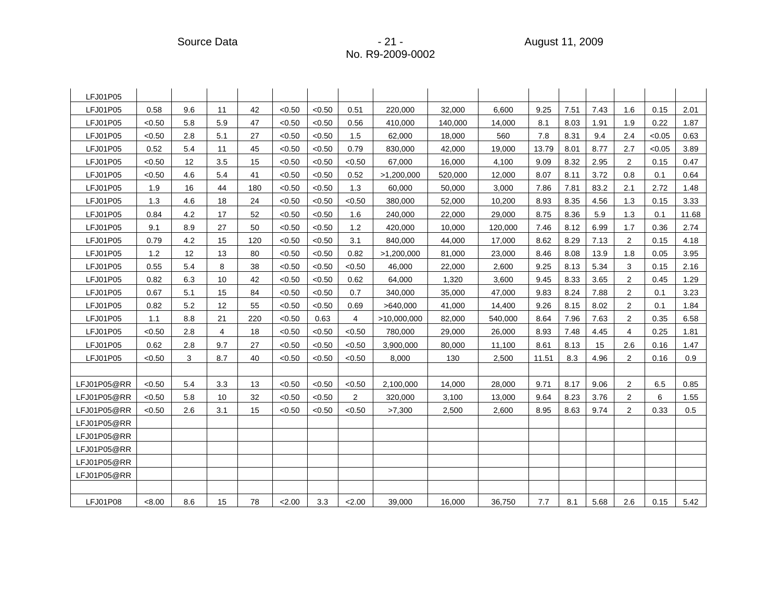| LFJ01P05    |        |     |                |     |        |        |                |             |         |         |       |      |      |                |        |       |
|-------------|--------|-----|----------------|-----|--------|--------|----------------|-------------|---------|---------|-------|------|------|----------------|--------|-------|
| LFJ01P05    | 0.58   | 9.6 | 11             | 42  | < 0.50 | < 0.50 | 0.51           | 220,000     | 32,000  | 6,600   | 9.25  | 7.51 | 7.43 | 1.6            | 0.15   | 2.01  |
| LFJ01P05    | < 0.50 | 5.8 | 5.9            | 47  | < 0.50 | < 0.50 | 0.56           | 410,000     | 140,000 | 14,000  | 8.1   | 8.03 | 1.91 | 1.9            | 0.22   | 1.87  |
| LFJ01P05    | < 0.50 | 2.8 | 5.1            | 27  | < 0.50 | < 0.50 | 1.5            | 62,000      | 18,000  | 560     | 7.8   | 8.31 | 9.4  | 2.4            | < 0.05 | 0.63  |
| LFJ01P05    | 0.52   | 5.4 | 11             | 45  | < 0.50 | < 0.50 | 0.79           | 830,000     | 42,000  | 19,000  | 13.79 | 8.01 | 8.77 | 2.7            | < 0.05 | 3.89  |
| LFJ01P05    | < 0.50 | 12  | 3.5            | 15  | < 0.50 | < 0.50 | < 0.50         | 67,000      | 16,000  | 4,100   | 9.09  | 8.32 | 2.95 | 2              | 0.15   | 0.47  |
| LFJ01P05    | < 0.50 | 4.6 | 5.4            | 41  | < 0.50 | < 0.50 | 0.52           | >1,200,000  | 520,000 | 12,000  | 8.07  | 8.11 | 3.72 | 0.8            | 0.1    | 0.64  |
| LFJ01P05    | 1.9    | 16  | 44             | 180 | < 0.50 | < 0.50 | 1.3            | 60,000      | 50,000  | 3,000   | 7.86  | 7.81 | 83.2 | 2.1            | 2.72   | 1.48  |
| LFJ01P05    | 1.3    | 4.6 | 18             | 24  | < 0.50 | < 0.50 | <0.50          | 380,000     | 52,000  | 10,200  | 8.93  | 8.35 | 4.56 | 1.3            | 0.15   | 3.33  |
| LFJ01P05    | 0.84   | 4.2 | 17             | 52  | < 0.50 | < 0.50 | 1.6            | 240,000     | 22,000  | 29,000  | 8.75  | 8.36 | 5.9  | 1.3            | 0.1    | 11.68 |
| LFJ01P05    | 9.1    | 8.9 | 27             | 50  | < 0.50 | < 0.50 | 1.2            | 420,000     | 10,000  | 120,000 | 7.46  | 8.12 | 6.99 | 1.7            | 0.36   | 2.74  |
| LFJ01P05    | 0.79   | 4.2 | 15             | 120 | < 0.50 | < 0.50 | 3.1            | 840,000     | 44,000  | 17,000  | 8.62  | 8.29 | 7.13 | 2              | 0.15   | 4.18  |
| LFJ01P05    | 1.2    | 12  | 13             | 80  | < 0.50 | < 0.50 | 0.82           | >1,200,000  | 81,000  | 23,000  | 8.46  | 8.08 | 13.9 | 1.8            | 0.05   | 3.95  |
| LFJ01P05    | 0.55   | 5.4 | 8              | 38  | < 0.50 | < 0.50 | < 0.50         | 46,000      | 22,000  | 2,600   | 9.25  | 8.13 | 5.34 | 3              | 0.15   | 2.16  |
| LFJ01P05    | 0.82   | 6.3 | 10             | 42  | < 0.50 | < 0.50 | 0.62           | 64,000      | 1,320   | 3,600   | 9.45  | 8.33 | 3.65 | 2              | 0.45   | 1.29  |
| LFJ01P05    | 0.67   | 5.1 | 15             | 84  | < 0.50 | < 0.50 | 0.7            | 340,000     | 35,000  | 47,000  | 9.83  | 8.24 | 7.88 | 2              | 0.1    | 3.23  |
| LFJ01P05    | 0.82   | 5.2 | 12             | 55  | < 0.50 | < 0.50 | 0.69           | >640,000    | 41,000  | 14,400  | 9.26  | 8.15 | 8.02 | 2              | 0.1    | 1.84  |
| LFJ01P05    | 1.1    | 8.8 | 21             | 220 | < 0.50 | 0.63   | 4              | >10,000,000 | 82,000  | 540,000 | 8.64  | 7.96 | 7.63 | 2              | 0.35   | 6.58  |
| LFJ01P05    | < 0.50 | 2.8 | $\overline{4}$ | 18  | < 0.50 | < 0.50 | < 0.50         | 780,000     | 29,000  | 26,000  | 8.93  | 7.48 | 4.45 | 4              | 0.25   | 1.81  |
| LFJ01P05    | 0.62   | 2.8 | 9.7            | 27  | < 0.50 | < 0.50 | < 0.50         | 3,900,000   | 80,000  | 11,100  | 8.61  | 8.13 | 15   | 2.6            | 0.16   | 1.47  |
| LFJ01P05    | < 0.50 | 3   | 8.7            | 40  | < 0.50 | < 0.50 | < 0.50         | 8,000       | 130     | 2,500   | 11.51 | 8.3  | 4.96 | 2              | 0.16   | 0.9   |
|             |        |     |                |     |        |        |                |             |         |         |       |      |      |                |        |       |
| LFJ01P05@RR | < 0.50 | 5.4 | 3.3            | 13  | < 0.50 | < 0.50 | < 0.50         | 2,100,000   | 14.000  | 28,000  | 9.71  | 8.17 | 9.06 | $\overline{2}$ | 6.5    | 0.85  |
| LFJ01P05@RR | < 0.50 | 5.8 | 10             | 32  | < 0.50 | < 0.50 | $\overline{2}$ | 320,000     | 3,100   | 13,000  | 9.64  | 8.23 | 3.76 | 2              | 6      | 1.55  |
| LFJ01P05@RR | < 0.50 | 2.6 | 3.1            | 15  | < 0.50 | < 0.50 | < 0.50         | >7,300      | 2,500   | 2,600   | 8.95  | 8.63 | 9.74 | 2              | 0.33   | 0.5   |
| LFJ01P05@RR |        |     |                |     |        |        |                |             |         |         |       |      |      |                |        |       |
| LFJ01P05@RR |        |     |                |     |        |        |                |             |         |         |       |      |      |                |        |       |
| LFJ01P05@RR |        |     |                |     |        |        |                |             |         |         |       |      |      |                |        |       |
| LFJ01P05@RR |        |     |                |     |        |        |                |             |         |         |       |      |      |                |        |       |
| LFJ01P05@RR |        |     |                |     |        |        |                |             |         |         |       |      |      |                |        |       |
|             |        |     |                |     |        |        |                |             |         |         |       |      |      |                |        |       |
| LFJ01P08    | < 8.00 | 8.6 | 15             | 78  | 2.00   | 3.3    | < 2.00         | 39,000      | 16,000  | 36,750  | 7.7   | 8.1  | 5.68 | 2.6            | 0.15   | 5.42  |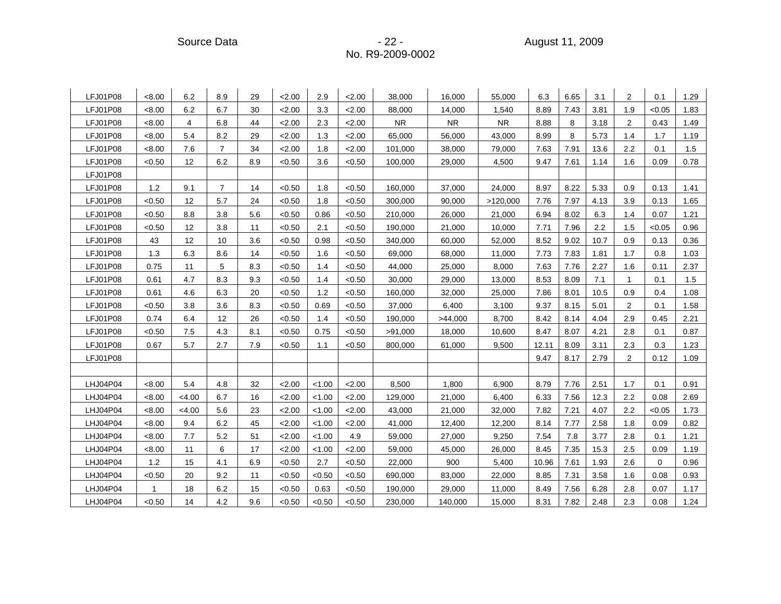Source Data - 22 - August 11, 2009

| LFJ01P08 | <8.00  | 6.2            | 8.9            | 29  | 2.00   | 2.9    | 2.00   | 38,000    | 16,000    | 55,000    | 6.3   | 6.65 | 3.1  | $\overline{2}$ | 0.1      | 1.29 |
|----------|--------|----------------|----------------|-----|--------|--------|--------|-----------|-----------|-----------|-------|------|------|----------------|----------|------|
| LFJ01P08 | < 8.00 | 6.2            | 6.7            | 30  | 2.00   | 3.3    | 2.00   | 88.000    | 14.000    | 1,540     | 8.89  | 7.43 | 3.81 | 1.9            | < 0.05   | 1.83 |
| LFJ01P08 | < 8.00 | $\overline{4}$ | 6.8            | 44  | 2.00   | 2.3    | 2.00   | <b>NR</b> | <b>NR</b> | <b>NR</b> | 8.88  | 8    | 3.18 | 2              | 0.43     | 1.49 |
| LFJ01P08 | < 8.00 | 5.4            | 8.2            | 29  | 2.00   | 1.3    | 2.00   | 65,000    | 56,000    | 43,000    | 8.99  | 8    | 5.73 | 1.4            | 1.7      | 1.19 |
| LFJ01P08 | < 8.00 | 7.6            | $\overline{7}$ | 34  | 2.00   | 1.8    | 2.00   | 101,000   | 38,000    | 79,000    | 7.63  | 7.91 | 13.6 | 2.2            | 0.1      | 1.5  |
| LFJ01P08 | < 0.50 | 12             | 6.2            | 8.9 | < 0.50 | 3.6    | < 0.50 | 100,000   | 29,000    | 4,500     | 9.47  | 7.61 | 1.14 | 1.6            | 0.09     | 0.78 |
| LFJ01P08 |        |                |                |     |        |        |        |           |           |           |       |      |      |                |          |      |
| LFJ01P08 | 1.2    | 9.1            | $\overline{7}$ | 14  | < 0.50 | 1.8    | < 0.50 | 160.000   | 37.000    | 24.000    | 8.97  | 8.22 | 5.33 | 0.9            | 0.13     | 1.41 |
| LFJ01P08 | < 0.50 | 12             | 5.7            | 24  | < 0.50 | 1.8    | < 0.50 | 300,000   | 90,000    | >120,000  | 7.76  | 7.97 | 4.13 | 3.9            | 0.13     | 1.65 |
| LFJ01P08 | < 0.50 | 8.8            | 3.8            | 5.6 | < 0.50 | 0.86   | < 0.50 | 210,000   | 26,000    | 21,000    | 6.94  | 8.02 | 6.3  | 1.4            | 0.07     | 1.21 |
| LFJ01P08 | < 0.50 | 12             | 3.8            | 11  | < 0.50 | 2.1    | < 0.50 | 190,000   | 21,000    | 10,000    | 7.71  | 7.96 | 2.2  | 1.5            | < 0.05   | 0.96 |
| LFJ01P08 | 43     | 12             | 10             | 3.6 | < 0.50 | 0.98   | < 0.50 | 340,000   | 60,000    | 52,000    | 8.52  | 9.02 | 10.7 | 0.9            | 0.13     | 0.36 |
| LFJ01P08 | 1.3    | 6.3            | 8.6            | 14  | < 0.50 | 1.6    | < 0.50 | 69,000    | 68,000    | 11,000    | 7.73  | 7.83 | 1.81 | 1.7            | 0.8      | 1.03 |
| LFJ01P08 | 0.75   | 11             | 5              | 8.3 | < 0.50 | 1.4    | < 0.50 | 44,000    | 25,000    | 8,000     | 7.63  | 7.76 | 2.27 | 1.6            | 0.11     | 2.37 |
| LFJ01P08 | 0.61   | 4.7            | 8.3            | 9.3 | < 0.50 | 1.4    | < 0.50 | 30,000    | 29,000    | 13,000    | 8.53  | 8.09 | 7.1  | $\mathbf{1}$   | 0.1      | 1.5  |
| LFJ01P08 | 0.61   | 4.6            | 6.3            | 20  | < 0.50 | 1.2    | < 0.50 | 160,000   | 32,000    | 25,000    | 7.86  | 8.01 | 10.5 | 0.9            | 0.4      | 1.08 |
| LFJ01P08 | < 0.50 | 3.8            | 3.6            | 8.3 | < 0.50 | 0.69   | < 0.50 | 37,000    | 6.400     | 3,100     | 9.37  | 8.15 | 5.01 | 2              | 0.1      | 1.58 |
| LFJ01P08 | 0.74   | 6.4            | 12             | 26  | < 0.50 | 1.4    | < 0.50 | 190,000   | >44,000   | 8,700     | 8.42  | 8.14 | 4.04 | 2.9            | 0.45     | 2.21 |
| LFJ01P08 | < 0.50 | 7.5            | 4.3            | 8.1 | < 0.50 | 0.75   | < 0.50 | >91,000   | 18,000    | 10,600    | 8.47  | 8.07 | 4.21 | 2.8            | 0.1      | 0.87 |
| LFJ01P08 | 0.67   | 5.7            | 2.7            | 7.9 | < 0.50 | 1.1    | < 0.50 | 800,000   | 61,000    | 9,500     | 12.11 | 8.09 | 3.11 | 2.3            | 0.3      | 1.23 |
| LFJ01P08 |        |                |                |     |        |        |        |           |           |           | 9.47  | 8.17 | 2.79 | $\mathbf{2}$   | 0.12     | 1.09 |
|          |        |                |                |     |        |        |        |           |           |           |       |      |      |                |          |      |
| LHJ04P04 | < 8.00 | 5.4            | 4.8            | 32  | 2.00   | < 1.00 | 2.00   | 8.500     | 1.800     | 6,900     | 8.79  | 7.76 | 2.51 | 1.7            | 0.1      | 0.91 |
| LHJ04P04 | < 8.00 | <4.00          | 6.7            | 16  | 2.00   | < 1.00 | 2.00   | 129,000   | 21.000    | 6,400     | 6.33  | 7.56 | 12.3 | 2.2            | 0.08     | 2.69 |
| LHJ04P04 | <8.00  | < 4.00         | 5.6            | 23  | 2.00   | < 1.00 | 2.00   | 43,000    | 21,000    | 32,000    | 7.82  | 7.21 | 4.07 | 2.2            | < 0.05   | 1.73 |
| LHJ04P04 | <8.00  | 9.4            | 6.2            | 45  | 2.00   | < 1.00 | 2.00   | 41,000    | 12,400    | 12,200    | 8.14  | 7.77 | 2.58 | 1.8            | 0.09     | 0.82 |
| LHJ04P04 | <8.00  | 7.7            | 5.2            | 51  | 2.00   | < 1.00 | 4.9    | 59,000    | 27,000    | 9,250     | 7.54  | 7.8  | 3.77 | 2.8            | 0.1      | 1.21 |
| LHJ04P04 | < 8.00 | 11             | 6              | 17  | 2.00   | < 1.00 | 2.00   | 59,000    | 45,000    | 26,000    | 8.45  | 7.35 | 15.3 | 2.5            | 0.09     | 1.19 |
| LHJ04P04 | 1.2    | 15             | 4.1            | 6.9 | < 0.50 | 2.7    | < 0.50 | 22,000    | 900       | 5,400     | 10.96 | 7.61 | 1.93 | 2.6            | $\Omega$ | 0.96 |
| LHJ04P04 | < 0.50 | 20             | 9.2            | 11  | < 0.50 | < 0.50 | < 0.50 | 690,000   | 83,000    | 22,000    | 8.85  | 7.31 | 3.58 | 1.6            | 0.08     | 0.93 |
| LHJ04P04 | 1      | 18             | 6.2            | 15  | < 0.50 | 0.63   | < 0.50 | 190,000   | 29,000    | 11,000    | 8.49  | 7.56 | 6.28 | 2.8            | 0.07     | 1.17 |
| LHJ04P04 | < 0.50 | 14             | 4.2            | 9.6 | < 0.50 | < 0.50 | < 0.50 | 230,000   | 140,000   | 15,000    | 8.31  | 7.82 | 2.48 | 2.3            | 0.08     | 1.24 |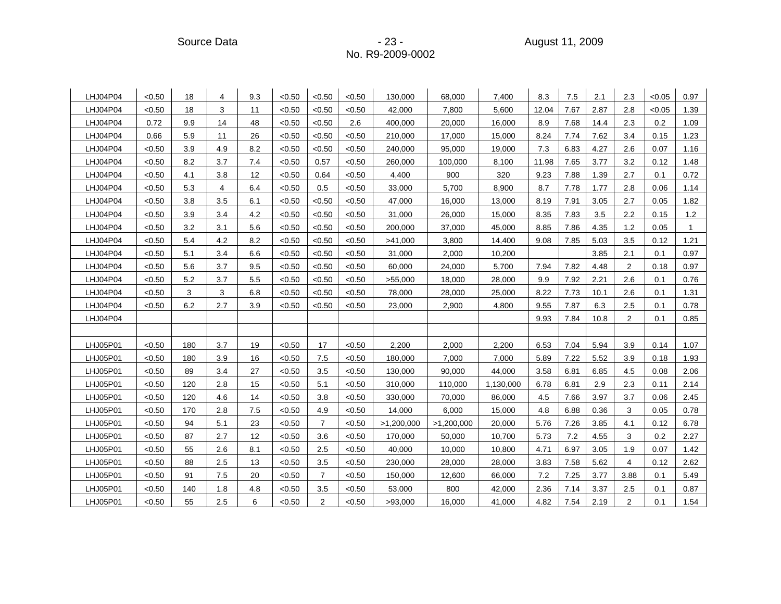| LHJ04P04 | < 0.50 | 18  | 4   | 9.3 | < 0.50 | < 0.50         | < 0.50 | 130.000    | 68.000     | 7.400     | 8.3   | 7.5  | 2.1  | 2.3            | < 0.05 | 0.97 |
|----------|--------|-----|-----|-----|--------|----------------|--------|------------|------------|-----------|-------|------|------|----------------|--------|------|
| LHJ04P04 | < 0.50 | 18  | 3   | 11  | < 0.50 | < 0.50         | < 0.50 | 42,000     | 7,800      | 5,600     | 12.04 | 7.67 | 2.87 | 2.8            | < 0.05 | 1.39 |
| LHJ04P04 | 0.72   | 9.9 | 14  | 48  | < 0.50 | < 0.50         | 2.6    | 400,000    | 20,000     | 16,000    | 8.9   | 7.68 | 14.4 | 2.3            | 0.2    | 1.09 |
| LHJ04P04 | 0.66   | 5.9 | 11  | 26  | < 0.50 | < 0.50         | < 0.50 | 210,000    | 17,000     | 15,000    | 8.24  | 7.74 | 7.62 | 3.4            | 0.15   | 1.23 |
| LHJ04P04 | < 0.50 | 3.9 | 4.9 | 8.2 | < 0.50 | < 0.50         | < 0.50 | 240,000    | 95,000     | 19,000    | 7.3   | 6.83 | 4.27 | 2.6            | 0.07   | 1.16 |
| LHJ04P04 | < 0.50 | 8.2 | 3.7 | 7.4 | < 0.50 | 0.57           | < 0.50 | 260,000    | 100,000    | 8,100     | 11.98 | 7.65 | 3.77 | 3.2            | 0.12   | 1.48 |
| LHJ04P04 | < 0.50 | 4.1 | 3.8 | 12  | < 0.50 | 0.64           | < 0.50 | 4,400      | 900        | 320       | 9.23  | 7.88 | 1.39 | 2.7            | 0.1    | 0.72 |
| LHJ04P04 | < 0.50 | 5.3 | 4   | 6.4 | < 0.50 | 0.5            | < 0.50 | 33,000     | 5,700      | 8,900     | 8.7   | 7.78 | 1.77 | 2.8            | 0.06   | 1.14 |
| LHJ04P04 | < 0.50 | 3.8 | 3.5 | 6.1 | < 0.50 | < 0.50         | < 0.50 | 47,000     | 16,000     | 13,000    | 8.19  | 7.91 | 3.05 | 2.7            | 0.05   | 1.82 |
| LHJ04P04 | < 0.50 | 3.9 | 3.4 | 4.2 | < 0.50 | < 0.50         | < 0.50 | 31,000     | 26,000     | 15,000    | 8.35  | 7.83 | 3.5  | 2.2            | 0.15   | 1.2  |
| LHJ04P04 | < 0.50 | 3.2 | 3.1 | 5.6 | < 0.50 | < 0.50         | < 0.50 | 200,000    | 37,000     | 45,000    | 8.85  | 7.86 | 4.35 | 1.2            | 0.05   |      |
| LHJ04P04 | < 0.50 | 5.4 | 4.2 | 8.2 | < 0.50 | < 0.50         | < 0.50 | >41,000    | 3,800      | 14,400    | 9.08  | 7.85 | 5.03 | 3.5            | 0.12   | 1.21 |
| LHJ04P04 | < 0.50 | 5.1 | 3.4 | 6.6 | < 0.50 | < 0.50         | < 0.50 | 31,000     | 2,000      | 10,200    |       |      | 3.85 | 2.1            | 0.1    | 0.97 |
| LHJ04P04 | < 0.50 | 5.6 | 3.7 | 9.5 | < 0.50 | < 0.50         | < 0.50 | 60,000     | 24,000     | 5,700     | 7.94  | 7.82 | 4.48 | 2              | 0.18   | 0.97 |
| LHJ04P04 | < 0.50 | 5.2 | 3.7 | 5.5 | < 0.50 | < 0.50         | < 0.50 | >55,000    | 18,000     | 28,000    | 9.9   | 7.92 | 2.21 | 2.6            | 0.1    | 0.76 |
| LHJ04P04 | < 0.50 | 3   | 3   | 6.8 | < 0.50 | < 0.50         | < 0.50 | 78,000     | 28,000     | 25,000    | 8.22  | 7.73 | 10.1 | 2.6            | 0.1    | 1.31 |
| LHJ04P04 | < 0.50 | 6.2 | 2.7 | 3.9 | < 0.50 | < 0.50         | < 0.50 | 23,000     | 2,900      | 4,800     | 9.55  | 7.87 | 6.3  | 2.5            | 0.1    | 0.78 |
| LHJ04P04 |        |     |     |     |        |                |        |            |            |           | 9.93  | 7.84 | 10.8 | $\overline{2}$ | 0.1    | 0.85 |
|          |        |     |     |     |        |                |        |            |            |           |       |      |      |                |        |      |
| LHJ05P01 | < 0.50 | 180 | 3.7 | 19  | < 0.50 | 17             | < 0.50 | 2,200      | 2,000      | 2,200     | 6.53  | 7.04 | 5.94 | 3.9            | 0.14   | 1.07 |
| LHJ05P01 | < 0.50 | 180 | 3.9 | 16  | < 0.50 | 7.5            | < 0.50 | 180,000    | 7,000      | 7,000     | 5.89  | 7.22 | 5.52 | 3.9            | 0.18   | 1.93 |
| LHJ05P01 | < 0.50 | 89  | 3.4 | 27  | < 0.50 | 3.5            | < 0.50 | 130.000    | 90.000     | 44,000    | 3.58  | 6.81 | 6.85 | 4.5            | 0.08   | 2.06 |
| LHJ05P01 | < 0.50 | 120 | 2.8 | 15  | < 0.50 | 5.1            | < 0.50 | 310,000    | 110,000    | 1,130,000 | 6.78  | 6.81 | 2.9  | 2.3            | 0.11   | 2.14 |
| LHJ05P01 | < 0.50 | 120 | 4.6 | 14  | < 0.50 | 3.8            | < 0.50 | 330,000    | 70,000     | 86,000    | 4.5   | 7.66 | 3.97 | 3.7            | 0.06   | 2.45 |
| LHJ05P01 | < 0.50 | 170 | 2.8 | 7.5 | < 0.50 | 4.9            | < 0.50 | 14,000     | 6,000      | 15,000    | 4.8   | 6.88 | 0.36 | 3              | 0.05   | 0.78 |
| LHJ05P01 | < 0.50 | 94  | 5.1 | 23  | < 0.50 | $\overline{7}$ | < 0.50 | >1,200,000 | >1,200,000 | 20,000    | 5.76  | 7.26 | 3.85 | 4.1            | 0.12   | 6.78 |
| LHJ05P01 | < 0.50 | 87  | 2.7 | 12  | < 0.50 | 3.6            | < 0.50 | 170,000    | 50,000     | 10,700    | 5.73  | 7.2  | 4.55 | 3              | 0.2    | 2.27 |
| LHJ05P01 | < 0.50 | 55  | 2.6 | 8.1 | < 0.50 | 2.5            | < 0.50 | 40,000     | 10,000     | 10,800    | 4.71  | 6.97 | 3.05 | 1.9            | 0.07   | 1.42 |
| LHJ05P01 | < 0.50 | 88  | 2.5 | 13  | < 0.50 | 3.5            | < 0.50 | 230,000    | 28,000     | 28,000    | 3.83  | 7.58 | 5.62 | $\overline{4}$ | 0.12   | 2.62 |
| LHJ05P01 | < 0.50 | 91  | 7.5 | 20  | < 0.50 | $\overline{7}$ | < 0.50 | 150,000    | 12,600     | 66,000    | 7.2   | 7.25 | 3.77 | 3.88           | 0.1    | 5.49 |
| LHJ05P01 | < 0.50 | 140 | 1.8 | 4.8 | < 0.50 | 3.5            | < 0.50 | 53,000     | 800        | 42,000    | 2.36  | 7.14 | 3.37 | 2.5            | 0.1    | 0.87 |
| LHJ05P01 | < 0.50 | 55  | 2.5 | 6   | < 0.50 | $\overline{2}$ | < 0.50 | >93,000    | 16,000     | 41,000    | 4.82  | 7.54 | 2.19 | $\overline{2}$ | 0.1    | 1.54 |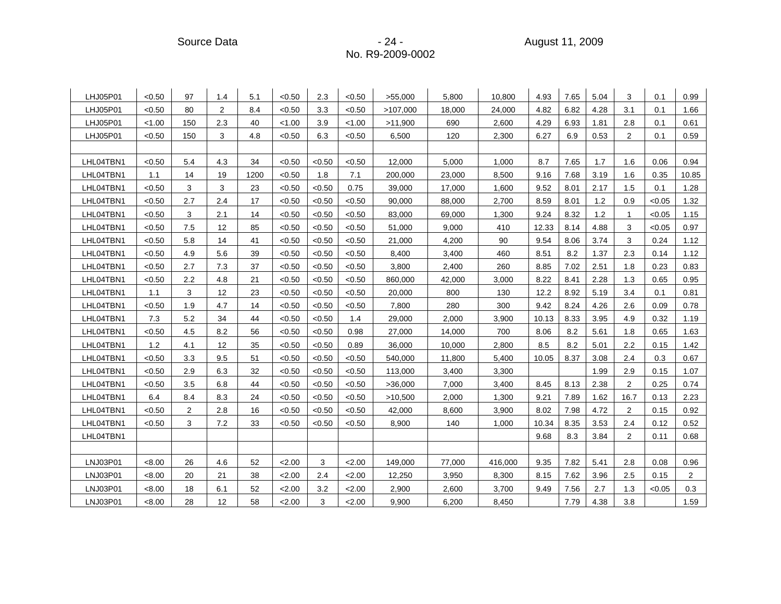Source Data - 24 - August 11, 2009

| LHJ05P01  | < 0.50 | 97  | 1.4            | 5.1  | < 0.50 | 2.3    | < 0.50 | >55,000  | 5,800  | 10,800  | 4.93  | 7.65 | 5.04 | 3              | 0.1    | 0.99           |
|-----------|--------|-----|----------------|------|--------|--------|--------|----------|--------|---------|-------|------|------|----------------|--------|----------------|
| LHJ05P01  | < 0.50 | 80  | $\overline{2}$ | 8.4  | < 0.50 | 3.3    | < 0.50 | >107,000 | 18,000 | 24,000  | 4.82  | 6.82 | 4.28 | 3.1            | 0.1    | 1.66           |
| LHJ05P01  | < 1.00 | 150 | 2.3            | 40   | < 1.00 | 3.9    | < 1.00 | >11,900  | 690    | 2,600   | 4.29  | 6.93 | 1.81 | 2.8            | 0.1    | 0.61           |
| LHJ05P01  | < 0.50 | 150 | 3              | 4.8  | < 0.50 | 6.3    | < 0.50 | 6,500    | 120    | 2,300   | 6.27  | 6.9  | 0.53 | $\overline{c}$ | 0.1    | 0.59           |
|           |        |     |                |      |        |        |        |          |        |         |       |      |      |                |        |                |
| LHL04TBN1 | < 0.50 | 5.4 | 4.3            | 34   | < 0.50 | < 0.50 | < 0.50 | 12,000   | 5,000  | 1,000   | 8.7   | 7.65 | 1.7  | 1.6            | 0.06   | 0.94           |
| LHL04TBN1 | 1.1    | 14  | 19             | 1200 | < 0.50 | 1.8    | 7.1    | 200,000  | 23,000 | 8,500   | 9.16  | 7.68 | 3.19 | 1.6            | 0.35   | 10.85          |
| LHL04TBN1 | < 0.50 | 3   | 3              | 23   | < 0.50 | < 0.50 | 0.75   | 39,000   | 17,000 | 1,600   | 9.52  | 8.01 | 2.17 | 1.5            | 0.1    | 1.28           |
| LHL04TBN1 | < 0.50 | 2.7 | 2.4            | 17   | < 0.50 | < 0.50 | < 0.50 | 90,000   | 88,000 | 2,700   | 8.59  | 8.01 | 1.2  | 0.9            | < 0.05 | 1.32           |
| LHL04TBN1 | < 0.50 | 3   | 2.1            | 14   | < 0.50 | < 0.50 | < 0.50 | 83,000   | 69,000 | 1,300   | 9.24  | 8.32 | 1.2  | $\mathbf 1$    | < 0.05 | 1.15           |
| LHL04TBN1 | < 0.50 | 7.5 | 12             | 85   | < 0.50 | < 0.50 | < 0.50 | 51,000   | 9,000  | 410     | 12.33 | 8.14 | 4.88 | 3              | < 0.05 | 0.97           |
| LHL04TBN1 | < 0.50 | 5.8 | 14             | 41   | < 0.50 | < 0.50 | < 0.50 | 21,000   | 4,200  | 90      | 9.54  | 8.06 | 3.74 | 3              | 0.24   | 1.12           |
| LHL04TBN1 | < 0.50 | 4.9 | 5.6            | 39   | < 0.50 | < 0.50 | < 0.50 | 8,400    | 3,400  | 460     | 8.51  | 8.2  | 1.37 | 2.3            | 0.14   | 1.12           |
| LHL04TBN1 | < 0.50 | 2.7 | 7.3            | 37   | < 0.50 | < 0.50 | < 0.50 | 3,800    | 2,400  | 260     | 8.85  | 7.02 | 2.51 | 1.8            | 0.23   | 0.83           |
| LHL04TBN1 | < 0.50 | 2.2 | 4.8            | 21   | < 0.50 | < 0.50 | < 0.50 | 860,000  | 42,000 | 3,000   | 8.22  | 8.41 | 2.28 | 1.3            | 0.65   | 0.95           |
| LHL04TBN1 | 1.1    | 3   | 12             | 23   | < 0.50 | < 0.50 | < 0.50 | 20,000   | 800    | 130     | 12.2  | 8.92 | 5.19 | 3.4            | 0.1    | 0.81           |
| LHL04TBN1 | < 0.50 | 1.9 | 4.7            | 14   | < 0.50 | < 0.50 | < 0.50 | 7,800    | 280    | 300     | 9.42  | 8.24 | 4.26 | 2.6            | 0.09   | 0.78           |
| LHL04TBN1 | 7.3    | 5.2 | 34             | 44   | < 0.50 | < 0.50 | 1.4    | 29,000   | 2,000  | 3,900   | 10.13 | 8.33 | 3.95 | 4.9            | 0.32   | 1.19           |
| LHL04TBN1 | < 0.50 | 4.5 | 8.2            | 56   | < 0.50 | < 0.50 | 0.98   | 27,000   | 14,000 | 700     | 8.06  | 8.2  | 5.61 | 1.8            | 0.65   | 1.63           |
| LHL04TBN1 | 1.2    | 4.1 | 12             | 35   | < 0.50 | < 0.50 | 0.89   | 36,000   | 10,000 | 2,800   | 8.5   | 8.2  | 5.01 | 2.2            | 0.15   | 1.42           |
| LHL04TBN1 | < 0.50 | 3.3 | 9.5            | 51   | < 0.50 | < 0.50 | < 0.50 | 540,000  | 11,800 | 5,400   | 10.05 | 8.37 | 3.08 | 2.4            | 0.3    | 0.67           |
| LHL04TBN1 | < 0.50 | 2.9 | 6.3            | 32   | < 0.50 | < 0.50 | < 0.50 | 113,000  | 3,400  | 3,300   |       |      | 1.99 | 2.9            | 0.15   | 1.07           |
| LHL04TBN1 | < 0.50 | 3.5 | 6.8            | 44   | < 0.50 | < 0.50 | < 0.50 | >36,000  | 7,000  | 3,400   | 8.45  | 8.13 | 2.38 | $\overline{2}$ | 0.25   | 0.74           |
| LHL04TBN1 | 6.4    | 8.4 | 8.3            | 24   | < 0.50 | < 0.50 | < 0.50 | >10,500  | 2,000  | 1,300   | 9.21  | 7.89 | 1.62 | 16.7           | 0.13   | 2.23           |
| LHL04TBN1 | < 0.50 | 2   | 2.8            | 16   | < 0.50 | < 0.50 | < 0.50 | 42,000   | 8,600  | 3,900   | 8.02  | 7.98 | 4.72 | $\overline{2}$ | 0.15   | 0.92           |
| LHL04TBN1 | < 0.50 | 3   | 7.2            | 33   | < 0.50 | < 0.50 | < 0.50 | 8,900    | 140    | 1,000   | 10.34 | 8.35 | 3.53 | 2.4            | 0.12   | 0.52           |
| LHL04TBN1 |        |     |                |      |        |        |        |          |        |         | 9.68  | 8.3  | 3.84 | 2              | 0.11   | 0.68           |
|           |        |     |                |      |        |        |        |          |        |         |       |      |      |                |        |                |
| LNJ03P01  | < 8.00 | 26  | 4.6            | 52   | 2.00   | 3      | 2.00   | 149,000  | 77,000 | 416,000 | 9.35  | 7.82 | 5.41 | 2.8            | 0.08   | 0.96           |
| LNJ03P01  | < 8.00 | 20  | 21             | 38   | 2.00   | 2.4    | 2.00   | 12,250   | 3,950  | 8,300   | 8.15  | 7.62 | 3.96 | 2.5            | 0.15   | $\overline{2}$ |
| LNJ03P01  | < 8.00 | 18  | 6.1            | 52   | 2.00   | 3.2    | 2.00   | 2,900    | 2,600  | 3,700   | 9.49  | 7.56 | 2.7  | 1.3            | < 0.05 | 0.3            |
| LNJ03P01  | < 8.00 | 28  | 12             | 58   | 2.00   | 3      | 2.00   | 9,900    | 6,200  | 8,450   |       | 7.79 | 4.38 | 3.8            |        | 1.59           |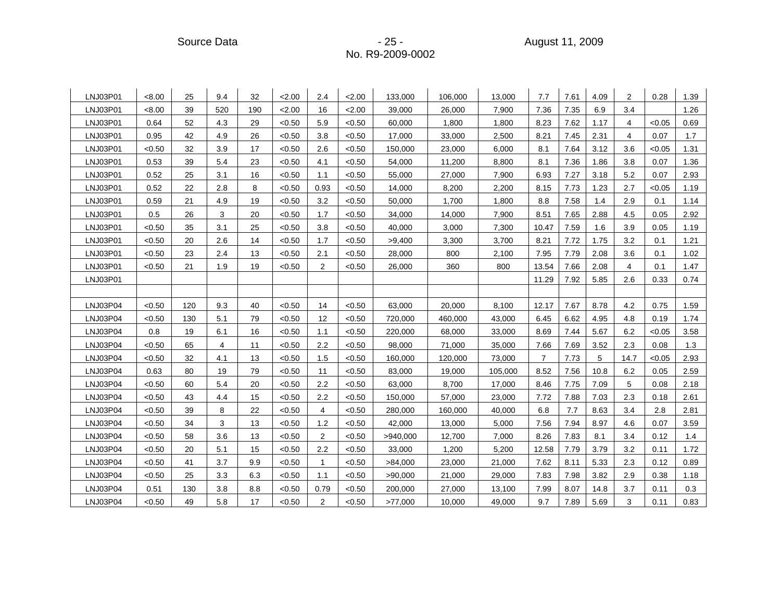#### Source Data - 25 - August 11, 2009 No. R9-2009-0002

| LNJ03P01 | < 8.00 | 25  | 9.4 | 32  | 2.00   | 2.4            | 2.00   | 133,000  | 106,000 | 13,000  | 7.7   | 7.61 | 4.09 | 2    | 0.28   | 1.39 |
|----------|--------|-----|-----|-----|--------|----------------|--------|----------|---------|---------|-------|------|------|------|--------|------|
| LNJ03P01 | < 8.00 | 39  | 520 | 190 | 2.00   | 16             | 2.00   | 39.000   | 26,000  | 7.900   | 7.36  | 7.35 | 6.9  | 3.4  |        | 1.26 |
| LNJ03P01 | 0.64   | 52  | 4.3 | 29  | < 0.50 | 5.9            | < 0.50 | 60.000   | 1.800   | 1.800   | 8.23  | 7.62 | 1.17 | 4    | < 0.05 | 0.69 |
| LNJ03P01 | 0.95   | 42  | 4.9 | 26  | < 0.50 | 3.8            | < 0.50 | 17,000   | 33,000  | 2,500   | 8.21  | 7.45 | 2.31 | 4    | 0.07   | 1.7  |
| LNJ03P01 | < 0.50 | 32  | 3.9 | 17  | < 0.50 | 2.6            | < 0.50 | 150,000  | 23,000  | 6.000   | 8.1   | 7.64 | 3.12 | 3.6  | < 0.05 | 1.31 |
| LNJ03P01 | 0.53   | 39  | 5.4 | 23  | < 0.50 | 4.1            | < 0.50 | 54,000   | 11,200  | 8,800   | 8.1   | 7.36 | 1.86 | 3.8  | 0.07   | 1.36 |
| LNJ03P01 | 0.52   | 25  | 3.1 | 16  | < 0.50 | 1.1            | < 0.50 | 55,000   | 27,000  | 7,900   | 6.93  | 7.27 | 3.18 | 5.2  | 0.07   | 2.93 |
| LNJ03P01 | 0.52   | 22  | 2.8 | 8   | < 0.50 | 0.93           | < 0.50 | 14,000   | 8,200   | 2.200   | 8.15  | 7.73 | 1.23 | 2.7  | < 0.05 | 1.19 |
| LNJ03P01 | 0.59   | 21  | 4.9 | 19  | < 0.50 | 3.2            | < 0.50 | 50,000   | 1,700   | 1,800   | 8.8   | 7.58 | 1.4  | 2.9  | 0.1    | 1.14 |
| LNJ03P01 | 0.5    | 26  | 3   | 20  | < 0.50 | 1.7            | < 0.50 | 34,000   | 14,000  | 7,900   | 8.51  | 7.65 | 2.88 | 4.5  | 0.05   | 2.92 |
| LNJ03P01 | < 0.50 | 35  | 3.1 | 25  | < 0.50 | 3.8            | < 0.50 | 40.000   | 3.000   | 7.300   | 10.47 | 7.59 | 1.6  | 3.9  | 0.05   | 1.19 |
| LNJ03P01 | < 0.50 | 20  | 2.6 | 14  | < 0.50 | 1.7            | < 0.50 | >9,400   | 3,300   | 3,700   | 8.21  | 7.72 | 1.75 | 3.2  | 0.1    | 1.21 |
| LNJ03P01 | < 0.50 | 23  | 2.4 | 13  | < 0.50 | 2.1            | < 0.50 | 28,000   | 800     | 2,100   | 7.95  | 7.79 | 2.08 | 3.6  | 0.1    | 1.02 |
| LNJ03P01 | < 0.50 | 21  | 1.9 | 19  | < 0.50 | $\overline{2}$ | < 0.50 | 26,000   | 360     | 800     | 13.54 | 7.66 | 2.08 | 4    | 0.1    | 1.47 |
| LNJ03P01 |        |     |     |     |        |                |        |          |         |         | 11.29 | 7.92 | 5.85 | 2.6  | 0.33   | 0.74 |
|          |        |     |     |     |        |                |        |          |         |         |       |      |      |      |        |      |
| LNJ03P04 | < 0.50 | 120 | 9.3 | 40  | < 0.50 | 14             | < 0.50 | 63,000   | 20,000  | 8,100   | 12.17 | 7.67 | 8.78 | 4.2  | 0.75   | 1.59 |
| LNJ03P04 | < 0.50 | 130 | 5.1 | 79  | < 0.50 | 12             | < 0.50 | 720.000  | 460.000 | 43.000  | 6.45  | 6.62 | 4.95 | 4.8  | 0.19   | 1.74 |
| LNJ03P04 | 0.8    | 19  | 6.1 | 16  | < 0.50 | 1.1            | < 0.50 | 220,000  | 68,000  | 33,000  | 8.69  | 7.44 | 5.67 | 6.2  | < 0.05 | 3.58 |
| LNJ03P04 | < 0.50 | 65  | 4   | 11  | < 0.50 | 2.2            | < 0.50 | 98,000   | 71,000  | 35,000  | 7.66  | 7.69 | 3.52 | 2.3  | 0.08   | 1.3  |
| LNJ03P04 | < 0.50 | 32  | 4.1 | 13  | < 0.50 | 1.5            | < 0.50 | 160.000  | 120.000 | 73.000  | 7     | 7.73 | 5    | 14.7 | < 0.05 | 2.93 |
| LNJ03P04 | 0.63   | 80  | 19  | 79  | < 0.50 | 11             | < 0.50 | 83,000   | 19,000  | 105,000 | 8.52  | 7.56 | 10.8 | 6.2  | 0.05   | 2.59 |
| LNJ03P04 | < 0.50 | 60  | 5.4 | 20  | < 0.50 | 2.2            | < 0.50 | 63.000   | 8.700   | 17,000  | 8.46  | 7.75 | 7.09 | 5    | 0.08   | 2.18 |
| LNJ03P04 | < 0.50 | 43  | 4.4 | 15  | < 0.50 | 2.2            | <0.50  | 150,000  | 57,000  | 23,000  | 7.72  | 7.88 | 7.03 | 2.3  | 0.18   | 2.61 |
| LNJ03P04 | < 0.50 | 39  | 8   | 22  | < 0.50 | 4              | < 0.50 | 280,000  | 160,000 | 40,000  | 6.8   | 7.7  | 8.63 | 3.4  | 2.8    | 2.81 |
| LNJ03P04 | < 0.50 | 34  | 3   | 13  | < 0.50 | 1.2            | < 0.50 | 42,000   | 13,000  | 5,000   | 7.56  | 7.94 | 8.97 | 4.6  | 0.07   | 3.59 |
| LNJ03P04 | < 0.50 | 58  | 3.6 | 13  | < 0.50 | $\overline{2}$ | < 0.50 | >940,000 | 12,700  | 7,000   | 8.26  | 7.83 | 8.1  | 3.4  | 0.12   | 1.4  |
| LNJ03P04 | < 0.50 | 20  | 5.1 | 15  | < 0.50 | 2.2            | < 0.50 | 33.000   | 1,200   | 5.200   | 12.58 | 7.79 | 3.79 | 3.2  | 0.11   | 1.72 |
| LNJ03P04 | < 0.50 | 41  | 3.7 | 9.9 | < 0.50 | 1              | < 0.50 | >84,000  | 23,000  | 21,000  | 7.62  | 8.11 | 5.33 | 2.3  | 0.12   | 0.89 |
| LNJ03P04 | < 0.50 | 25  | 3.3 | 6.3 | < 0.50 | 1.1            | < 0.50 | >90,000  | 21,000  | 29,000  | 7.83  | 7.98 | 3.82 | 2.9  | 0.38   | 1.18 |
| LNJ03P04 | 0.51   | 130 | 3.8 | 8.8 | < 0.50 | 0.79           | < 0.50 | 200,000  | 27,000  | 13,100  | 7.99  | 8.07 | 14.8 | 3.7  | 0.11   | 0.3  |
| LNJ03P04 | < 0.50 | 49  | 5.8 | 17  | < 0.50 | 2              | < 0.50 | >77,000  | 10,000  | 49,000  | 9.7   | 7.89 | 5.69 | 3    | 0.11   | 0.83 |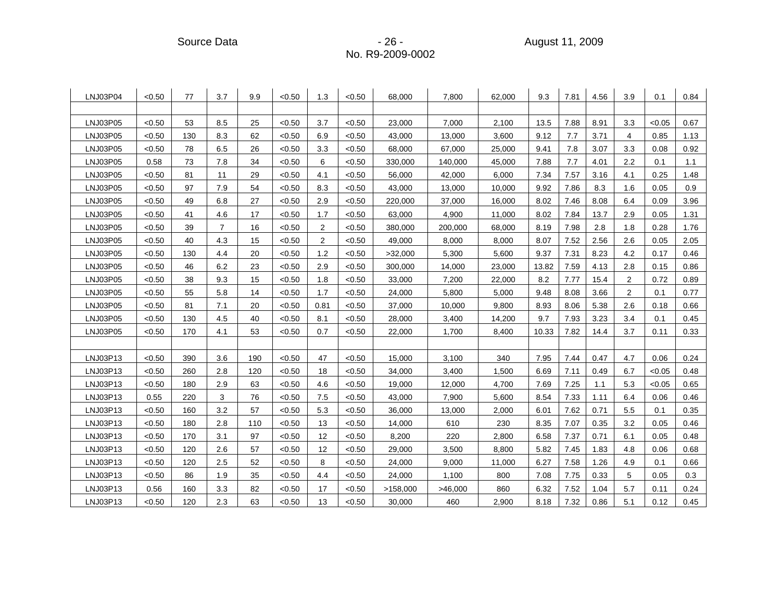Source Data - 26 - August 11, 2009

| LNJ03P04 | < 0.50 | 77  | 3.7            | 9.9 | < 0.50 | 1.3            | < 0.50 | 68,000   | 7,800   | 62,000 | 9.3   | 7.81 | 4.56 | 3.9            | 0.1    | 0.84 |
|----------|--------|-----|----------------|-----|--------|----------------|--------|----------|---------|--------|-------|------|------|----------------|--------|------|
|          |        |     |                |     |        |                |        |          |         |        |       |      |      |                |        |      |
| LNJ03P05 | < 0.50 | 53  | 8.5            | 25  | < 0.50 | 3.7            | < 0.50 | 23,000   | 7.000   | 2.100  | 13.5  | 7.88 | 8.91 | 3.3            | < 0.05 | 0.67 |
| LNJ03P05 | < 0.50 | 130 | 8.3            | 62  | < 0.50 | 6.9            | < 0.50 | 43,000   | 13,000  | 3,600  | 9.12  | 7.7  | 3.71 | 4              | 0.85   | 1.13 |
| LNJ03P05 | < 0.50 | 78  | 6.5            | 26  | < 0.50 | 3.3            | < 0.50 | 68,000   | 67,000  | 25,000 | 9.41  | 7.8  | 3.07 | 3.3            | 0.08   | 0.92 |
| LNJ03P05 | 0.58   | 73  | 7.8            | 34  | < 0.50 | 6              | < 0.50 | 330,000  | 140,000 | 45,000 | 7.88  | 7.7  | 4.01 | 2.2            | 0.1    | 1.1  |
| LNJ03P05 | < 0.50 | 81  | 11             | 29  | < 0.50 | 4.1            | < 0.50 | 56,000   | 42,000  | 6,000  | 7.34  | 7.57 | 3.16 | 4.1            | 0.25   | 1.48 |
| LNJ03P05 | < 0.50 | 97  | 7.9            | 54  | < 0.50 | 8.3            | < 0.50 | 43,000   | 13,000  | 10,000 | 9.92  | 7.86 | 8.3  | 1.6            | 0.05   | 0.9  |
| LNJ03P05 | < 0.50 | 49  | 6.8            | 27  | < 0.50 | 2.9            | < 0.50 | 220,000  | 37,000  | 16,000 | 8.02  | 7.46 | 8.08 | 6.4            | 0.09   | 3.96 |
| LNJ03P05 | < 0.50 | 41  | 4.6            | 17  | < 0.50 | 1.7            | < 0.50 | 63,000   | 4,900   | 11,000 | 8.02  | 7.84 | 13.7 | 2.9            | 0.05   | 1.31 |
| LNJ03P05 | < 0.50 | 39  | $\overline{7}$ | 16  | < 0.50 | 2              | <0.50  | 380,000  | 200,000 | 68,000 | 8.19  | 7.98 | 2.8  | 1.8            | 0.28   | 1.76 |
| LNJ03P05 | < 0.50 | 40  | 4.3            | 15  | < 0.50 | $\overline{2}$ | < 0.50 | 49,000   | 8,000   | 8,000  | 8.07  | 7.52 | 2.56 | 2.6            | 0.05   | 2.05 |
| LNJ03P05 | < 0.50 | 130 | 4.4            | 20  | < 0.50 | 1.2            | < 0.50 | >32,000  | 5,300   | 5,600  | 9.37  | 7.31 | 8.23 | 4.2            | 0.17   | 0.46 |
| LNJ03P05 | < 0.50 | 46  | 6.2            | 23  | < 0.50 | 2.9            | < 0.50 | 300,000  | 14,000  | 23,000 | 13.82 | 7.59 | 4.13 | 2.8            | 0.15   | 0.86 |
| LNJ03P05 | < 0.50 | 38  | 9.3            | 15  | < 0.50 | 1.8            | < 0.50 | 33,000   | 7,200   | 22,000 | 8.2   | 7.77 | 15.4 | 2              | 0.72   | 0.89 |
| LNJ03P05 | < 0.50 | 55  | 5.8            | 14  | < 0.50 | 1.7            | < 0.50 | 24,000   | 5,800   | 5,000  | 9.48  | 8.08 | 3.66 | $\overline{2}$ | 0.1    | 0.77 |
| LNJ03P05 | < 0.50 | 81  | 7.1            | 20  | < 0.50 | 0.81           | < 0.50 | 37,000   | 10,000  | 9,800  | 8.93  | 8.06 | 5.38 | 2.6            | 0.18   | 0.66 |
| LNJ03P05 | < 0.50 | 130 | 4.5            | 40  | < 0.50 | 8.1            | < 0.50 | 28,000   | 3,400   | 14,200 | 9.7   | 7.93 | 3.23 | 3.4            | 0.1    | 0.45 |
| LNJ03P05 | <0.50  | 170 | 4.1            | 53  | < 0.50 | 0.7            | < 0.50 | 22,000   | 1,700   | 8,400  | 10.33 | 7.82 | 14.4 | 3.7            | 0.11   | 0.33 |
|          |        |     |                |     |        |                |        |          |         |        |       |      |      |                |        |      |
| LNJ03P13 | < 0.50 | 390 | 3.6            | 190 | < 0.50 | 47             | < 0.50 | 15,000   | 3,100   | 340    | 7.95  | 7.44 | 0.47 | 4.7            | 0.06   | 0.24 |
| LNJ03P13 | < 0.50 | 260 | 2.8            | 120 | < 0.50 | 18             | < 0.50 | 34,000   | 3,400   | 1,500  | 6.69  | 7.11 | 0.49 | 6.7            | < 0.05 | 0.48 |
| LNJ03P13 | < 0.50 | 180 | 2.9            | 63  | < 0.50 | 4.6            | < 0.50 | 19,000   | 12,000  | 4,700  | 7.69  | 7.25 | 1.1  | 5.3            | < 0.05 | 0.65 |
| LNJ03P13 | 0.55   | 220 | 3              | 76  | < 0.50 | 7.5            | < 0.50 | 43,000   | 7,900   | 5,600  | 8.54  | 7.33 | 1.11 | 6.4            | 0.06   | 0.46 |
| LNJ03P13 | < 0.50 | 160 | 3.2            | 57  | < 0.50 | 5.3            | < 0.50 | 36,000   | 13,000  | 2,000  | 6.01  | 7.62 | 0.71 | 5.5            | 0.1    | 0.35 |
| LNJ03P13 | < 0.50 | 180 | 2.8            | 110 | < 0.50 | 13             | < 0.50 | 14,000   | 610     | 230    | 8.35  | 7.07 | 0.35 | 3.2            | 0.05   | 0.46 |
| LNJ03P13 | < 0.50 | 170 | 3.1            | 97  | < 0.50 | 12             | < 0.50 | 8,200    | 220     | 2,800  | 6.58  | 7.37 | 0.71 | 6.1            | 0.05   | 0.48 |
| LNJ03P13 | < 0.50 | 120 | 2.6            | 57  | < 0.50 | 12             | < 0.50 | 29,000   | 3,500   | 8.800  | 5.82  | 7.45 | 1.83 | 4.8            | 0.06   | 0.68 |
| LNJ03P13 | < 0.50 | 120 | 2.5            | 52  | < 0.50 | 8              | < 0.50 | 24,000   | 9,000   | 11,000 | 6.27  | 7.58 | 1.26 | 4.9            | 0.1    | 0.66 |
| LNJ03P13 | < 0.50 | 86  | 1.9            | 35  | < 0.50 | 4.4            | < 0.50 | 24,000   | 1,100   | 800    | 7.08  | 7.75 | 0.33 | 5              | 0.05   | 0.3  |
| LNJ03P13 | 0.56   | 160 | 3.3            | 82  | < 0.50 | 17             | < 0.50 | >158,000 | >46,000 | 860    | 6.32  | 7.52 | 1.04 | 5.7            | 0.11   | 0.24 |
| LNJ03P13 | < 0.50 | 120 | 2.3            | 63  | < 0.50 | 13             | < 0.50 | 30,000   | 460     | 2,900  | 8.18  | 7.32 | 0.86 | 5.1            | 0.12   | 0.45 |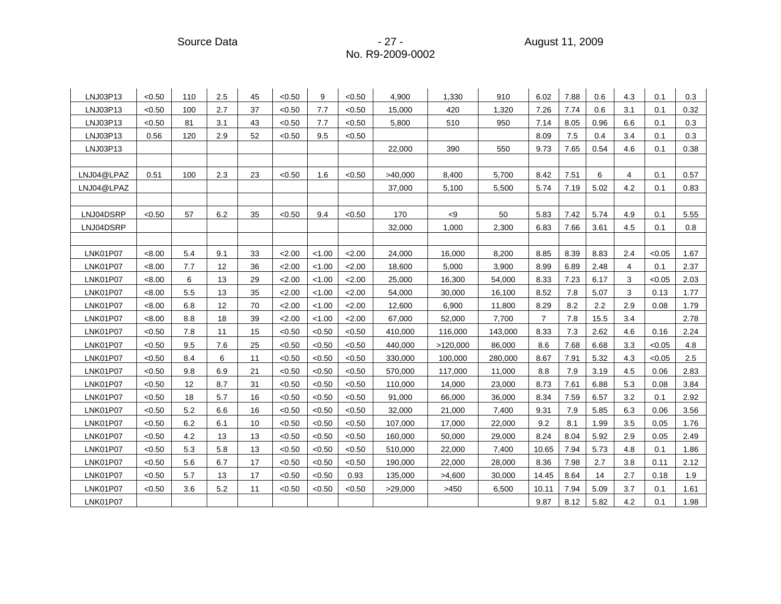Source Data - 27 - August 11, 2009

| LNJ03P13        | < 0.50 | 110 | 2.5 | 45 | < 0.50 | 9      | < 0.50 | 4,900   | 1,330           | 910     | 6.02    | 7.88 | 0.6  | 4.3            | 0.1    | 0.3  |
|-----------------|--------|-----|-----|----|--------|--------|--------|---------|-----------------|---------|---------|------|------|----------------|--------|------|
| LNJ03P13        | < 0.50 | 100 | 2.7 | 37 | < 0.50 | 7.7    | < 0.50 | 15,000  | 420             | 1.320   | 7.26    | 7.74 | 0.6  | 3.1            | 0.1    | 0.32 |
| LNJ03P13        | < 0.50 | 81  | 3.1 | 43 | < 0.50 | 7.7    | < 0.50 | 5,800   | 510             | 950     | 7.14    | 8.05 | 0.96 | 6.6            | 0.1    | 0.3  |
| LNJ03P13        | 0.56   | 120 | 2.9 | 52 | < 0.50 | 9.5    | < 0.50 |         |                 |         | 8.09    | 7.5  | 0.4  | 3.4            | 0.1    | 0.3  |
| LNJ03P13        |        |     |     |    |        |        |        | 22,000  | 390             | 550     | 9.73    | 7.65 | 0.54 | 4.6            | 0.1    | 0.38 |
|                 |        |     |     |    |        |        |        |         |                 |         |         |      |      |                |        |      |
| LNJ04@LPAZ      | 0.51   | 100 | 2.3 | 23 | < 0.50 | 1.6    | < 0.50 | >40,000 | 8,400           | 5,700   | 8.42    | 7.51 | 6    | $\overline{4}$ | 0.1    | 0.57 |
| LNJ04@LPAZ      |        |     |     |    |        |        |        | 37,000  | 5,100           | 5,500   | 5.74    | 7.19 | 5.02 | 4.2            | 0.1    | 0.83 |
|                 |        |     |     |    |        |        |        |         |                 |         |         |      |      |                |        |      |
| LNJ04DSRP       | < 0.50 | 57  | 6.2 | 35 | < 0.50 | 9.4    | < 0.50 | 170     | $< \negspace 9$ | 50      | 5.83    | 7.42 | 5.74 | 4.9            | 0.1    | 5.55 |
| LNJ04DSRP       |        |     |     |    |        |        |        | 32,000  | 1,000           | 2,300   | 6.83    | 7.66 | 3.61 | 4.5            | 0.1    | 0.8  |
|                 |        |     |     |    |        |        |        |         |                 |         |         |      |      |                |        |      |
| <b>LNK01P07</b> | < 8.00 | 5.4 | 9.1 | 33 | 2.00   | < 1.00 | 2.00   | 24,000  | 16,000          | 8,200   | 8.85    | 8.39 | 8.83 | 2.4            | < 0.05 | 1.67 |
| <b>LNK01P07</b> | < 8.00 | 7.7 | 12  | 36 | 2.00   | < 1.00 | 2.00   | 18,600  | 5,000           | 3,900   | 8.99    | 6.89 | 2.48 | 4              | 0.1    | 2.37 |
| <b>LNK01P07</b> | < 8.00 | 6   | 13  | 29 | 2.00   | < 1.00 | < 2.00 | 25,000  | 16,300          | 54,000  | 8.33    | 7.23 | 6.17 | 3              | < 0.05 | 2.03 |
| <b>LNK01P07</b> | < 8.00 | 5.5 | 13  | 35 | 2.00   | < 1.00 | 2.00   | 54,000  | 30,000          | 16,100  | 8.52    | 7.8  | 5.07 | 3              | 0.13   | 1.77 |
| <b>LNK01P07</b> | < 8.00 | 6.8 | 12  | 70 | 2.00   | < 1.00 | 2.00   | 12,600  | 6,900           | 11,800  | 8.29    | 8.2  | 2.2  | 2.9            | 0.08   | 1.79 |
| <b>LNK01P07</b> | < 8.00 | 8.8 | 18  | 39 | 2.00   | < 1.00 | 2.00   | 67,000  | 52,000          | 7,700   | 7       | 7.8  | 15.5 | 3.4            |        | 2.78 |
| <b>LNK01P07</b> | < 0.50 | 7.8 | 11  | 15 | < 0.50 | < 0.50 | < 0.50 | 410,000 | 116,000         | 143,000 | 8.33    | 7.3  | 2.62 | 4.6            | 0.16   | 2.24 |
| <b>LNK01P07</b> | < 0.50 | 9.5 | 7.6 | 25 | < 0.50 | < 0.50 | < 0.50 | 440,000 | >120,000        | 86,000  | 8.6     | 7.68 | 6.68 | 3.3            | < 0.05 | 4.8  |
| <b>LNK01P07</b> | < 0.50 | 8.4 | 6   | 11 | < 0.50 | < 0.50 | < 0.50 | 330,000 | 100,000         | 280,000 | 8.67    | 7.91 | 5.32 | 4.3            | < 0.05 | 2.5  |
| <b>LNK01P07</b> | < 0.50 | 9.8 | 6.9 | 21 | < 0.50 | < 0.50 | < 0.50 | 570,000 | 117,000         | 11,000  | $8.8\,$ | 7.9  | 3.19 | 4.5            | 0.06   | 2.83 |
| <b>LNK01P07</b> | < 0.50 | 12  | 8.7 | 31 | < 0.50 | < 0.50 | < 0.50 | 110,000 | 14,000          | 23,000  | 8.73    | 7.61 | 6.88 | 5.3            | 0.08   | 3.84 |
| <b>LNK01P07</b> | < 0.50 | 18  | 5.7 | 16 | < 0.50 | < 0.50 | < 0.50 | 91,000  | 66,000          | 36,000  | 8.34    | 7.59 | 6.57 | 3.2            | 0.1    | 2.92 |
| <b>LNK01P07</b> | < 0.50 | 5.2 | 6.6 | 16 | < 0.50 | < 0.50 | < 0.50 | 32,000  | 21,000          | 7,400   | 9.31    | 7.9  | 5.85 | 6.3            | 0.06   | 3.56 |
| <b>LNK01P07</b> | < 0.50 | 6.2 | 6.1 | 10 | < 0.50 | < 0.50 | < 0.50 | 107,000 | 17,000          | 22,000  | 9.2     | 8.1  | 1.99 | 3.5            | 0.05   | 1.76 |
| <b>LNK01P07</b> | < 0.50 | 4.2 | 13  | 13 | < 0.50 | < 0.50 | < 0.50 | 160,000 | 50,000          | 29,000  | 8.24    | 8.04 | 5.92 | 2.9            | 0.05   | 2.49 |
| <b>LNK01P07</b> | < 0.50 | 5.3 | 5.8 | 13 | < 0.50 | < 0.50 | < 0.50 | 510,000 | 22,000          | 7,400   | 10.65   | 7.94 | 5.73 | 4.8            | 0.1    | 1.86 |
| <b>LNK01P07</b> | < 0.50 | 5.6 | 6.7 | 17 | < 0.50 | < 0.50 | < 0.50 | 190,000 | 22,000          | 28,000  | 8.36    | 7.98 | 2.7  | 3.8            | 0.11   | 2.12 |
| <b>LNK01P07</b> | < 0.50 | 5.7 | 13  | 17 | < 0.50 | < 0.50 | 0.93   | 135,000 | >4,600          | 30,000  | 14.45   | 8.64 | 14   | 2.7            | 0.18   | 1.9  |
| <b>LNK01P07</b> | < 0.50 | 3.6 | 5.2 | 11 | < 0.50 | < 0.50 | < 0.50 | >29,000 | >450            | 6,500   | 10.11   | 7.94 | 5.09 | 3.7            | 0.1    | 1.61 |
| <b>LNK01P07</b> |        |     |     |    |        |        |        |         |                 |         | 9.87    | 8.12 | 5.82 | 4.2            | 0.1    | 1.98 |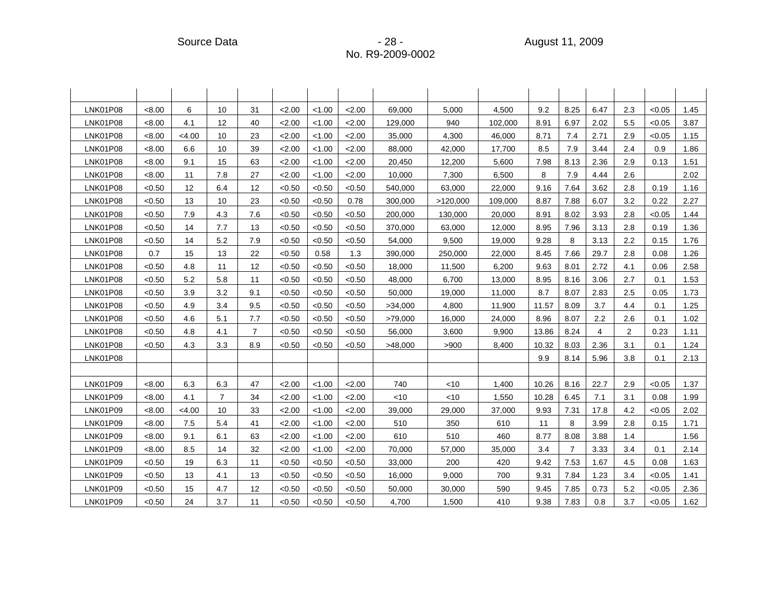| <b>LNK01P08</b> | < 8.00 | 6      | 10             | 31             | 2.00   | < 1.00 | 2.00   | 69,000  | 5,000    | 4,500   | 9.2   | 8.25           | 6.47 | 2.3 | < 0.05 | 1.45 |
|-----------------|--------|--------|----------------|----------------|--------|--------|--------|---------|----------|---------|-------|----------------|------|-----|--------|------|
| <b>LNK01P08</b> | < 8.00 | 4.1    | 12             | 40             | 2.00   | < 1.00 | 2.00   | 129,000 | 940      | 102,000 | 8.91  | 6.97           | 2.02 | 5.5 | < 0.05 | 3.87 |
| <b>LNK01P08</b> | < 8.00 | < 4.00 | 10             | 23             | 2.00   | < 1.00 | 2.00   | 35,000  | 4,300    | 46,000  | 8.71  | 7.4            | 2.71 | 2.9 | < 0.05 | 1.15 |
| <b>LNK01P08</b> | < 8.00 | 6.6    | 10             | 39             | 2.00   | < 1.00 | 2.00   | 88,000  | 42,000   | 17,700  | 8.5   | 7.9            | 3.44 | 2.4 | 0.9    | 1.86 |
| <b>LNK01P08</b> | < 8.00 | 9.1    | 15             | 63             | 2.00   | < 1.00 | 2.00   | 20,450  | 12,200   | 5.600   | 7.98  | 8.13           | 2.36 | 2.9 | 0.13   | 1.51 |
| <b>LNK01P08</b> | < 8.00 | 11     | 7.8            | 27             | 2.00   | < 1.00 | 2.00   | 10,000  | 7,300    | 6.500   | 8     | 7.9            | 4.44 | 2.6 |        | 2.02 |
| <b>LNK01P08</b> | < 0.50 | 12     | 6.4            | 12             | < 0.50 | < 0.50 | < 0.50 | 540,000 | 63,000   | 22,000  | 9.16  | 7.64           | 3.62 | 2.8 | 0.19   | 1.16 |
| <b>LNK01P08</b> | < 0.50 | 13     | 10             | 23             | < 0.50 | < 0.50 | 0.78   | 300,000 | >120,000 | 109,000 | 8.87  | 7.88           | 6.07 | 3.2 | 0.22   | 2.27 |
| <b>LNK01P08</b> | < 0.50 | 7.9    | 4.3            | 7.6            | < 0.50 | < 0.50 | < 0.50 | 200,000 | 130,000  | 20,000  | 8.91  | 8.02           | 3.93 | 2.8 | < 0.05 | 1.44 |
| <b>LNK01P08</b> | < 0.50 | 14     | 7.7            | 13             | < 0.50 | < 0.50 | < 0.50 | 370,000 | 63,000   | 12,000  | 8.95  | 7.96           | 3.13 | 2.8 | 0.19   | 1.36 |
| <b>LNK01P08</b> | < 0.50 | 14     | 5.2            | 7.9            | < 0.50 | < 0.50 | < 0.50 | 54,000  | 9,500    | 19,000  | 9.28  | 8              | 3.13 | 2.2 | 0.15   | 1.76 |
| <b>LNK01P08</b> | 0.7    | 15     | 13             | 22             | < 0.50 | 0.58   | 1.3    | 390,000 | 250,000  | 22,000  | 8.45  | 7.66           | 29.7 | 2.8 | 0.08   | 1.26 |
| <b>LNK01P08</b> | < 0.50 | 4.8    | 11             | 12             | < 0.50 | < 0.50 | < 0.50 | 18,000  | 11,500   | 6,200   | 9.63  | 8.01           | 2.72 | 4.1 | 0.06   | 2.58 |
| <b>LNK01P08</b> | < 0.50 | 5.2    | 5.8            | 11             | < 0.50 | < 0.50 | < 0.50 | 48,000  | 6,700    | 13,000  | 8.95  | 8.16           | 3.06 | 2.7 | 0.1    | 1.53 |
| <b>LNK01P08</b> | < 0.50 | 3.9    | 3.2            | 9.1            | < 0.50 | < 0.50 | < 0.50 | 50,000  | 19,000   | 11,000  | 8.7   | 8.07           | 2.83 | 2.5 | 0.05   | 1.73 |
| <b>LNK01P08</b> | < 0.50 | 4.9    | 3.4            | 9.5            | < 0.50 | < 0.50 | < 0.50 | >34,000 | 4,800    | 11,900  | 11.57 | 8.09           | 3.7  | 4.4 | 0.1    | 1.25 |
| <b>LNK01P08</b> | < 0.50 | 4.6    | 5.1            | 7.7            | < 0.50 | < 0.50 | < 0.50 | >79,000 | 16,000   | 24,000  | 8.96  | 8.07           | 2.2  | 2.6 | 0.1    | 1.02 |
| <b>LNK01P08</b> | < 0.50 | 4.8    | 4.1            | $\overline{7}$ | < 0.50 | < 0.50 | < 0.50 | 56,000  | 3,600    | 9,900   | 13.86 | 8.24           | 4    | 2   | 0.23   | 1.11 |
| <b>LNK01P08</b> | < 0.50 | 4.3    | 3.3            | 8.9            | < 0.50 | < 0.50 | < 0.50 | >48,000 | >900     | 8,400   | 10.32 | 8.03           | 2.36 | 3.1 | 0.1    | 1.24 |
| <b>LNK01P08</b> |        |        |                |                |        |        |        |         |          |         | 9.9   | 8.14           | 5.96 | 3.8 | 0.1    | 2.13 |
|                 |        |        |                |                |        |        |        |         |          |         |       |                |      |     |        |      |
| LNK01P09        | < 8.00 | 6.3    | 6.3            | 47             | 2.00   | < 1.00 | 2.00   | 740     | $<$ 10   | 1,400   | 10.26 | 8.16           | 22.7 | 2.9 | < 0.05 | 1.37 |
| LNK01P09        | < 8.00 | 4.1    | $\overline{7}$ | 34             | 2.00   | < 1.00 | 2.00   | < 10    | <10      | 1,550   | 10.28 | 6.45           | 7.1  | 3.1 | 0.08   | 1.99 |
| LNK01P09        | < 8.00 | <4.00  | 10             | 33             | 2.00   | < 1.00 | 2.00   | 39,000  | 29,000   | 37,000  | 9.93  | 7.31           | 17.8 | 4.2 | < 0.05 | 2.02 |
| LNK01P09        | < 8.00 | 7.5    | 5.4            | 41             | 2.00   | < 1.00 | < 2.00 | 510     | 350      | 610     | 11    | 8              | 3.99 | 2.8 | 0.15   | 1.71 |
| LNK01P09        | < 8.00 | 9.1    | 6.1            | 63             | 2.00   | < 1.00 | 2.00   | 610     | 510      | 460     | 8.77  | 8.08           | 3.88 | 1.4 |        | 1.56 |
| LNK01P09        | < 8.00 | 8.5    | 14             | 32             | 2.00   | < 1.00 | 2.00   | 70,000  | 57,000   | 35,000  | 3.4   | $\overline{7}$ | 3.33 | 3.4 | 0.1    | 2.14 |
| <b>LNK01P09</b> | < 0.50 | 19     | 6.3            | 11             | < 0.50 | < 0.50 | < 0.50 | 33,000  | 200      | 420     | 9.42  | 7.53           | 1.67 | 4.5 | 0.08   | 1.63 |
| LNK01P09        | < 0.50 | 13     | 4.1            | 13             | < 0.50 | < 0.50 | < 0.50 | 16,000  | 9,000    | 700     | 9.31  | 7.84           | 1.23 | 3.4 | < 0.05 | 1.41 |
| LNK01P09        | < 0.50 | 15     | 4.7            | 12             | < 0.50 | < 0.50 | < 0.50 | 50,000  | 30,000   | 590     | 9.45  | 7.85           | 0.73 | 5.2 | < 0.05 | 2.36 |
| LNK01P09        | < 0.50 | 24     | 3.7            | 11             | < 0.50 | < 0.50 | < 0.50 | 4,700   | 1,500    | 410     | 9.38  | 7.83           | 0.8  | 3.7 | < 0.05 | 1.62 |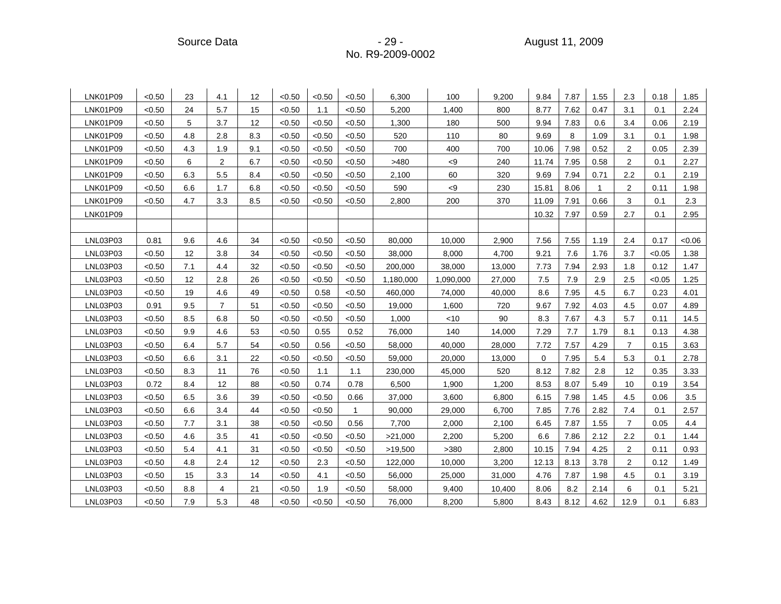Source Data - 29 - August 11, 2009

| LNK01P09 | < 0.50 | 23  | 4.1            | 12  | < 0.50 | < 0.50 | < 0.50       | 6,300     | 100             | 9,200  | 9.84  | 7.87 | 1.55         | 2.3            | 0.18   | 1.85  |
|----------|--------|-----|----------------|-----|--------|--------|--------------|-----------|-----------------|--------|-------|------|--------------|----------------|--------|-------|
| LNK01P09 | < 0.50 | 24  | 5.7            | 15  | < 0.50 | 1.1    | < 0.50       | 5,200     | 1,400           | 800    | 8.77  | 7.62 | 0.47         | 3.1            | 0.1    | 2.24  |
| LNK01P09 | < 0.50 | 5   | 3.7            | 12  | < 0.50 | < 0.50 | < 0.50       | 1,300     | 180             | 500    | 9.94  | 7.83 | 0.6          | 3.4            | 0.06   | 2.19  |
| LNK01P09 | < 0.50 | 4.8 | 2.8            | 8.3 | < 0.50 | < 0.50 | < 0.50       | 520       | 110             | 80     | 9.69  | 8    | 1.09         | 3.1            | 0.1    | 1.98  |
| LNK01P09 | < 0.50 | 4.3 | 1.9            | 9.1 | < 0.50 | < 0.50 | < 0.50       | 700       | 400             | 700    | 10.06 | 7.98 | 0.52         | $\overline{2}$ | 0.05   | 2.39  |
| LNK01P09 | < 0.50 | 6   | $\overline{c}$ | 6.7 | < 0.50 | < 0.50 | < 0.50       | >480      | $< \negspace 9$ | 240    | 11.74 | 7.95 | 0.58         | $\overline{2}$ | 0.1    | 2.27  |
| LNK01P09 | < 0.50 | 6.3 | 5.5            | 8.4 | < 0.50 | < 0.50 | < 0.50       | 2,100     | 60              | 320    | 9.69  | 7.94 | 0.71         | 2.2            | 0.1    | 2.19  |
| LNK01P09 | < 0.50 | 6.6 | 1.7            | 6.8 | < 0.50 | < 0.50 | < 0.50       | 590       | < 9             | 230    | 15.81 | 8.06 | $\mathbf{1}$ | $\overline{2}$ | 0.11   | 1.98  |
| LNK01P09 | < 0.50 | 4.7 | 3.3            | 8.5 | < 0.50 | < 0.50 | < 0.50       | 2,800     | 200             | 370    | 11.09 | 7.91 | 0.66         | 3              | 0.1    | 2.3   |
| LNK01P09 |        |     |                |     |        |        |              |           |                 |        | 10.32 | 7.97 | 0.59         | 2.7            | 0.1    | 2.95  |
|          |        |     |                |     |        |        |              |           |                 |        |       |      |              |                |        |       |
| LNL03P03 | 0.81   | 9.6 | 4.6            | 34  | < 0.50 | < 0.50 | < 0.50       | 80,000    | 10,000          | 2,900  | 7.56  | 7.55 | 1.19         | 2.4            | 0.17   | <0.06 |
| LNL03P03 | < 0.50 | 12  | 3.8            | 34  | < 0.50 | < 0.50 | < 0.50       | 38,000    | 8,000           | 4,700  | 9.21  | 7.6  | 1.76         | 3.7            | < 0.05 | 1.38  |
| LNL03P03 | < 0.50 | 7.1 | 4.4            | 32  | < 0.50 | < 0.50 | < 0.50       | 200,000   | 38,000          | 13,000 | 7.73  | 7.94 | 2.93         | 1.8            | 0.12   | 1.47  |
| LNL03P03 | < 0.50 | 12  | 2.8            | 26  | < 0.50 | < 0.50 | < 0.50       | 1,180,000 | 1,090,000       | 27,000 | 7.5   | 7.9  | 2.9          | 2.5            | < 0.05 | 1.25  |
| LNL03P03 | < 0.50 | 19  | 4.6            | 49  | < 0.50 | 0.58   | < 0.50       | 460,000   | 74,000          | 40,000 | 8.6   | 7.95 | 4.5          | 6.7            | 0.23   | 4.01  |
| LNL03P03 | 0.91   | 9.5 | $\overline{7}$ | 51  | < 0.50 | < 0.50 | < 0.50       | 19,000    | 1,600           | 720    | 9.67  | 7.92 | 4.03         | 4.5            | 0.07   | 4.89  |
| LNL03P03 | < 0.50 | 8.5 | 6.8            | 50  | < 0.50 | < 0.50 | < 0.50       | 1,000     | < 10            | 90     | 8.3   | 7.67 | 4.3          | 5.7            | 0.11   | 14.5  |
| LNL03P03 | < 0.50 | 9.9 | 4.6            | 53  | < 0.50 | 0.55   | 0.52         | 76,000    | 140             | 14,000 | 7.29  | 7.7  | 1.79         | 8.1            | 0.13   | 4.38  |
| LNL03P03 | < 0.50 | 6.4 | 5.7            | 54  | < 0.50 | 0.56   | < 0.50       | 58,000    | 40,000          | 28,000 | 7.72  | 7.57 | 4.29         | $\overline{7}$ | 0.15   | 3.63  |
| LNL03P03 | < 0.50 | 6.6 | 3.1            | 22  | < 0.50 | < 0.50 | < 0.50       | 59,000    | 20,000          | 13,000 | 0     | 7.95 | 5.4          | 5.3            | 0.1    | 2.78  |
| LNL03P03 | < 0.50 | 8.3 | 11             | 76  | < 0.50 | 1.1    | 1.1          | 230,000   | 45,000          | 520    | 8.12  | 7.82 | 2.8          | 12             | 0.35   | 3.33  |
| LNL03P03 | 0.72   | 8.4 | 12             | 88  | < 0.50 | 0.74   | 0.78         | 6,500     | 1,900           | 1,200  | 8.53  | 8.07 | 5.49         | 10             | 0.19   | 3.54  |
| LNL03P03 | <0.50  | 6.5 | 3.6            | 39  | < 0.50 | < 0.50 | 0.66         | 37,000    | 3,600           | 6,800  | 6.15  | 7.98 | 1.45         | 4.5            | 0.06   | 3.5   |
| LNL03P03 | < 0.50 | 6.6 | 3.4            | 44  | < 0.50 | < 0.50 | $\mathbf{1}$ | 90,000    | 29,000          | 6,700  | 7.85  | 7.76 | 2.82         | 7.4            | 0.1    | 2.57  |
| LNL03P03 | < 0.50 | 7.7 | 3.1            | 38  | < 0.50 | < 0.50 | 0.56         | 7,700     | 2,000           | 2,100  | 6.45  | 7.87 | 1.55         | $\overline{7}$ | 0.05   | 4.4   |
| LNL03P03 | < 0.50 | 4.6 | 3.5            | 41  | < 0.50 | < 0.50 | < 0.50       | >21,000   | 2,200           | 5,200  | 6.6   | 7.86 | 2.12         | 2.2            | 0.1    | 1.44  |
| LNL03P03 | < 0.50 | 5.4 | 4.1            | 31  | < 0.50 | < 0.50 | < 0.50       | >19,500   | >380            | 2,800  | 10.15 | 7.94 | 4.25         | $\overline{2}$ | 0.11   | 0.93  |
| LNL03P03 | < 0.50 | 4.8 | 2.4            | 12  | < 0.50 | 2.3    | < 0.50       | 122,000   | 10,000          | 3,200  | 12.13 | 8.13 | 3.78         | $\overline{2}$ | 0.12   | 1.49  |
| LNL03P03 | < 0.50 | 15  | 3.3            | 14  | < 0.50 | 4.1    | < 0.50       | 56,000    | 25,000          | 31,000 | 4.76  | 7.87 | 1.98         | 4.5            | 0.1    | 3.19  |
| LNL03P03 | < 0.50 | 8.8 | 4              | 21  | < 0.50 | 1.9    | < 0.50       | 58,000    | 9,400           | 10,400 | 8.06  | 8.2  | 2.14         | 6              | 0.1    | 5.21  |
| LNL03P03 | < 0.50 | 7.9 | 5.3            | 48  | < 0.50 | < 0.50 | < 0.50       | 76,000    | 8,200           | 5,800  | 8.43  | 8.12 | 4.62         | 12.9           | 0.1    | 6.83  |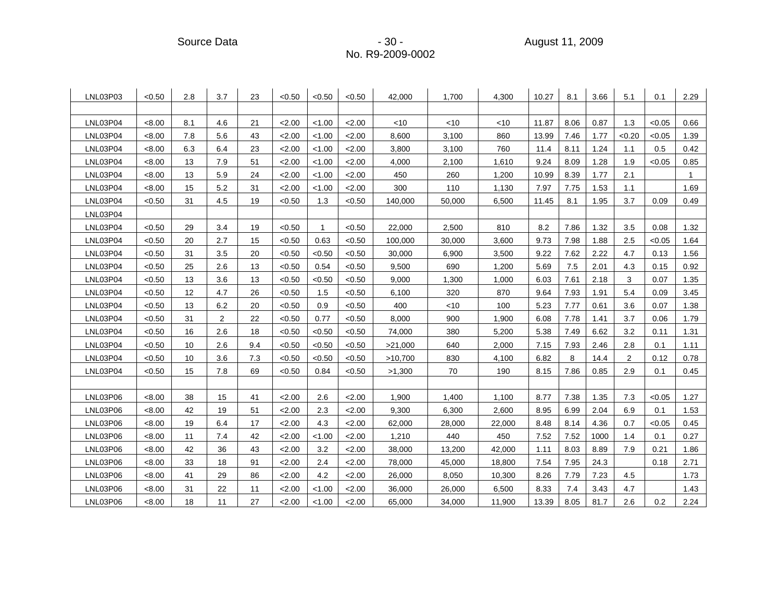| LNL03P03 | < 0.50 | 2.8 | 3.7            | 23  | < 0.50 | < 0.50       | < 0.50 | 42,000  | 1,700  | 4,300  | 10.27 | 8.1  | 3.66 | 5.1            | 0.1    | 2.29 |
|----------|--------|-----|----------------|-----|--------|--------------|--------|---------|--------|--------|-------|------|------|----------------|--------|------|
|          |        |     |                |     |        |              |        |         |        |        |       |      |      |                |        |      |
| LNL03P04 | < 8.00 | 8.1 | 4.6            | 21  | 2.00   | < 1.00       | 2.00   | < 10    | $<$ 10 | $<$ 10 | 11.87 | 8.06 | 0.87 | 1.3            | < 0.05 | 0.66 |
| LNL03P04 | < 8.00 | 7.8 | 5.6            | 43  | 2.00   | < 1.00       | 2.00   | 8,600   | 3,100  | 860    | 13.99 | 7.46 | 1.77 | < 0.20         | < 0.05 | 1.39 |
| LNL03P04 | < 8.00 | 6.3 | 6.4            | 23  | 2.00   | < 1.00       | 2.00   | 3,800   | 3,100  | 760    | 11.4  | 8.11 | 1.24 | 1.1            | 0.5    | 0.42 |
| LNL03P04 | < 8.00 | 13  | 7.9            | 51  | 2.00   | < 1.00       | < 2.00 | 4,000   | 2,100  | 1,610  | 9.24  | 8.09 | 1.28 | 1.9            | < 0.05 | 0.85 |
| LNL03P04 | <8.00  | 13  | 5.9            | 24  | 2.00   | < 1.00       | 2.00   | 450     | 260    | 1,200  | 10.99 | 8.39 | 1.77 | 2.1            |        |      |
| LNL03P04 | < 8.00 | 15  | 5.2            | 31  | 2.00   | < 1.00       | 2.00   | 300     | 110    | 1,130  | 7.97  | 7.75 | 1.53 | 1.1            |        | 1.69 |
| LNL03P04 | < 0.50 | 31  | 4.5            | 19  | < 0.50 | 1.3          | < 0.50 | 140,000 | 50,000 | 6,500  | 11.45 | 8.1  | 1.95 | 3.7            | 0.09   | 0.49 |
| LNL03P04 |        |     |                |     |        |              |        |         |        |        |       |      |      |                |        |      |
| LNL03P04 | < 0.50 | 29  | 3.4            | 19  | < 0.50 | $\mathbf{1}$ | < 0.50 | 22,000  | 2,500  | 810    | 8.2   | 7.86 | 1.32 | 3.5            | 0.08   | 1.32 |
| LNL03P04 | < 0.50 | 20  | 2.7            | 15  | < 0.50 | 0.63         | < 0.50 | 100,000 | 30,000 | 3,600  | 9.73  | 7.98 | 1.88 | 2.5            | < 0.05 | 1.64 |
| LNL03P04 | < 0.50 | 31  | 3.5            | 20  | < 0.50 | < 0.50       | <0.50  | 30,000  | 6,900  | 3,500  | 9.22  | 7.62 | 2.22 | 4.7            | 0.13   | 1.56 |
| LNL03P04 | < 0.50 | 25  | 2.6            | 13  | < 0.50 | 0.54         | < 0.50 | 9,500   | 690    | 1,200  | 5.69  | 7.5  | 2.01 | 4.3            | 0.15   | 0.92 |
| LNL03P04 | < 0.50 | 13  | 3.6            | 13  | < 0.50 | < 0.50       | < 0.50 | 9,000   | 1,300  | 1,000  | 6.03  | 7.61 | 2.18 | 3              | 0.07   | 1.35 |
| LNL03P04 | < 0.50 | 12  | 4.7            | 26  | < 0.50 | 1.5          | < 0.50 | 6,100   | 320    | 870    | 9.64  | 7.93 | 1.91 | 5.4            | 0.09   | 3.45 |
| LNL03P04 | < 0.50 | 13  | 6.2            | 20  | < 0.50 | 0.9          | < 0.50 | 400     | < 10   | 100    | 5.23  | 7.77 | 0.61 | 3.6            | 0.07   | 1.38 |
| LNL03P04 | < 0.50 | 31  | $\overline{2}$ | 22  | < 0.50 | 0.77         | < 0.50 | 8,000   | 900    | 1,900  | 6.08  | 7.78 | 1.41 | 3.7            | 0.06   | 1.79 |
| LNL03P04 | < 0.50 | 16  | 2.6            | 18  | < 0.50 | < 0.50       | <0.50  | 74,000  | 380    | 5,200  | 5.38  | 7.49 | 6.62 | 3.2            | 0.11   | 1.31 |
| LNL03P04 | < 0.50 | 10  | 2.6            | 9.4 | < 0.50 | < 0.50       | < 0.50 | >21,000 | 640    | 2,000  | 7.15  | 7.93 | 2.46 | 2.8            | 0.1    | 1.11 |
| LNL03P04 | < 0.50 | 10  | 3.6            | 7.3 | < 0.50 | < 0.50       | <0.50  | >10,700 | 830    | 4,100  | 6.82  | 8    | 14.4 | $\overline{2}$ | 0.12   | 0.78 |
| LNL03P04 | < 0.50 | 15  | 7.8            | 69  | < 0.50 | 0.84         | < 0.50 | >1,300  | 70     | 190    | 8.15  | 7.86 | 0.85 | 2.9            | 0.1    | 0.45 |
|          |        |     |                |     |        |              |        |         |        |        |       |      |      |                |        |      |
| LNL03P06 | < 8.00 | 38  | 15             | 41  | 2.00   | 2.6          | 2.00   | 1,900   | 1,400  | 1,100  | 8.77  | 7.38 | 1.35 | 7.3            | < 0.05 | 1.27 |
| LNL03P06 | < 8.00 | 42  | 19             | 51  | 2.00   | 2.3          | 2.00   | 9,300   | 6,300  | 2,600  | 8.95  | 6.99 | 2.04 | 6.9            | 0.1    | 1.53 |
| LNL03P06 | < 8.00 | 19  | 6.4            | 17  | 2.00   | 4.3          | 2.00   | 62,000  | 28,000 | 22,000 | 8.48  | 8.14 | 4.36 | 0.7            | < 0.05 | 0.45 |
| LNL03P06 | < 8.00 | 11  | 7.4            | 42  | 2.00   | < 1.00       | 2.00   | 1,210   | 440    | 450    | 7.52  | 7.52 | 1000 | 1.4            | 0.1    | 0.27 |
| LNL03P06 | < 8.00 | 42  | 36             | 43  | 2.00   | 3.2          | 2.00   | 38,000  | 13,200 | 42,000 | 1.11  | 8.03 | 8.89 | 7.9            | 0.21   | 1.86 |
| LNL03P06 | < 8.00 | 33  | 18             | 91  | 2.00   | 2.4          | 2.00   | 78,000  | 45,000 | 18,800 | 7.54  | 7.95 | 24.3 |                | 0.18   | 2.71 |
| LNL03P06 | < 8.00 | 41  | 29             | 86  | 2.00   | 4.2          | 2.00   | 26,000  | 8,050  | 10,300 | 8.26  | 7.79 | 7.23 | 4.5            |        | 1.73 |
| LNL03P06 | < 8.00 | 31  | 22             | 11  | 2.00   | < 1.00       | 2.00   | 36,000  | 26,000 | 6,500  | 8.33  | 7.4  | 3.43 | 4.7            |        | 1.43 |
| LNL03P06 | < 8.00 | 18  | 11             | 27  | 2.00   | < 1.00       | 2.00   | 65,000  | 34,000 | 11,900 | 13.39 | 8.05 | 81.7 | 2.6            | 0.2    | 2.24 |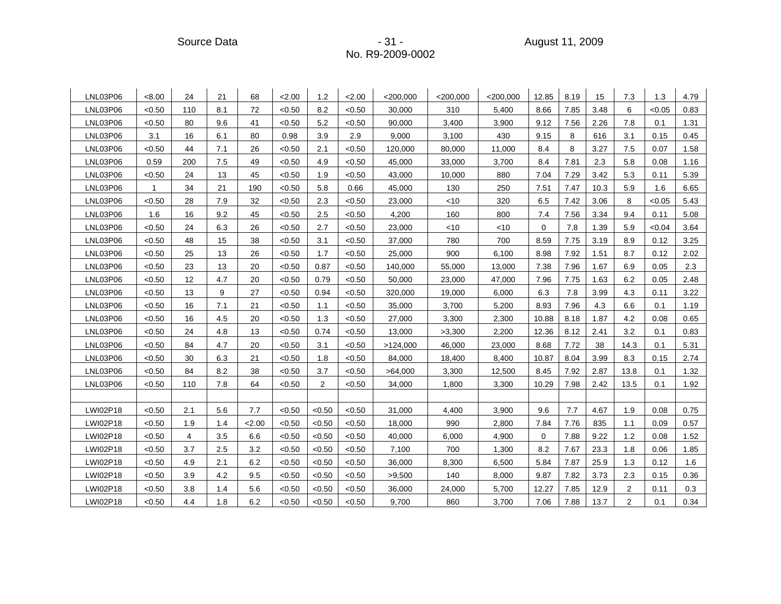Source Data - 31 - August 11, 2009

| LNL03P06 | < 8.00       | 24             | 21  | 68      | 2.00   | 1.2    | 2.00   | $<$ 200,000 | $<$ 200,000 | $<$ 200,000 | 12.85       | 8.19 | 15   | 7.3            | 1.3    | 4.79 |
|----------|--------------|----------------|-----|---------|--------|--------|--------|-------------|-------------|-------------|-------------|------|------|----------------|--------|------|
| LNL03P06 | < 0.50       | 110            | 8.1 | 72      | < 0.50 | 8.2    | < 0.50 | 30,000      | 310         | 5,400       | 8.66        | 7.85 | 3.48 | 6              | < 0.05 | 0.83 |
| LNL03P06 | < 0.50       | 80             | 9.6 | 41      | < 0.50 | 5.2    | < 0.50 | 90,000      | 3,400       | 3,900       | 9.12        | 7.56 | 2.26 | 7.8            | 0.1    | 1.31 |
| LNL03P06 | 3.1          | 16             | 6.1 | 80      | 0.98   | 3.9    | 2.9    | 9,000       | 3,100       | 430         | 9.15        | 8    | 616  | 3.1            | 0.15   | 0.45 |
| LNL03P06 | < 0.50       | 44             | 7.1 | 26      | < 0.50 | 2.1    | < 0.50 | 120,000     | 80,000      | 11,000      | 8.4         | 8    | 3.27 | 7.5            | 0.07   | 1.58 |
| LNL03P06 | 0.59         | 200            | 7.5 | 49      | < 0.50 | 4.9    | < 0.50 | 45,000      | 33,000      | 3,700       | 8.4         | 7.81 | 2.3  | 5.8            | 0.08   | 1.16 |
| LNL03P06 | < 0.50       | 24             | 13  | 45      | < 0.50 | 1.9    | < 0.50 | 43,000      | 10,000      | 880         | 7.04        | 7.29 | 3.42 | 5.3            | 0.11   | 5.39 |
| LNL03P06 | $\mathbf{1}$ | 34             | 21  | 190     | < 0.50 | 5.8    | 0.66   | 45,000      | 130         | 250         | 7.51        | 7.47 | 10.3 | 5.9            | 1.6    | 6.65 |
| LNL03P06 | < 0.50       | 28             | 7.9 | 32      | < 0.50 | 2.3    | < 0.50 | 23,000      | < 10        | 320         | 6.5         | 7.42 | 3.06 | 8              | < 0.05 | 5.43 |
| LNL03P06 | 1.6          | 16             | 9.2 | 45      | < 0.50 | 2.5    | <0.50  | 4,200       | 160         | 800         | 7.4         | 7.56 | 3.34 | 9.4            | 0.11   | 5.08 |
| LNL03P06 | < 0.50       | 24             | 6.3 | 26      | < 0.50 | 2.7    | < 0.50 | 23,000      | < 10        | < 10        | $\mathbf 0$ | 7.8  | 1.39 | 5.9            | <0.04  | 3.64 |
| LNL03P06 | < 0.50       | 48             | 15  | 38      | < 0.50 | 3.1    | < 0.50 | 37,000      | 780         | 700         | 8.59        | 7.75 | 3.19 | 8.9            | 0.12   | 3.25 |
| LNL03P06 | < 0.50       | 25             | 13  | 26      | < 0.50 | 1.7    | <0.50  | 25,000      | 900         | 6,100       | 8.98        | 7.92 | 1.51 | 8.7            | 0.12   | 2.02 |
| LNL03P06 | < 0.50       | 23             | 13  | 20      | < 0.50 | 0.87   | < 0.50 | 140,000     | 55,000      | 13,000      | 7.38        | 7.96 | 1.67 | 6.9            | 0.05   | 2.3  |
| LNL03P06 | < 0.50       | 12             | 4.7 | 20      | < 0.50 | 0.79   | < 0.50 | 50,000      | 23,000      | 47,000      | 7.96        | 7.75 | 1.63 | 6.2            | 0.05   | 2.48 |
| LNL03P06 | < 0.50       | 13             | 9   | 27      | < 0.50 | 0.94   | <0.50  | 320,000     | 19,000      | 6,000       | 6.3         | 7.8  | 3.99 | 4.3            | 0.11   | 3.22 |
| LNL03P06 | < 0.50       | 16             | 7.1 | 21      | < 0.50 | 1.1    | < 0.50 | 35,000      | 3,700       | 5,200       | 8.93        | 7.96 | 4.3  | 6.6            | 0.1    | 1.19 |
| LNL03P06 | < 0.50       | 16             | 4.5 | 20      | < 0.50 | 1.3    | < 0.50 | 27,000      | 3,300       | 2,300       | 10.88       | 8.18 | 1.87 | 4.2            | 0.08   | 0.65 |
| LNL03P06 | < 0.50       | 24             | 4.8 | 13      | < 0.50 | 0.74   | <0.50  | 13,000      | >3,300      | 2,200       | 12.36       | 8.12 | 2.41 | 3.2            | 0.1    | 0.83 |
| LNL03P06 | < 0.50       | 84             | 4.7 | 20      | < 0.50 | 3.1    | < 0.50 | >124,000    | 46,000      | 23,000      | 8.68        | 7.72 | 38   | 14.3           | 0.1    | 5.31 |
| LNL03P06 | < 0.50       | 30             | 6.3 | 21      | < 0.50 | 1.8    | < 0.50 | 84,000      | 18,400      | 8,400       | 10.87       | 8.04 | 3.99 | 8.3            | 0.15   | 2.74 |
| LNL03P06 | < 0.50       | 84             | 8.2 | 38      | < 0.50 | 3.7    | < 0.50 | >64,000     | 3,300       | 12,500      | 8.45        | 7.92 | 2.87 | 13.8           | 0.1    | 1.32 |
| LNL03P06 | < 0.50       | 110            | 7.8 | 64      | < 0.50 | 2      | < 0.50 | 34,000      | 1,800       | 3,300       | 10.29       | 7.98 | 2.42 | 13.5           | 0.1    | 1.92 |
|          |              |                |     |         |        |        |        |             |             |             |             |      |      |                |        |      |
| LWI02P18 | < 0.50       | 2.1            | 5.6 | 7.7     | < 0.50 | < 0.50 | < 0.50 | 31,000      | 4,400       | 3,900       | 9.6         | 7.7  | 4.67 | 1.9            | 0.08   | 0.75 |
| LWI02P18 | < 0.50       | 1.9            | 1.4 | 2.00    | < 0.50 | < 0.50 | < 0.50 | 18,000      | 990         | 2,800       | 7.84        | 7.76 | 835  | 1.1            | 0.09   | 0.57 |
| LWI02P18 | < 0.50       | $\overline{4}$ | 3.5 | 6.6     | < 0.50 | < 0.50 | < 0.50 | 40,000      | 6,000       | 4,900       | 0           | 7.88 | 9.22 | 1.2            | 0.08   | 1.52 |
| LWI02P18 | < 0.50       | 3.7            | 2.5 | 3.2     | < 0.50 | <0.50  | <0.50  | 7,100       | 700         | 1,300       | 8.2         | 7.67 | 23.3 | 1.8            | 0.06   | 1.85 |
| LWI02P18 | < 0.50       | 4.9            | 2.1 | $6.2\,$ | < 0.50 | < 0.50 | < 0.50 | 36,000      | 8,300       | 6,500       | 5.84        | 7.87 | 25.9 | 1.3            | 0.12   | 1.6  |
| LWI02P18 | < 0.50       | 3.9            | 4.2 | 9.5     | < 0.50 | < 0.50 | < 0.50 | >9,500      | 140         | 8,000       | 9.87        | 7.82 | 3.73 | 2.3            | 0.15   | 0.36 |
| LWI02P18 | < 0.50       | 3.8            | 1.4 | 5.6     | < 0.50 | <0.50  | <0.50  | 36,000      | 24,000      | 5,700       | 12.27       | 7.85 | 12.9 | 2              | 0.11   | 0.3  |
| LWI02P18 | < 0.50       | 4.4            | 1.8 | 6.2     | < 0.50 | < 0.50 | < 0.50 | 9,700       | 860         | 3,700       | 7.06        | 7.88 | 13.7 | $\overline{c}$ | 0.1    | 0.34 |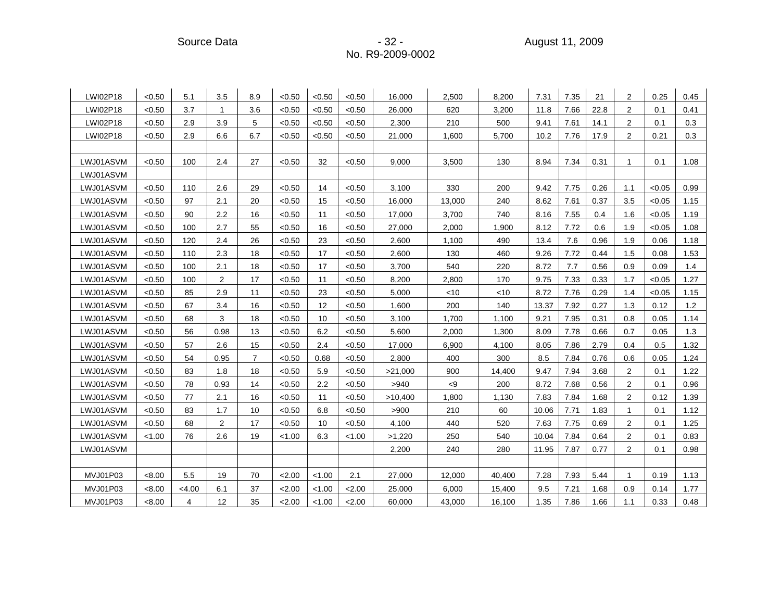Source Data - 32 - August 11, 2009

| LWI02P18  | < 0.50 | 5.1            | 3.5  | 8.9            | < 0.50 | < 0.50 | < 0.50 | 16,000  | 2,500           | 8,200  | 7.31  | 7.35 | 21   | $\overline{2}$ | 0.25   | 0.45 |
|-----------|--------|----------------|------|----------------|--------|--------|--------|---------|-----------------|--------|-------|------|------|----------------|--------|------|
| LWI02P18  | < 0.50 | 3.7            | 1    | 3.6            | < 0.50 | < 0.50 | < 0.50 | 26,000  | 620             | 3,200  | 11.8  | 7.66 | 22.8 | $\overline{2}$ | 0.1    | 0.41 |
| LWI02P18  | < 0.50 | 2.9            | 3.9  | 5              | < 0.50 | < 0.50 | < 0.50 | 2,300   | 210             | 500    | 9.41  | 7.61 | 14.1 | $\overline{2}$ | 0.1    | 0.3  |
| LWI02P18  | < 0.50 | 2.9            | 6.6  | 6.7            | < 0.50 | < 0.50 | < 0.50 | 21,000  | 1,600           | 5,700  | 10.2  | 7.76 | 17.9 | 2              | 0.21   | 0.3  |
|           |        |                |      |                |        |        |        |         |                 |        |       |      |      |                |        |      |
| LWJ01ASVM | < 0.50 | 100            | 2.4  | 27             | < 0.50 | 32     | < 0.50 | 9,000   | 3,500           | 130    | 8.94  | 7.34 | 0.31 | 1              | 0.1    | 1.08 |
| LWJ01ASVM |        |                |      |                |        |        |        |         |                 |        |       |      |      |                |        |      |
| LWJ01ASVM | < 0.50 | 110            | 2.6  | 29             | < 0.50 | 14     | < 0.50 | 3,100   | 330             | 200    | 9.42  | 7.75 | 0.26 | 1.1            | < 0.05 | 0.99 |
| LWJ01ASVM | < 0.50 | 97             | 2.1  | 20             | < 0.50 | 15     | < 0.50 | 16,000  | 13,000          | 240    | 8.62  | 7.61 | 0.37 | 3.5            | < 0.05 | 1.15 |
| LWJ01ASVM | < 0.50 | 90             | 2.2  | 16             | < 0.50 | 11     | < 0.50 | 17,000  | 3,700           | 740    | 8.16  | 7.55 | 0.4  | 1.6            | < 0.05 | 1.19 |
| LWJ01ASVM | < 0.50 | 100            | 2.7  | 55             | < 0.50 | 16     | < 0.50 | 27,000  | 2,000           | 1,900  | 8.12  | 7.72 | 0.6  | 1.9            | < 0.05 | 1.08 |
| LWJ01ASVM | < 0.50 | 120            | 2.4  | 26             | < 0.50 | 23     | < 0.50 | 2,600   | 1,100           | 490    | 13.4  | 7.6  | 0.96 | 1.9            | 0.06   | 1.18 |
| LWJ01ASVM | < 0.50 | 110            | 2.3  | 18             | < 0.50 | 17     | < 0.50 | 2,600   | 130             | 460    | 9.26  | 7.72 | 0.44 | 1.5            | 0.08   | 1.53 |
| LWJ01ASVM | < 0.50 | 100            | 2.1  | 18             | < 0.50 | 17     | < 0.50 | 3,700   | 540             | 220    | 8.72  | 7.7  | 0.56 | 0.9            | 0.09   | 1.4  |
| LWJ01ASVM | < 0.50 | 100            | 2    | 17             | < 0.50 | 11     | < 0.50 | 8,200   | 2,800           | 170    | 9.75  | 7.33 | 0.33 | 1.7            | < 0.05 | 1.27 |
| LWJ01ASVM | < 0.50 | 85             | 2.9  | 11             | <0.50  | 23     | < 0.50 | 5,000   | $<$ 10          | <10    | 8.72  | 7.76 | 0.29 | 1.4            | < 0.05 | 1.15 |
| LWJ01ASVM | < 0.50 | 67             | 3.4  | 16             | < 0.50 | 12     | < 0.50 | 1,600   | 200             | 140    | 13.37 | 7.92 | 0.27 | 1.3            | 0.12   | 1.2  |
| LWJ01ASVM | < 0.50 | 68             | 3    | 18             | < 0.50 | 10     | < 0.50 | 3,100   | 1,700           | 1,100  | 9.21  | 7.95 | 0.31 | 0.8            | 0.05   | 1.14 |
| LWJ01ASVM | < 0.50 | 56             | 0.98 | 13             | < 0.50 | 6.2    | < 0.50 | 5,600   | 2,000           | 1,300  | 8.09  | 7.78 | 0.66 | 0.7            | 0.05   | 1.3  |
| LWJ01ASVM | < 0.50 | 57             | 2.6  | 15             | < 0.50 | 2.4    | < 0.50 | 17,000  | 6,900           | 4,100  | 8.05  | 7.86 | 2.79 | 0.4            | 0.5    | 1.32 |
| LWJ01ASVM | < 0.50 | 54             | 0.95 | $\overline{7}$ | < 0.50 | 0.68   | < 0.50 | 2,800   | 400             | 300    | 8.5   | 7.84 | 0.76 | 0.6            | 0.05   | 1.24 |
| LWJ01ASVM | < 0.50 | 83             | 1.8  | 18             | < 0.50 | 5.9    | < 0.50 | >21,000 | 900             | 14,400 | 9.47  | 7.94 | 3.68 | $\overline{2}$ | 0.1    | 1.22 |
| LWJ01ASVM | < 0.50 | 78             | 0.93 | 14             | < 0.50 | 2.2    | < 0.50 | >940    | $< \negspace 9$ | 200    | 8.72  | 7.68 | 0.56 | $\overline{2}$ | 0.1    | 0.96 |
| LWJ01ASVM | < 0.50 | 77             | 2.1  | 16             | < 0.50 | 11     | < 0.50 | >10,400 | 1,800           | 1,130  | 7.83  | 7.84 | 1.68 | $\overline{2}$ | 0.12   | 1.39 |
| LWJ01ASVM | < 0.50 | 83             | 1.7  | 10             | < 0.50 | 6.8    | < 0.50 | >900    | 210             | 60     | 10.06 | 7.71 | 1.83 | 1              | 0.1    | 1.12 |
| LWJ01ASVM | < 0.50 | 68             | 2    | 17             | < 0.50 | 10     | < 0.50 | 4,100   | 440             | 520    | 7.63  | 7.75 | 0.69 | $\overline{2}$ | 0.1    | 1.25 |
| LWJ01ASVM | < 1.00 | 76             | 2.6  | 19             | < 1.00 | 6.3    | < 1.00 | >1,220  | 250             | 540    | 10.04 | 7.84 | 0.64 | $\overline{2}$ | 0.1    | 0.83 |
| LWJ01ASVM |        |                |      |                |        |        |        | 2,200   | 240             | 280    | 11.95 | 7.87 | 0.77 | $\overline{2}$ | 0.1    | 0.98 |
|           |        |                |      |                |        |        |        |         |                 |        |       |      |      |                |        |      |
| MVJ01P03  | < 8.00 | 5.5            | 19   | 70             | 2.00   | 1.00   | 2.1    | 27,000  | 12,000          | 40.400 | 7.28  | 7.93 | 5.44 | $\mathbf{1}$   | 0.19   | 1.13 |
| MVJ01P03  | <8.00  | <4.00          | 6.1  | 37             | 2.00   | < 1.00 | 2.00   | 25,000  | 6,000           | 15,400 | 9.5   | 7.21 | 1.68 | 0.9            | 0.14   | 1.77 |
| MVJ01P03  | < 8.00 | $\overline{4}$ | 12   | 35             | 2.00   | < 1.00 | 2.00   | 60,000  | 43,000          | 16,100 | 1.35  | 7.86 | 1.66 | 1.1            | 0.33   | 0.48 |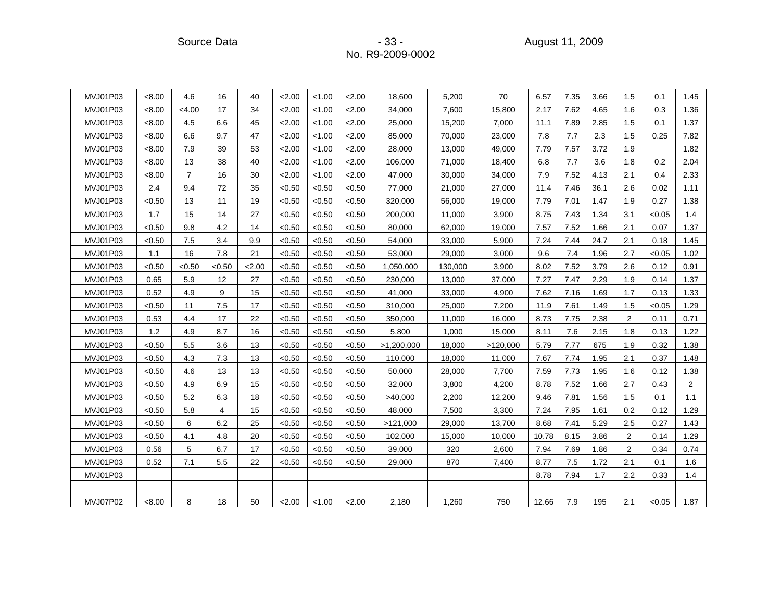| MVJ01P03 | < 8.00 | 4.6            | 16     | 40   | 2.00   | < 1.00 | 2.00   | 18.600     | 5.200   | 70       | 6.57  | 7.35 | 3.66 | 1.5              | 0.1    | 1.45           |
|----------|--------|----------------|--------|------|--------|--------|--------|------------|---------|----------|-------|------|------|------------------|--------|----------------|
| MVJ01P03 | < 8.00 | < 4.00         | 17     | 34   | 2.00   | < 1.00 | 2.00   | 34,000     | 7,600   | 15,800   | 2.17  | 7.62 | 4.65 | 1.6              | 0.3    | 1.36           |
| MVJ01P03 | < 8.00 | 4.5            | 6.6    | 45   | 2.00   | < 1.00 | 2.00   | 25,000     | 15,200  | 7,000    | 11.1  | 7.89 | 2.85 | 1.5              | 0.1    | 1.37           |
| MVJ01P03 | < 8.00 | 6.6            | 9.7    | 47   | 2.00   | < 1.00 | 2.00   | 85,000     | 70,000  | 23,000   | 7.8   | 7.7  | 2.3  | 1.5              | 0.25   | 7.82           |
| MVJ01P03 | < 8.00 | 7.9            | 39     | 53   | 2.00   | < 1.00 | 2.00   | 28,000     | 13,000  | 49,000   | 7.79  | 7.57 | 3.72 | 1.9              |        | 1.82           |
| MVJ01P03 | < 8.00 | 13             | 38     | 40   | 2.00   | < 1.00 | 2.00   | 106,000    | 71,000  | 18,400   | 6.8   | 7.7  | 3.6  | 1.8              | 0.2    | 2.04           |
| MVJ01P03 | < 8.00 | $\overline{7}$ | 16     | 30   | 2.00   | < 1.00 | 2.00   | 47,000     | 30,000  | 34,000   | 7.9   | 7.52 | 4.13 | 2.1              | 0.4    | 2.33           |
| MVJ01P03 | 2.4    | 9.4            | 72     | 35   | < 0.50 | < 0.50 | < 0.50 | 77,000     | 21,000  | 27,000   | 11.4  | 7.46 | 36.1 | 2.6              | 0.02   | 1.11           |
| MVJ01P03 | < 0.50 | 13             | 11     | 19   | < 0.50 | < 0.50 | < 0.50 | 320,000    | 56,000  | 19,000   | 7.79  | 7.01 | 1.47 | 1.9              | 0.27   | 1.38           |
| MVJ01P03 | 1.7    | 15             | 14     | 27   | < 0.50 | < 0.50 | < 0.50 | 200,000    | 11,000  | 3,900    | 8.75  | 7.43 | 1.34 | 3.1              | < 0.05 | 1.4            |
| MVJ01P03 | < 0.50 | 9.8            | 4.2    | 14   | < 0.50 | < 0.50 | < 0.50 | 80,000     | 62,000  | 19,000   | 7.57  | 7.52 | 1.66 | 2.1              | 0.07   | 1.37           |
| MVJ01P03 | < 0.50 | 7.5            | 3.4    | 9.9  | < 0.50 | < 0.50 | < 0.50 | 54,000     | 33,000  | 5,900    | 7.24  | 7.44 | 24.7 | 2.1              | 0.18   | 1.45           |
| MVJ01P03 | 1.1    | 16             | 7.8    | 21   | < 0.50 | < 0.50 | < 0.50 | 53,000     | 29,000  | 3,000    | 9.6   | 7.4  | 1.96 | 2.7              | < 0.05 | 1.02           |
| MVJ01P03 | < 0.50 | <0.50          | < 0.50 | 2.00 | < 0.50 | < 0.50 | < 0.50 | 1,050,000  | 130,000 | 3,900    | 8.02  | 7.52 | 3.79 | 2.6              | 0.12   | 0.91           |
| MVJ01P03 | 0.65   | 5.9            | 12     | 27   | < 0.50 | < 0.50 | < 0.50 | 230,000    | 13,000  | 37,000   | 7.27  | 7.47 | 2.29 | 1.9              | 0.14   | 1.37           |
| MVJ01P03 | 0.52   | 4.9            | 9      | 15   | < 0.50 | < 0.50 | < 0.50 | 41,000     | 33,000  | 4,900    | 7.62  | 7.16 | 1.69 | 1.7              | 0.13   | 1.33           |
| MVJ01P03 | < 0.50 | 11             | 7.5    | 17   | < 0.50 | < 0.50 | < 0.50 | 310,000    | 25,000  | 7,200    | 11.9  | 7.61 | 1.49 | 1.5              | < 0.05 | 1.29           |
| MVJ01P03 | 0.53   | 4.4            | 17     | 22   | < 0.50 | < 0.50 | < 0.50 | 350,000    | 11,000  | 16,000   | 8.73  | 7.75 | 2.38 | $\overline{2}$   | 0.11   | 0.71           |
| MVJ01P03 | 1.2    | 4.9            | 8.7    | 16   | < 0.50 | < 0.50 | < 0.50 | 5,800      | 1,000   | 15,000   | 8.11  | 7.6  | 2.15 | 1.8              | 0.13   | 1.22           |
| MVJ01P03 | < 0.50 | 5.5            | 3.6    | 13   | < 0.50 | < 0.50 | < 0.50 | >1,200,000 | 18,000  | >120,000 | 5.79  | 7.77 | 675  | 1.9              | 0.32   | 1.38           |
| MVJ01P03 | < 0.50 | 4.3            | 7.3    | 13   | < 0.50 | < 0.50 | < 0.50 | 110,000    | 18,000  | 11,000   | 7.67  | 7.74 | 1.95 | 2.1              | 0.37   | 1.48           |
| MVJ01P03 | < 0.50 | 4.6            | 13     | 13   | < 0.50 | < 0.50 | < 0.50 | 50,000     | 28,000  | 7,700    | 7.59  | 7.73 | 1.95 | 1.6              | 0.12   | 1.38           |
| MVJ01P03 | < 0.50 | 4.9            | 6.9    | 15   | < 0.50 | < 0.50 | < 0.50 | 32,000     | 3,800   | 4,200    | 8.78  | 7.52 | 1.66 | 2.7              | 0.43   | $\overline{2}$ |
| MVJ01P03 | < 0.50 | 5.2            | 6.3    | 18   | < 0.50 | < 0.50 | < 0.50 | >40,000    | 2,200   | 12,200   | 9.46  | 7.81 | 1.56 | 1.5              | 0.1    | 1.1            |
| MVJ01P03 | < 0.50 | 5.8            | 4      | 15   | < 0.50 | < 0.50 | < 0.50 | 48,000     | 7,500   | 3,300    | 7.24  | 7.95 | 1.61 | 0.2              | 0.12   | 1.29           |
| MVJ01P03 | < 0.50 | 6              | 6.2    | 25   | < 0.50 | < 0.50 | < 0.50 | >121,000   | 29,000  | 13,700   | 8.68  | 7.41 | 5.29 | 2.5              | 0.27   | 1.43           |
| MVJ01P03 | < 0.50 | 4.1            | 4.8    | 20   | < 0.50 | < 0.50 | < 0.50 | 102,000    | 15,000  | 10,000   | 10.78 | 8.15 | 3.86 | 2                | 0.14   | 1.29           |
| MVJ01P03 | 0.56   | $\,$ 5 $\,$    | 6.7    | 17   | < 0.50 | < 0.50 | < 0.50 | 39,000     | 320     | 2,600    | 7.94  | 7.69 | 1.86 | $\boldsymbol{2}$ | 0.34   | 0.74           |
| MVJ01P03 | 0.52   | 7.1            | 5.5    | 22   | < 0.50 | < 0.50 | < 0.50 | 29,000     | 870     | 7,400    | 8.77  | 7.5  | 1.72 | 2.1              | 0.1    | 1.6            |
| MVJ01P03 |        |                |        |      |        |        |        |            |         |          | 8.78  | 7.94 | 1.7  | 2.2              | 0.33   | 1.4            |
|          |        |                |        |      |        |        |        |            |         |          |       |      |      |                  |        |                |
| MVJ07P02 | < 8.00 | 8              | 18     | 50   | 2.00   | < 1.00 | 2.00   | 2,180      | 1,260   | 750      | 12.66 | 7.9  | 195  | 2.1              | < 0.05 | 1.87           |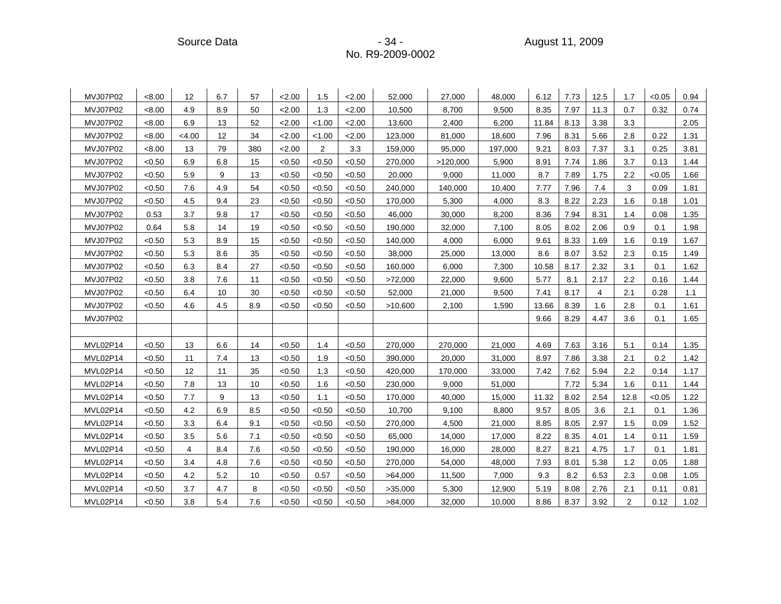Source Data - 34 - August 11, 2009

| MVJ07P02 | < 8.00 | 12    | 6.7 | 57  | 2.00   | 1.5            | 2.00   | 52,000  | 27,000   | 48,000  | 6.12  | 7.73 | 12.5 | 1.7            | < 0.05 | 0.94 |
|----------|--------|-------|-----|-----|--------|----------------|--------|---------|----------|---------|-------|------|------|----------------|--------|------|
| MVJ07P02 | < 8.00 | 4.9   | 8.9 | 50  | 2.00   | 1.3            | 2.00   | 10,500  | 8,700    | 9,500   | 8.35  | 7.97 | 11.3 | 0.7            | 0.32   | 0.74 |
| MVJ07P02 | < 8.00 | 6.9   | 13  | 52  | 2.00   | < 1.00         | 2.00   | 13,600  | 2,400    | 6,200   | 11.84 | 8.13 | 3.38 | 3.3            |        | 2.05 |
| MVJ07P02 | < 8.00 | <4.00 | 12  | 34  | 2.00   | < 1.00         | 2.00   | 123,000 | 81,000   | 18,600  | 7.96  | 8.31 | 5.66 | 2.8            | 0.22   | 1.31 |
| MVJ07P02 | < 8.00 | 13    | 79  | 380 | 2.00   | $\overline{2}$ | 3.3    | 159,000 | 95,000   | 197,000 | 9.21  | 8.03 | 7.37 | 3.1            | 0.25   | 3.81 |
| MVJ07P02 | < 0.50 | 6.9   | 6.8 | 15  | < 0.50 | < 0.50         | < 0.50 | 270,000 | >120,000 | 5,900   | 8.91  | 7.74 | 1.86 | 3.7            | 0.13   | 1.44 |
| MVJ07P02 | < 0.50 | 5.9   | 9   | 13  | < 0.50 | <0.50          | < 0.50 | 20,000  | 9,000    | 11,000  | 8.7   | 7.89 | 1.75 | 2.2            | < 0.05 | 1.66 |
| MVJ07P02 | < 0.50 | 7.6   | 4.9 | 54  | < 0.50 | < 0.50         | < 0.50 | 240,000 | 140,000  | 10,400  | 7.77  | 7.96 | 7.4  | 3              | 0.09   | 1.81 |
| MVJ07P02 | < 0.50 | 4.5   | 9.4 | 23  | < 0.50 | < 0.50         | < 0.50 | 170,000 | 5,300    | 4,000   | 8.3   | 8.22 | 2.23 | 1.6            | 0.18   | 1.01 |
| MVJ07P02 | 0.53   | 3.7   | 9.8 | 17  | < 0.50 | < 0.50         | < 0.50 | 46,000  | 30,000   | 8,200   | 8.36  | 7.94 | 8.31 | 1.4            | 0.08   | 1.35 |
| MVJ07P02 | 0.64   | 5.8   | 14  | 19  | < 0.50 | < 0.50         | < 0.50 | 190,000 | 32,000   | 7,100   | 8.05  | 8.02 | 2.06 | 0.9            | 0.1    | 1.98 |
| MVJ07P02 | < 0.50 | 5.3   | 8.9 | 15  | < 0.50 | < 0.50         | < 0.50 | 140,000 | 4,000    | 6,000   | 9.61  | 8.33 | 1.69 | 1.6            | 0.19   | 1.67 |
| MVJ07P02 | < 0.50 | 5.3   | 8.6 | 35  | < 0.50 | < 0.50         | < 0.50 | 38,000  | 25,000   | 13,000  | 8.6   | 8.07 | 3.52 | 2.3            | 0.15   | 1.49 |
| MVJ07P02 | < 0.50 | 6.3   | 8.4 | 27  | < 0.50 | < 0.50         | < 0.50 | 160,000 | 6,000    | 7,300   | 10.58 | 8.17 | 2.32 | 3.1            | 0.1    | 1.62 |
| MVJ07P02 | < 0.50 | 3.8   | 7.6 | 11  | < 0.50 | < 0.50         | < 0.50 | >72,000 | 22,000   | 9,600   | 5.77  | 8.1  | 2.17 | 2.2            | 0.16   | 1.44 |
| MVJ07P02 | < 0.50 | 6.4   | 10  | 30  | < 0.50 | < 0.50         | < 0.50 | 52,000  | 21,000   | 9,500   | 7.41  | 8.17 | 4    | 2.1            | 0.28   | 1.1  |
| MVJ07P02 | < 0.50 | 4.6   | 4.5 | 8.9 | < 0.50 | < 0.50         | < 0.50 | >10,600 | 2,100    | 1,590   | 13.66 | 8.39 | 1.6  | 2.8            | 0.1    | 1.61 |
| MVJ07P02 |        |       |     |     |        |                |        |         |          |         | 9.66  | 8.29 | 4.47 | 3.6            | 0.1    | 1.65 |
|          |        |       |     |     |        |                |        |         |          |         |       |      |      |                |        |      |
| MVL02P14 | < 0.50 | 13    | 6.6 | 14  | < 0.50 | 1.4            | < 0.50 | 270,000 | 270,000  | 21,000  | 4.69  | 7.63 | 3.16 | 5.1            | 0.14   | 1.35 |
| MVL02P14 | < 0.50 | 11    | 7.4 | 13  | < 0.50 | 1.9            | < 0.50 | 390,000 | 20,000   | 31,000  | 8.97  | 7.86 | 3.38 | 2.1            | 0.2    | 1.42 |
| MVL02P14 | < 0.50 | 12    | 11  | 35  | < 0.50 | 1.3            | < 0.50 | 420,000 | 170,000  | 33,000  | 7.42  | 7.62 | 5.94 | 2.2            | 0.14   | 1.17 |
| MVL02P14 | < 0.50 | 7.8   | 13  | 10  | < 0.50 | 1.6            | < 0.50 | 230,000 | 9,000    | 51,000  |       | 7.72 | 5.34 | 1.6            | 0.11   | 1.44 |
| MVL02P14 | < 0.50 | 7.7   | 9   | 13  | < 0.50 | 1.1            | < 0.50 | 170,000 | 40,000   | 15,000  | 11.32 | 8.02 | 2.54 | 12.8           | < 0.05 | 1.22 |
| MVL02P14 | < 0.50 | 4.2   | 6.9 | 8.5 | < 0.50 | < 0.50         | < 0.50 | 10,700  | 9,100    | 8,800   | 9.57  | 8.05 | 3.6  | 2.1            | 0.1    | 1.36 |
| MVL02P14 | < 0.50 | 3.3   | 6.4 | 9.1 | < 0.50 | < 0.50         | < 0.50 | 270,000 | 4,500    | 21,000  | 8.85  | 8.05 | 2.97 | 1.5            | 0.09   | 1.52 |
| MVL02P14 | < 0.50 | 3.5   | 5.6 | 7.1 | < 0.50 | < 0.50         | < 0.50 | 65,000  | 14,000   | 17,000  | 8.22  | 8.35 | 4.01 | 1.4            | 0.11   | 1.59 |
| MVL02P14 | < 0.50 | 4     | 8.4 | 7.6 | < 0.50 | < 0.50         | < 0.50 | 190,000 | 16,000   | 28,000  | 8.27  | 8.21 | 4.75 | 1.7            | 0.1    | 1.81 |
| MVL02P14 | < 0.50 | 3.4   | 4.8 | 7.6 | < 0.50 | < 0.50         | < 0.50 | 270,000 | 54,000   | 48,000  | 7.93  | 8.01 | 5.38 | 1.2            | 0.05   | 1.88 |
| MVL02P14 | < 0.50 | 4.2   | 5.2 | 10  | < 0.50 | 0.57           | < 0.50 | >64,000 | 11,500   | 7,000   | 9.3   | 8.2  | 6.53 | 2.3            | 0.08   | 1.05 |
| MVL02P14 | < 0.50 | 3.7   | 4.7 | 8   | < 0.50 | <0.50          | < 0.50 | >35,000 | 5,300    | 12,900  | 5.19  | 8.08 | 2.76 | 2.1            | 0.11   | 0.81 |
| MVL02P14 | <0.50  | 3.8   | 5.4 | 7.6 | <0.50  | <0.50          | < 0.50 | >84,000 | 32,000   | 10,000  | 8.86  | 8.37 | 3.92 | $\overline{c}$ | 0.12   | 1.02 |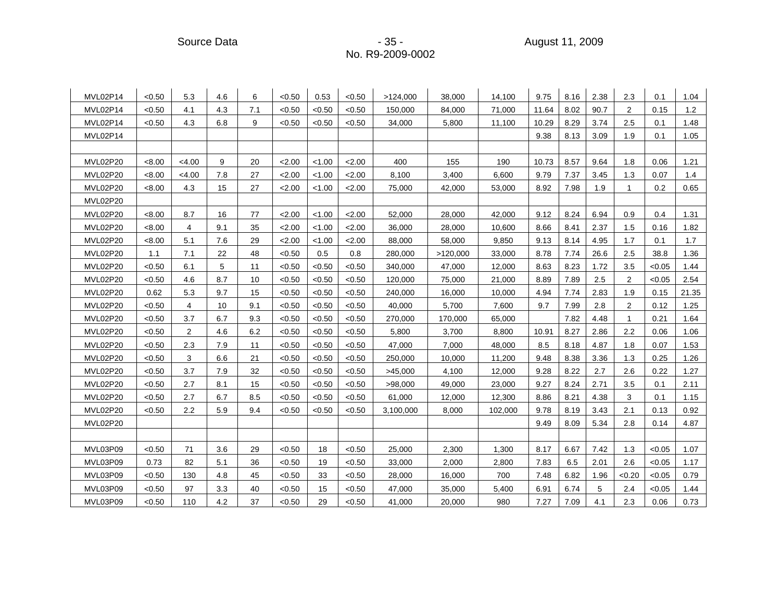Source Data - 35 - 35 - 35 - 35 - 35 - 35 - 39 - 3009 - 39 - 35 - 35 - 35 - 35 - 3009 - 35 - 3009 - 35 - 3009

| MVL02P14 | < 0.50 | 5.3            | 4.6 | 6   | < 0.50 | 0.53   | < 0.50 | >124,000  | 38,000   | 14,100  | 9.75  | 8.16 | 2.38 | 2.3          | 0.1    | 1.04  |
|----------|--------|----------------|-----|-----|--------|--------|--------|-----------|----------|---------|-------|------|------|--------------|--------|-------|
| MVL02P14 | < 0.50 | 4.1            | 4.3 | 7.1 | < 0.50 | < 0.50 | < 0.50 | 150,000   | 84,000   | 71,000  | 11.64 | 8.02 | 90.7 | 2            | 0.15   | 1.2   |
| MVL02P14 | < 0.50 | 4.3            | 6.8 | 9   | < 0.50 | < 0.50 | < 0.50 | 34,000    | 5,800    | 11,100  | 10.29 | 8.29 | 3.74 | 2.5          | 0.1    | 1.48  |
| MVL02P14 |        |                |     |     |        |        |        |           |          |         | 9.38  | 8.13 | 3.09 | 1.9          | 0.1    | 1.05  |
|          |        |                |     |     |        |        |        |           |          |         |       |      |      |              |        |       |
| MVL02P20 | < 8.00 | < 4.00         | 9   | 20  | 2.00   | < 1.00 | 2.00   | 400       | 155      | 190     | 10.73 | 8.57 | 9.64 | 1.8          | 0.06   | 1.21  |
| MVL02P20 | < 8.00 | <4.00          | 7.8 | 27  | 2.00   | < 1.00 | 2.00   | 8,100     | 3,400    | 6,600   | 9.79  | 7.37 | 3.45 | 1.3          | 0.07   | 1.4   |
| MVL02P20 | < 8.00 | 4.3            | 15  | 27  | 2.00   | < 1.00 | 2.00   | 75,000    | 42,000   | 53,000  | 8.92  | 7.98 | 1.9  | $\mathbf{1}$ | 0.2    | 0.65  |
| MVL02P20 |        |                |     |     |        |        |        |           |          |         |       |      |      |              |        |       |
| MVL02P20 | < 8.00 | 8.7            | 16  | 77  | 2.00   | < 1.00 | 2.00   | 52,000    | 28,000   | 42,000  | 9.12  | 8.24 | 6.94 | 0.9          | 0.4    | 1.31  |
| MVL02P20 | < 8.00 | 4              | 9.1 | 35  | 2.00   | < 1.00 | 2.00   | 36,000    | 28,000   | 10,600  | 8.66  | 8.41 | 2.37 | 1.5          | 0.16   | 1.82  |
| MVL02P20 | < 8.00 | 5.1            | 7.6 | 29  | 2.00   | < 1.00 | 2.00   | 88,000    | 58,000   | 9,850   | 9.13  | 8.14 | 4.95 | 1.7          | 0.1    | 1.7   |
| MVL02P20 | 1.1    | 7.1            | 22  | 48  | < 0.50 | 0.5    | 0.8    | 280,000   | >120,000 | 33,000  | 8.78  | 7.74 | 26.6 | 2.5          | 38.8   | 1.36  |
| MVL02P20 | < 0.50 | 6.1            | 5   | 11  | < 0.50 | < 0.50 | < 0.50 | 340,000   | 47,000   | 12,000  | 8.63  | 8.23 | 1.72 | 3.5          | < 0.05 | 1.44  |
| MVL02P20 | < 0.50 | 4.6            | 8.7 | 10  | < 0.50 | < 0.50 | < 0.50 | 120,000   | 75,000   | 21,000  | 8.89  | 7.89 | 2.5  | 2            | < 0.05 | 2.54  |
| MVL02P20 | 0.62   | 5.3            | 9.7 | 15  | < 0.50 | < 0.50 | < 0.50 | 240,000   | 16,000   | 10,000  | 4.94  | 7.74 | 2.83 | 1.9          | 0.15   | 21.35 |
| MVL02P20 | < 0.50 | 4              | 10  | 9.1 | < 0.50 | < 0.50 | < 0.50 | 40,000    | 5,700    | 7,600   | 9.7   | 7.99 | 2.8  | $\mathbf{2}$ | 0.12   | 1.25  |
| MVL02P20 | < 0.50 | 3.7            | 6.7 | 9.3 | < 0.50 | < 0.50 | < 0.50 | 270,000   | 170,000  | 65,000  |       | 7.82 | 4.48 | $\mathbf{1}$ | 0.21   | 1.64  |
| MVL02P20 | < 0.50 | $\overline{2}$ | 4.6 | 6.2 | < 0.50 | < 0.50 | < 0.50 | 5,800     | 3,700    | 8,800   | 10.91 | 8.27 | 2.86 | 2.2          | 0.06   | 1.06  |
| MVL02P20 | < 0.50 | 2.3            | 7.9 | 11  | < 0.50 | < 0.50 | < 0.50 | 47,000    | 7,000    | 48,000  | 8.5   | 8.18 | 4.87 | 1.8          | 0.07   | 1.53  |
| MVL02P20 | < 0.50 | 3              | 6.6 | 21  | < 0.50 | < 0.50 | < 0.50 | 250,000   | 10,000   | 11,200  | 9.48  | 8.38 | 3.36 | 1.3          | 0.25   | 1.26  |
| MVL02P20 | < 0.50 | 3.7            | 7.9 | 32  | < 0.50 | < 0.50 | < 0.50 | >45,000   | 4,100    | 12,000  | 9.28  | 8.22 | 2.7  | 2.6          | 0.22   | 1.27  |
| MVL02P20 | < 0.50 | 2.7            | 8.1 | 15  | < 0.50 | < 0.50 | < 0.50 | >98,000   | 49,000   | 23,000  | 9.27  | 8.24 | 2.71 | 3.5          | 0.1    | 2.11  |
| MVL02P20 | < 0.50 | 2.7            | 6.7 | 8.5 | < 0.50 | < 0.50 | < 0.50 | 61,000    | 12,000   | 12,300  | 8.86  | 8.21 | 4.38 | 3            | 0.1    | 1.15  |
| MVL02P20 | < 0.50 | 2.2            | 5.9 | 9.4 | < 0.50 | < 0.50 | < 0.50 | 3,100,000 | 8,000    | 102,000 | 9.78  | 8.19 | 3.43 | 2.1          | 0.13   | 0.92  |
| MVL02P20 |        |                |     |     |        |        |        |           |          |         | 9.49  | 8.09 | 5.34 | 2.8          | 0.14   | 4.87  |
|          |        |                |     |     |        |        |        |           |          |         |       |      |      |              |        |       |
| MVL03P09 | < 0.50 | 71             | 3.6 | 29  | < 0.50 | 18     | < 0.50 | 25,000    | 2,300    | 1,300   | 8.17  | 6.67 | 7.42 | 1.3          | < 0.05 | 1.07  |
| MVL03P09 | 0.73   | 82             | 5.1 | 36  | < 0.50 | 19     | < 0.50 | 33,000    | 2,000    | 2,800   | 7.83  | 6.5  | 2.01 | 2.6          | < 0.05 | 1.17  |
| MVL03P09 | < 0.50 | 130            | 4.8 | 45  | < 0.50 | 33     | < 0.50 | 28,000    | 16,000   | 700     | 7.48  | 6.82 | 1.96 | < 0.20       | < 0.05 | 0.79  |
| MVL03P09 | < 0.50 | 97             | 3.3 | 40  | < 0.50 | 15     | < 0.50 | 47,000    | 35,000   | 5,400   | 6.91  | 6.74 | 5    | 2.4          | < 0.05 | 1.44  |
| MVL03P09 | < 0.50 | 110            | 4.2 | 37  | < 0.50 | 29     | < 0.50 | 41,000    | 20,000   | 980     | 7.27  | 7.09 | 4.1  | 2.3          | 0.06   | 0.73  |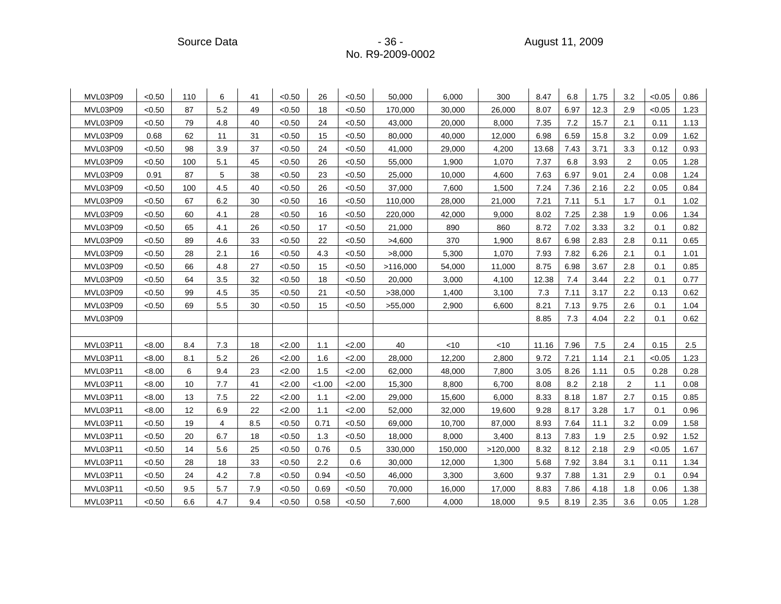| MVL03P09 | < 0.50 | 110 | 6   | 41  | < 0.50 | 26     | < 0.50 | 50.000   | 6.000   | 300      | 8.47  | 6.8  | 1.75 | 3.2            | < 0.05 | 0.86 |
|----------|--------|-----|-----|-----|--------|--------|--------|----------|---------|----------|-------|------|------|----------------|--------|------|
| MVL03P09 | < 0.50 | 87  | 5.2 | 49  | < 0.50 | 18     | < 0.50 | 170,000  | 30,000  | 26,000   | 8.07  | 6.97 | 12.3 | 2.9            | < 0.05 | 1.23 |
| MVL03P09 | < 0.50 | 79  | 4.8 | 40  | < 0.50 | 24     | < 0.50 | 43,000   | 20,000  | 8,000    | 7.35  | 7.2  | 15.7 | 2.1            | 0.11   | 1.13 |
| MVL03P09 | 0.68   | 62  | 11  | 31  | < 0.50 | 15     | < 0.50 | 80,000   | 40,000  | 12,000   | 6.98  | 6.59 | 15.8 | 3.2            | 0.09   | 1.62 |
| MVL03P09 | < 0.50 | 98  | 3.9 | 37  | < 0.50 | 24     | < 0.50 | 41,000   | 29,000  | 4,200    | 13.68 | 7.43 | 3.71 | 3.3            | 0.12   | 0.93 |
| MVL03P09 | < 0.50 | 100 | 5.1 | 45  | < 0.50 | 26     | < 0.50 | 55,000   | 1,900   | 1,070    | 7.37  | 6.8  | 3.93 | $\overline{2}$ | 0.05   | 1.28 |
| MVL03P09 | 0.91   | 87  | 5   | 38  | < 0.50 | 23     | < 0.50 | 25,000   | 10,000  | 4,600    | 7.63  | 6.97 | 9.01 | 2.4            | 0.08   | 1.24 |
| MVL03P09 | < 0.50 | 100 | 4.5 | 40  | < 0.50 | 26     | < 0.50 | 37,000   | 7,600   | 1,500    | 7.24  | 7.36 | 2.16 | 2.2            | 0.05   | 0.84 |
| MVL03P09 | < 0.50 | 67  | 6.2 | 30  | < 0.50 | 16     | < 0.50 | 110,000  | 28,000  | 21,000   | 7.21  | 7.11 | 5.1  | 1.7            | 0.1    | 1.02 |
| MVL03P09 | < 0.50 | 60  | 4.1 | 28  | < 0.50 | 16     | < 0.50 | 220,000  | 42,000  | 9.000    | 8.02  | 7.25 | 2.38 | 1.9            | 0.06   | 1.34 |
| MVL03P09 | < 0.50 | 65  | 4.1 | 26  | < 0.50 | 17     | < 0.50 | 21,000   | 890     | 860      | 8.72  | 7.02 | 3.33 | 3.2            | 0.1    | 0.82 |
| MVL03P09 | < 0.50 | 89  | 4.6 | 33  | < 0.50 | 22     | < 0.50 | >4,600   | 370     | 1,900    | 8.67  | 6.98 | 2.83 | 2.8            | 0.11   | 0.65 |
| MVL03P09 | < 0.50 | 28  | 2.1 | 16  | < 0.50 | 4.3    | < 0.50 | >8,000   | 5,300   | 1,070    | 7.93  | 7.82 | 6.26 | 2.1            | 0.1    | 1.01 |
| MVL03P09 | < 0.50 | 66  | 4.8 | 27  | < 0.50 | 15     | < 0.50 | >116,000 | 54,000  | 11,000   | 8.75  | 6.98 | 3.67 | 2.8            | 0.1    | 0.85 |
| MVL03P09 | < 0.50 | 64  | 3.5 | 32  | < 0.50 | 18     | < 0.50 | 20,000   | 3,000   | 4,100    | 12.38 | 7.4  | 3.44 | 2.2            | 0.1    | 0.77 |
| MVL03P09 | < 0.50 | 99  | 4.5 | 35  | < 0.50 | 21     | < 0.50 | >38,000  | 1,400   | 3,100    | 7.3   | 7.11 | 3.17 | 2.2            | 0.13   | 0.62 |
| MVL03P09 | < 0.50 | 69  | 5.5 | 30  | < 0.50 | 15     | < 0.50 | >55,000  | 2,900   | 6,600    | 8.21  | 7.13 | 9.75 | 2.6            | 0.1    | 1.04 |
| MVL03P09 |        |     |     |     |        |        |        |          |         |          | 8.85  | 7.3  | 4.04 | 2.2            | 0.1    | 0.62 |
|          |        |     |     |     |        |        |        |          |         |          |       |      |      |                |        |      |
| MVL03P11 | < 8.00 | 8.4 | 7.3 | 18  | 2.00   | 1.1    | 2.00   | 40       | <10     | $<$ 10   | 11.16 | 7.96 | 7.5  | 2.4            | 0.15   | 2.5  |
| MVL03P11 | < 8.00 | 8.1 | 5.2 | 26  | 2.00   | 1.6    | 2.00   | 28,000   | 12,200  | 2,800    | 9.72  | 7.21 | 1.14 | 2.1            | < 0.05 | 1.23 |
| MVL03P11 | < 8.00 | 6   | 9.4 | 23  | 2.00   | 1.5    | 2.00   | 62,000   | 48,000  | 7,800    | 3.05  | 8.26 | 1.11 | 0.5            | 0.28   | 0.28 |
| MVL03P11 | < 8.00 | 10  | 7.7 | 41  | 2.00   | < 1.00 | 2.00   | 15,300   | 8,800   | 6,700    | 8.08  | 8.2  | 2.18 | $\overline{2}$ | 1.1    | 0.08 |
| MVL03P11 | < 8.00 | 13  | 7.5 | 22  | 2.00   | 1.1    | 2.00   | 29,000   | 15,600  | 6,000    | 8.33  | 8.18 | 1.87 | 2.7            | 0.15   | 0.85 |
| MVL03P11 | < 8.00 | 12  | 6.9 | 22  | 2.00   | 1.1    | 2.00   | 52,000   | 32,000  | 19,600   | 9.28  | 8.17 | 3.28 | 1.7            | 0.1    | 0.96 |
| MVL03P11 | < 0.50 | 19  | 4   | 8.5 | < 0.50 | 0.71   | < 0.50 | 69,000   | 10,700  | 87,000   | 8.93  | 7.64 | 11.1 | 3.2            | 0.09   | 1.58 |
| MVL03P11 | < 0.50 | 20  | 6.7 | 18  | < 0.50 | 1.3    | < 0.50 | 18,000   | 8,000   | 3,400    | 8.13  | 7.83 | 1.9  | 2.5            | 0.92   | 1.52 |
| MVL03P11 | < 0.50 | 14  | 5.6 | 25  | < 0.50 | 0.76   | 0.5    | 330,000  | 150,000 | >120,000 | 8.32  | 8.12 | 2.18 | 2.9            | < 0.05 | 1.67 |
| MVL03P11 | < 0.50 | 28  | 18  | 33  | < 0.50 | 2.2    | 0.6    | 30,000   | 12,000  | 1,300    | 5.68  | 7.92 | 3.84 | 3.1            | 0.11   | 1.34 |
| MVL03P11 | < 0.50 | 24  | 4.2 | 7.8 | < 0.50 | 0.94   | <0.50  | 46,000   | 3,300   | 3,600    | 9.37  | 7.88 | 1.31 | 2.9            | 0.1    | 0.94 |
| MVL03P11 | < 0.50 | 9.5 | 5.7 | 7.9 | < 0.50 | 0.69   | < 0.50 | 70,000   | 16,000  | 17,000   | 8.83  | 7.86 | 4.18 | 1.8            | 0.06   | 1.38 |
| MVL03P11 | < 0.50 | 6.6 | 4.7 | 9.4 | < 0.50 | 0.58   | < 0.50 | 7,600    | 4,000   | 18,000   | 9.5   | 8.19 | 2.35 | 3.6            | 0.05   | 1.28 |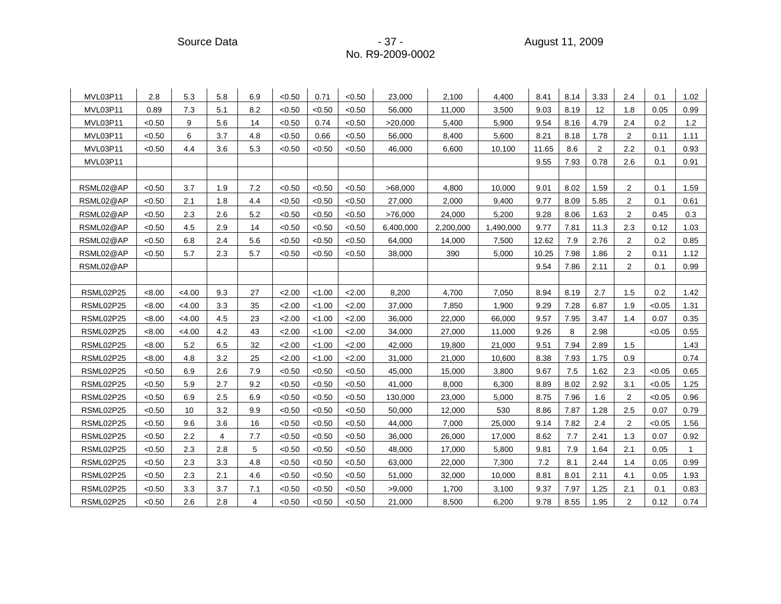Source Data - 37 - 37 - 37 - August 11, 2009 - 30

| MVL03P11  | 2.8    | 5.3    | 5.8 | 6.9 | < 0.50 | 0.71   | < 0.50 | 23,000    | 2,100     | 4,400     | 8.41  | 8.14 | 3.33              | 2.4            | 0.1    | 1.02 |
|-----------|--------|--------|-----|-----|--------|--------|--------|-----------|-----------|-----------|-------|------|-------------------|----------------|--------|------|
| MVL03P11  | 0.89   | 7.3    | 5.1 | 8.2 | < 0.50 | < 0.50 | < 0.50 | 56.000    | 11,000    | 3.500     | 9.03  | 8.19 | $12 \overline{ }$ | 1.8            | 0.05   | 0.99 |
| MVL03P11  | < 0.50 | 9      | 5.6 | 14  | < 0.50 | 0.74   | < 0.50 | >20,000   | 5,400     | 5,900     | 9.54  | 8.16 | 4.79              | 2.4            | 0.2    | 1.2  |
| MVL03P11  | < 0.50 | 6      | 3.7 | 4.8 | < 0.50 | 0.66   | < 0.50 | 56,000    | 8,400     | 5,600     | 8.21  | 8.18 | 1.78              | 2              | 0.11   | 1.11 |
| MVL03P11  | < 0.50 | 4.4    | 3.6 | 5.3 | < 0.50 | < 0.50 | < 0.50 | 46,000    | 6,600     | 10,100    | 11.65 | 8.6  | $\mathbf{2}$      | 2.2            | 0.1    | 0.93 |
| MVL03P11  |        |        |     |     |        |        |        |           |           |           | 9.55  | 7.93 | 0.78              | 2.6            | 0.1    | 0.91 |
|           |        |        |     |     |        |        |        |           |           |           |       |      |                   |                |        |      |
| RSML02@AP | < 0.50 | 3.7    | 1.9 | 7.2 | < 0.50 | < 0.50 | < 0.50 | >68,000   | 4,800     | 10,000    | 9.01  | 8.02 | 1.59              | 2              | 0.1    | 1.59 |
| RSML02@AP | < 0.50 | 2.1    | 1.8 | 4.4 | < 0.50 | < 0.50 | < 0.50 | 27,000    | 2,000     | 9,400     | 9.77  | 8.09 | 5.85              | 2              | 0.1    | 0.61 |
| RSML02@AP | < 0.50 | 2.3    | 2.6 | 5.2 | < 0.50 | < 0.50 | < 0.50 | >76,000   | 24,000    | 5,200     | 9.28  | 8.06 | 1.63              | $\overline{2}$ | 0.45   | 0.3  |
| RSML02@AP | < 0.50 | 4.5    | 2.9 | 14  | < 0.50 | < 0.50 | < 0.50 | 6,400,000 | 2,200,000 | 1,490,000 | 9.77  | 7.81 | 11.3              | 2.3            | 0.12   | 1.03 |
| RSML02@AP | < 0.50 | 6.8    | 2.4 | 5.6 | < 0.50 | < 0.50 | < 0.50 | 64,000    | 14,000    | 7,500     | 12.62 | 7.9  | 2.76              | $\overline{2}$ | 0.2    | 0.85 |
| RSML02@AP | < 0.50 | 5.7    | 2.3 | 5.7 | < 0.50 | < 0.50 | < 0.50 | 38,000    | 390       | 5,000     | 10.25 | 7.98 | 1.86              | 2              | 0.11   | 1.12 |
| RSML02@AP |        |        |     |     |        |        |        |           |           |           | 9.54  | 7.86 | 2.11              | $\overline{2}$ | 0.1    | 0.99 |
|           |        |        |     |     |        |        |        |           |           |           |       |      |                   |                |        |      |
| RSML02P25 | < 8.00 | < 4.00 | 9.3 | 27  | 2.00   | < 1.00 | 2.00   | 8,200     | 4,700     | 7,050     | 8.94  | 8.19 | 2.7               | 1.5            | 0.2    | 1.42 |
| RSML02P25 | < 8.00 | < 4.00 | 3.3 | 35  | 2.00   | < 1.00 | 2.00   | 37,000    | 7,850     | 1,900     | 9.29  | 7.28 | 6.87              | 1.9            | < 0.05 | 1.31 |
| RSML02P25 | <8.00  | < 4.00 | 4.5 | 23  | 2.00   | < 1.00 | 2.00   | 36,000    | 22,000    | 66,000    | 9.57  | 7.95 | 3.47              | 1.4            | 0.07   | 0.35 |
| RSML02P25 | <8.00  | < 4.00 | 4.2 | 43  | 2.00   | < 1.00 | 2.00   | 34,000    | 27,000    | 11,000    | 9.26  | 8    | 2.98              |                | < 0.05 | 0.55 |
| RSML02P25 | < 8.00 | 5.2    | 6.5 | 32  | 2.00   | < 1.00 | 2.00   | 42,000    | 19,800    | 21,000    | 9.51  | 7.94 | 2.89              | 1.5            |        | 1.43 |
| RSML02P25 | < 8.00 | 4.8    | 3.2 | 25  | 2.00   | < 1.00 | 2.00   | 31,000    | 21,000    | 10,600    | 8.38  | 7.93 | 1.75              | 0.9            |        | 0.74 |
| RSML02P25 | < 0.50 | 6.9    | 2.6 | 7.9 | < 0.50 | < 0.50 | < 0.50 | 45,000    | 15,000    | 3,800     | 9.67  | 7.5  | 1.62              | 2.3            | < 0.05 | 0.65 |
| RSML02P25 | < 0.50 | 5.9    | 2.7 | 9.2 | < 0.50 | < 0.50 | < 0.50 | 41,000    | 8,000     | 6,300     | 8.89  | 8.02 | 2.92              | 3.1            | < 0.05 | 1.25 |
| RSML02P25 | < 0.50 | 6.9    | 2.5 | 6.9 | < 0.50 | < 0.50 | < 0.50 | 130,000   | 23,000    | 5,000     | 8.75  | 7.96 | 1.6               | $\overline{2}$ | < 0.05 | 0.96 |
| RSML02P25 | < 0.50 | 10     | 3.2 | 9.9 | < 0.50 | < 0.50 | < 0.50 | 50,000    | 12,000    | 530       | 8.86  | 7.87 | 1.28              | 2.5            | 0.07   | 0.79 |
| RSML02P25 | < 0.50 | 9.6    | 3.6 | 16  | < 0.50 | < 0.50 | < 0.50 | 44,000    | 7,000     | 25,000    | 9.14  | 7.82 | 2.4               | $\overline{2}$ | < 0.05 | 1.56 |
| RSML02P25 | < 0.50 | 2.2    | 4   | 7.7 | < 0.50 | < 0.50 | < 0.50 | 36,000    | 26,000    | 17,000    | 8.62  | 7.7  | 2.41              | 1.3            | 0.07   | 0.92 |
| RSML02P25 | < 0.50 | 2.3    | 2.8 | 5   | < 0.50 | < 0.50 | < 0.50 | 48,000    | 17,000    | 5,800     | 9.81  | 7.9  | 1.64              | 2.1            | 0.05   | -1   |
| RSML02P25 | < 0.50 | 2.3    | 3.3 | 4.8 | < 0.50 | < 0.50 | < 0.50 | 63,000    | 22,000    | 7,300     | 7.2   | 8.1  | 2.44              | 1.4            | 0.05   | 0.99 |
| RSML02P25 | < 0.50 | 2.3    | 2.1 | 4.6 | < 0.50 | < 0.50 | < 0.50 | 51,000    | 32,000    | 10,000    | 8.81  | 8.01 | 2.11              | 4.1            | 0.05   | 1.93 |
| RSML02P25 | < 0.50 | 3.3    | 3.7 | 7.1 | < 0.50 | < 0.50 | < 0.50 | >9,000    | 1,700     | 3,100     | 9.37  | 7.97 | 1.25              | 2.1            | 0.1    | 0.83 |
| RSML02P25 | < 0.50 | 2.6    | 2.8 | 4   | < 0.50 | < 0.50 | < 0.50 | 21,000    | 8,500     | 6,200     | 9.78  | 8.55 | 1.95              | $\overline{2}$ | 0.12   | 0.74 |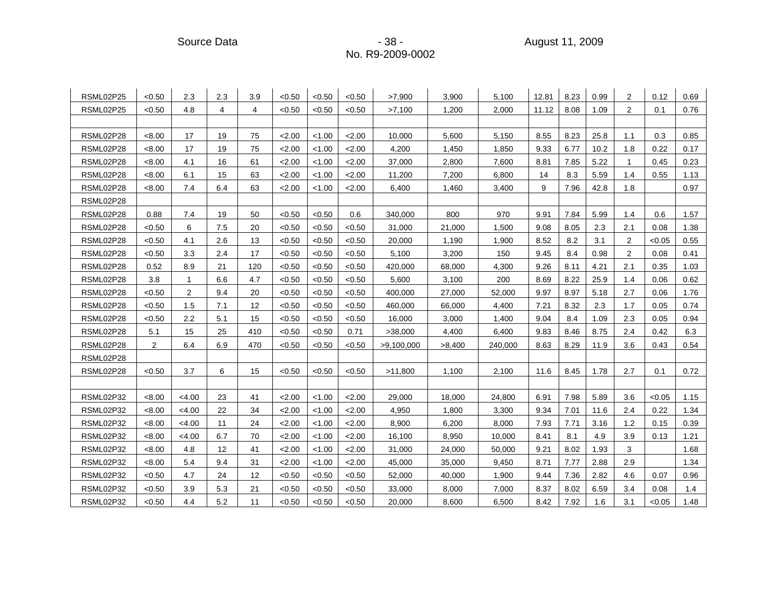Source Data - 38 - August 11, 2009

| RSML02P25 | < 0.50         | 2.3            | 2.3 | 3.9 | < 0.50 | < 0.50 | < 0.50 | >7,900     | 3,900  | 5,100   | 12.81 | 8.23 | 0.99 | $\overline{2}$ | 0.12   | 0.69 |
|-----------|----------------|----------------|-----|-----|--------|--------|--------|------------|--------|---------|-------|------|------|----------------|--------|------|
| RSML02P25 | < 0.50         | 4.8            | 4   | 4   | < 0.50 | < 0.50 | < 0.50 | >7,100     | 1,200  | 2,000   | 11.12 | 8.08 | 1.09 | 2              | 0.1    | 0.76 |
|           |                |                |     |     |        |        |        |            |        |         |       |      |      |                |        |      |
| RSML02P28 | < 8.00         | 17             | 19  | 75  | 2.00   | < 1.00 | 2.00   | 10,000     | 5,600  | 5,150   | 8.55  | 8.23 | 25.8 | 1.1            | 0.3    | 0.85 |
| RSML02P28 | < 8.00         | 17             | 19  | 75  | 2.00   | < 1.00 | 2.00   | 4,200      | 1,450  | 1,850   | 9.33  | 6.77 | 10.2 | 1.8            | 0.22   | 0.17 |
| RSML02P28 | <8.00          | 4.1            | 16  | 61  | 2.00   | < 1.00 | 2.00   | 37,000     | 2,800  | 7,600   | 8.81  | 7.85 | 5.22 | $\mathbf{1}$   | 0.45   | 0.23 |
| RSML02P28 | < 8.00         | 6.1            | 15  | 63  | 2.00   | < 1.00 | 2.00   | 11,200     | 7,200  | 6,800   | 14    | 8.3  | 5.59 | 1.4            | 0.55   | 1.13 |
| RSML02P28 | <8.00          | 7.4            | 6.4 | 63  | 2.00   | < 1.00 | 2.00   | 6,400      | 1,460  | 3,400   | 9     | 7.96 | 42.8 | 1.8            |        | 0.97 |
| RSML02P28 |                |                |     |     |        |        |        |            |        |         |       |      |      |                |        |      |
| RSML02P28 | 0.88           | 7.4            | 19  | 50  | < 0.50 | < 0.50 | 0.6    | 340,000    | 800    | 970     | 9.91  | 7.84 | 5.99 | 1.4            | 0.6    | 1.57 |
| RSML02P28 | < 0.50         | 6              | 7.5 | 20  | < 0.50 | < 0.50 | < 0.50 | 31,000     | 21,000 | 1,500   | 9.08  | 8.05 | 2.3  | 2.1            | 0.08   | 1.38 |
| RSML02P28 | < 0.50         | 4.1            | 2.6 | 13  | < 0.50 | < 0.50 | < 0.50 | 20,000     | 1,190  | 1,900   | 8.52  | 8.2  | 3.1  | 2              | < 0.05 | 0.55 |
| RSML02P28 | < 0.50         | 3.3            | 2.4 | 17  | < 0.50 | < 0.50 | < 0.50 | 5,100      | 3,200  | 150     | 9.45  | 8.4  | 0.98 | 2              | 0.08   | 0.41 |
| RSML02P28 | 0.52           | 8.9            | 21  | 120 | < 0.50 | < 0.50 | < 0.50 | 420,000    | 68,000 | 4,300   | 9.26  | 8.11 | 4.21 | 2.1            | 0.35   | 1.03 |
| RSML02P28 | 3.8            | 1              | 6.6 | 4.7 | < 0.50 | < 0.50 | < 0.50 | 5,600      | 3,100  | 200     | 8.69  | 8.22 | 25.9 | 1.4            | 0.06   | 0.62 |
| RSML02P28 | < 0.50         | $\overline{2}$ | 9.4 | 20  | < 0.50 | < 0.50 | < 0.50 | 400,000    | 27,000 | 52,000  | 9.97  | 8.97 | 5.18 | 2.7            | 0.06   | 1.76 |
| RSML02P28 | < 0.50         | 1.5            | 7.1 | 12  | < 0.50 | < 0.50 | < 0.50 | 460,000    | 66,000 | 4,400   | 7.21  | 8.32 | 2.3  | 1.7            | 0.05   | 0.74 |
| RSML02P28 | < 0.50         | 2.2            | 5.1 | 15  | < 0.50 | < 0.50 | < 0.50 | 16,000     | 3,000  | 1,400   | 9.04  | 8.4  | 1.09 | 2.3            | 0.05   | 0.94 |
| RSML02P28 | 5.1            | 15             | 25  | 410 | < 0.50 | < 0.50 | 0.71   | >38,000    | 4,400  | 6,400   | 9.83  | 8.46 | 8.75 | 2.4            | 0.42   | 6.3  |
| RSML02P28 | $\overline{2}$ | 6.4            | 6.9 | 470 | < 0.50 | < 0.50 | < 0.50 | >9,100,000 | >8,400 | 240,000 | 8.63  | 8.29 | 11.9 | 3.6            | 0.43   | 0.54 |
| RSML02P28 |                |                |     |     |        |        |        |            |        |         |       |      |      |                |        |      |
| RSML02P28 | < 0.50         | 3.7            | 6   | 15  | < 0.50 | < 0.50 | < 0.50 | >11,800    | 1,100  | 2,100   | 11.6  | 8.45 | 1.78 | 2.7            | 0.1    | 0.72 |
|           |                |                |     |     |        |        |        |            |        |         |       |      |      |                |        |      |
| RSML02P32 | <8.00          | < 4.00         | 23  | 41  | 2.00   | < 1.00 | 2.00   | 29,000     | 18,000 | 24,800  | 6.91  | 7.98 | 5.89 | 3.6            | < 0.05 | 1.15 |
| RSML02P32 | <8.00          | < 4.00         | 22  | 34  | 2.00   | < 1.00 | 2.00   | 4,950      | 1,800  | 3,300   | 9.34  | 7.01 | 11.6 | 2.4            | 0.22   | 1.34 |
| RSML02P32 | < 8.00         | < 4.00         | 11  | 24  | 2.00   | < 1.00 | 2.00   | 8,900      | 6,200  | 8,000   | 7.93  | 7.71 | 3.16 | 1.2            | 0.15   | 0.39 |
| RSML02P32 | <8.00          | < 4.00         | 6.7 | 70  | 2.00   | < 1.00 | 2.00   | 16,100     | 8,950  | 10,000  | 8.41  | 8.1  | 4.9  | 3.9            | 0.13   | 1.21 |
| RSML02P32 | <8.00          | 4.8            | 12  | 41  | 2.00   | < 1.00 | 2.00   | 31,000     | 24,000 | 50,000  | 9.21  | 8.02 | 1.93 | 3              |        | 1.68 |
| RSML02P32 | <8.00          | 5.4            | 9.4 | 31  | 2.00   | < 1.00 | 2.00   | 45,000     | 35,000 | 9,450   | 8.71  | 7.77 | 2.88 | 2.9            |        | 1.34 |
| RSML02P32 | < 0.50         | 4.7            | 24  | 12  | < 0.50 | < 0.50 | < 0.50 | 52,000     | 40,000 | 1,900   | 9.44  | 7.36 | 2.82 | 4.6            | 0.07   | 0.96 |
| RSML02P32 | < 0.50         | 3.9            | 5.3 | 21  | < 0.50 | < 0.50 | < 0.50 | 33,000     | 8,000  | 7,000   | 8.37  | 8.02 | 6.59 | 3.4            | 0.08   | 1.4  |
| RSML02P32 | <0.50          | 4.4            | 5.2 | 11  | < 0.50 | <0.50  | < 0.50 | 20,000     | 8,600  | 6,500   | 8.42  | 7.92 | 1.6  | 3.1            | < 0.05 | 1.48 |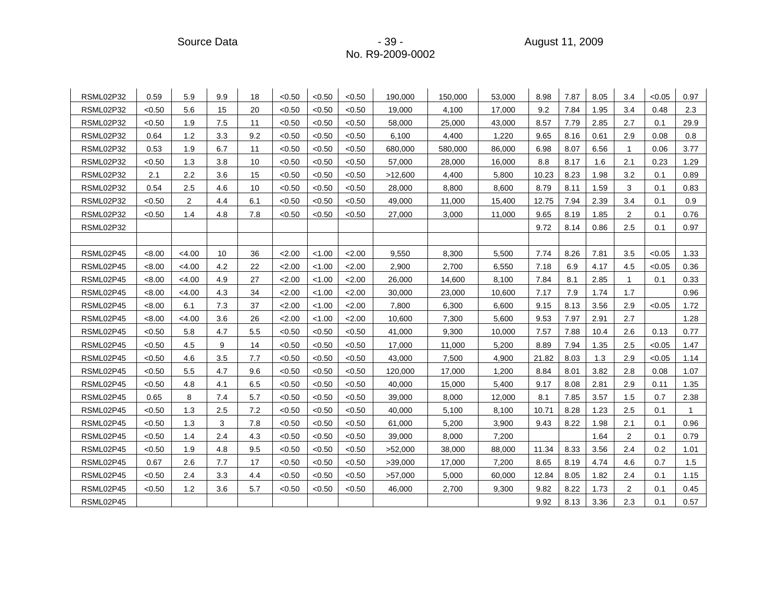| RSML02P32 | 0.59   | 5.9            | 9.9 | 18  | < 0.50 | < 0.50 | < 0.50 | 190,000 | 150,000 | 53,000 | 8.98  | 7.87 | 8.05 | 3.4          | < 0.05 | 0.97         |
|-----------|--------|----------------|-----|-----|--------|--------|--------|---------|---------|--------|-------|------|------|--------------|--------|--------------|
| RSML02P32 | < 0.50 | 5.6            | 15  | 20  | < 0.50 | < 0.50 | < 0.50 | 19.000  | 4,100   | 17.000 | 9.2   | 7.84 | 1.95 | 3.4          | 0.48   | 2.3          |
| RSML02P32 | < 0.50 | 1.9            | 7.5 | 11  | < 0.50 | < 0.50 | < 0.50 | 58,000  | 25,000  | 43,000 | 8.57  | 7.79 | 2.85 | 2.7          | 0.1    | 29.9         |
| RSML02P32 | 0.64   | 1.2            | 3.3 | 9.2 | < 0.50 | < 0.50 | < 0.50 | 6,100   | 4,400   | 1,220  | 9.65  | 8.16 | 0.61 | 2.9          | 0.08   | 0.8          |
| RSML02P32 | 0.53   | 1.9            | 6.7 | 11  | < 0.50 | < 0.50 | < 0.50 | 680,000 | 580,000 | 86,000 | 6.98  | 8.07 | 6.56 | $\mathbf{1}$ | 0.06   | 3.77         |
| RSML02P32 | < 0.50 | 1.3            | 3.8 | 10  | < 0.50 | < 0.50 | < 0.50 | 57,000  | 28,000  | 16,000 | 8.8   | 8.17 | 1.6  | 2.1          | 0.23   | 1.29         |
| RSML02P32 | 2.1    | 2.2            | 3.6 | 15  | < 0.50 | < 0.50 | < 0.50 | >12,600 | 4,400   | 5,800  | 10.23 | 8.23 | 1.98 | 3.2          | 0.1    | 0.89         |
| RSML02P32 | 0.54   | 2.5            | 4.6 | 10  | < 0.50 | < 0.50 | < 0.50 | 28,000  | 8,800   | 8,600  | 8.79  | 8.11 | 1.59 | 3            | 0.1    | 0.83         |
| RSML02P32 | < 0.50 | $\overline{2}$ | 4.4 | 6.1 | < 0.50 | < 0.50 | < 0.50 | 49,000  | 11,000  | 15,400 | 12.75 | 7.94 | 2.39 | 3.4          | 0.1    | 0.9          |
| RSML02P32 | < 0.50 | 1.4            | 4.8 | 7.8 | < 0.50 | < 0.50 | < 0.50 | 27,000  | 3,000   | 11,000 | 9.65  | 8.19 | 1.85 | 2            | 0.1    | 0.76         |
| RSML02P32 |        |                |     |     |        |        |        |         |         |        | 9.72  | 8.14 | 0.86 | 2.5          | 0.1    | 0.97         |
|           |        |                |     |     |        |        |        |         |         |        |       |      |      |              |        |              |
| RSML02P45 | < 8.00 | < 4.00         | 10  | 36  | 2.00   | < 1.00 | 2.00   | 9,550   | 8,300   | 5,500  | 7.74  | 8.26 | 7.81 | 3.5          | < 0.05 | 1.33         |
| RSML02P45 | < 8.00 | < 4.00         | 4.2 | 22  | 2.00   | < 1.00 | 2.00   | 2,900   | 2,700   | 6,550  | 7.18  | 6.9  | 4.17 | 4.5          | < 0.05 | 0.36         |
| RSML02P45 | < 8.00 | < 4.00         | 4.9 | 27  | 2.00   | < 1.00 | 2.00   | 26,000  | 14,600  | 8,100  | 7.84  | 8.1  | 2.85 | $\mathbf{1}$ | 0.1    | 0.33         |
| RSML02P45 | < 8.00 | < 4.00         | 4.3 | 34  | 2.00   | < 1.00 | 2.00   | 30,000  | 23,000  | 10,600 | 7.17  | 7.9  | 1.74 | 1.7          |        | 0.96         |
| RSML02P45 | < 8.00 | 6.1            | 7.3 | 37  | 2.00   | 1.00   | 2.00   | 7,800   | 6,300   | 6,600  | 9.15  | 8.13 | 3.56 | 2.9          | < 0.05 | 1.72         |
| RSML02P45 | < 8.00 | < 4.00         | 3.6 | 26  | 2.00   | < 1.00 | 2.00   | 10,600  | 7,300   | 5,600  | 9.53  | 7.97 | 2.91 | 2.7          |        | 1.28         |
| RSML02P45 | < 0.50 | 5.8            | 4.7 | 5.5 | < 0.50 | < 0.50 | < 0.50 | 41,000  | 9,300   | 10,000 | 7.57  | 7.88 | 10.4 | 2.6          | 0.13   | 0.77         |
| RSML02P45 | < 0.50 | 4.5            | 9   | 14  | < 0.50 | < 0.50 | < 0.50 | 17,000  | 11,000  | 5,200  | 8.89  | 7.94 | 1.35 | 2.5          | < 0.05 | 1.47         |
| RSML02P45 | < 0.50 | 4.6            | 3.5 | 7.7 | < 0.50 | < 0.50 | < 0.50 | 43,000  | 7,500   | 4,900  | 21.82 | 8.03 | 1.3  | 2.9          | < 0.05 | 1.14         |
| RSML02P45 | < 0.50 | 5.5            | 4.7 | 9.6 | < 0.50 | < 0.50 | < 0.50 | 120,000 | 17,000  | 1,200  | 8.84  | 8.01 | 3.82 | 2.8          | 0.08   | 1.07         |
| RSML02P45 | < 0.50 | 4.8            | 4.1 | 6.5 | < 0.50 | < 0.50 | < 0.50 | 40,000  | 15,000  | 5,400  | 9.17  | 8.08 | 2.81 | 2.9          | 0.11   | 1.35         |
| RSML02P45 | 0.65   | 8              | 7.4 | 5.7 | < 0.50 | < 0.50 | < 0.50 | 39,000  | 8,000   | 12,000 | 8.1   | 7.85 | 3.57 | 1.5          | 0.7    | 2.38         |
| RSML02P45 | < 0.50 | 1.3            | 2.5 | 7.2 | < 0.50 | < 0.50 | < 0.50 | 40,000  | 5,100   | 8,100  | 10.71 | 8.28 | 1.23 | 2.5          | 0.1    | $\mathbf{1}$ |
| RSML02P45 | < 0.50 | 1.3            | 3   | 7.8 | < 0.50 | < 0.50 | < 0.50 | 61,000  | 5,200   | 3,900  | 9.43  | 8.22 | 1.98 | 2.1          | 0.1    | 0.96         |
| RSML02P45 | < 0.50 | 1.4            | 2.4 | 4.3 | < 0.50 | < 0.50 | < 0.50 | 39,000  | 8,000   | 7,200  |       |      | 1.64 | 2            | 0.1    | 0.79         |
| RSML02P45 | < 0.50 | 1.9            | 4.8 | 9.5 | < 0.50 | < 0.50 | < 0.50 | >52,000 | 38,000  | 88.000 | 11.34 | 8.33 | 3.56 | 2.4          | 0.2    | 1.01         |
| RSML02P45 | 0.67   | 2.6            | 7.7 | 17  | < 0.50 | < 0.50 | < 0.50 | >39,000 | 17,000  | 7,200  | 8.65  | 8.19 | 4.74 | 4.6          | 0.7    | 1.5          |
| RSML02P45 | < 0.50 | 2.4            | 3.3 | 4.4 | < 0.50 | < 0.50 | < 0.50 | >57,000 | 5,000   | 60,000 | 12.84 | 8.05 | 1.82 | 2.4          | 0.1    | 1.15         |
| RSML02P45 | < 0.50 | 1.2            | 3.6 | 5.7 | < 0.50 | < 0.50 | < 0.50 | 46,000  | 2,700   | 9,300  | 9.82  | 8.22 | 1.73 | 2            | 0.1    | 0.45         |
| RSML02P45 |        |                |     |     |        |        |        |         |         |        | 9.92  | 8.13 | 3.36 | 2.3          | 0.1    | 0.57         |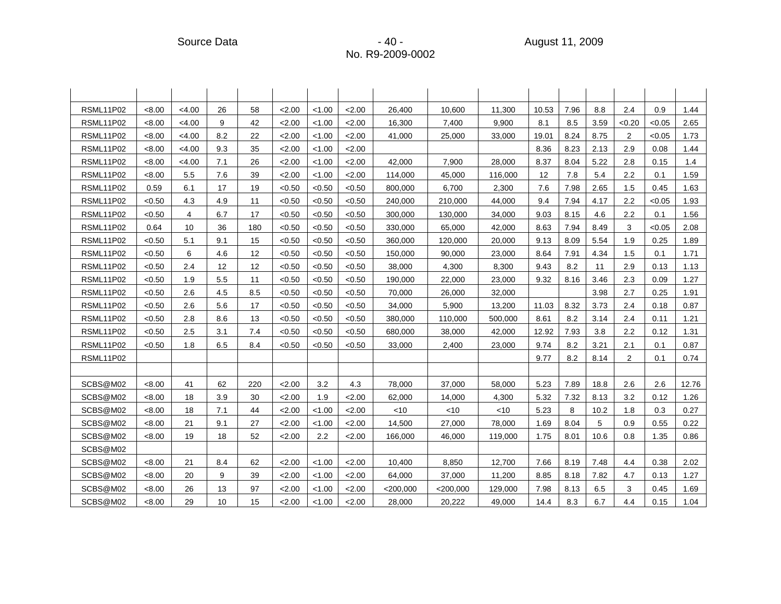| RSML11P02 | < 8.00 | < 4.00 | 26  | 58  | 2.00   | < 1.00 | 2.00   | 26,400      | 10,600      | 11,300  | 10.53 | 7.96 | 8.8  | 2.4            | 0.9    | 1.44  |
|-----------|--------|--------|-----|-----|--------|--------|--------|-------------|-------------|---------|-------|------|------|----------------|--------|-------|
| RSML11P02 | < 8.00 | < 4.00 | 9   | 42  | 2.00   | < 1.00 | 2.00   | 16,300      | 7,400       | 9,900   | 8.1   | 8.5  | 3.59 | < 0.20         | < 0.05 | 2.65  |
| RSML11P02 | < 8.00 | < 4.00 | 8.2 | 22  | 2.00   | < 1.00 | 2.00   | 41,000      | 25,000      | 33,000  | 19.01 | 8.24 | 8.75 | $\overline{2}$ | < 0.05 | 1.73  |
| RSML11P02 | < 8.00 | < 4.00 | 9.3 | 35  | 2.00   | < 1.00 | 2.00   |             |             |         | 8.36  | 8.23 | 2.13 | 2.9            | 0.08   | 1.44  |
| RSML11P02 | < 8.00 | < 4.00 | 7.1 | 26  | 2.00   | < 1.00 | 2.00   | 42,000      | 7,900       | 28,000  | 8.37  | 8.04 | 5.22 | 2.8            | 0.15   | 1.4   |
| RSML11P02 | < 8.00 | 5.5    | 7.6 | 39  | 2.00   | < 1.00 | 2.00   | 114,000     | 45,000      | 116,000 | 12    | 7.8  | 5.4  | 2.2            | 0.1    | 1.59  |
| RSML11P02 | 0.59   | 6.1    | 17  | 19  | < 0.50 | < 0.50 | < 0.50 | 800,000     | 6,700       | 2,300   | 7.6   | 7.98 | 2.65 | 1.5            | 0.45   | 1.63  |
| RSML11P02 | < 0.50 | 4.3    | 4.9 | 11  | < 0.50 | < 0.50 | < 0.50 | 240,000     | 210,000     | 44,000  | 9.4   | 7.94 | 4.17 | $2.2\,$        | < 0.05 | 1.93  |
| RSML11P02 | < 0.50 | 4      | 6.7 | 17  | < 0.50 | < 0.50 | < 0.50 | 300,000     | 130,000     | 34,000  | 9.03  | 8.15 | 4.6  | 2.2            | 0.1    | 1.56  |
| RSML11P02 | 0.64   | 10     | 36  | 180 | < 0.50 | < 0.50 | < 0.50 | 330,000     | 65,000      | 42,000  | 8.63  | 7.94 | 8.49 | 3              | < 0.05 | 2.08  |
| RSML11P02 | < 0.50 | 5.1    | 9.1 | 15  | < 0.50 | < 0.50 | < 0.50 | 360,000     | 120,000     | 20,000  | 9.13  | 8.09 | 5.54 | 1.9            | 0.25   | 1.89  |
| RSML11P02 | < 0.50 | 6      | 4.6 | 12  | < 0.50 | < 0.50 | < 0.50 | 150,000     | 90,000      | 23,000  | 8.64  | 7.91 | 4.34 | 1.5            | 0.1    | 1.71  |
| RSML11P02 | < 0.50 | 2.4    | 12  | 12  | < 0.50 | < 0.50 | < 0.50 | 38,000      | 4,300       | 8,300   | 9.43  | 8.2  | 11   | 2.9            | 0.13   | 1.13  |
| RSML11P02 | < 0.50 | 1.9    | 5.5 | 11  | < 0.50 | < 0.50 | < 0.50 | 190,000     | 22,000      | 23,000  | 9.32  | 8.16 | 3.46 | 2.3            | 0.09   | 1.27  |
| RSML11P02 | < 0.50 | 2.6    | 4.5 | 8.5 | < 0.50 | < 0.50 | < 0.50 | 70,000      | 26,000      | 32,000  |       |      | 3.98 | 2.7            | 0.25   | 1.91  |
| RSML11P02 | < 0.50 | 2.6    | 5.6 | 17  | < 0.50 | < 0.50 | < 0.50 | 34,000      | 5,900       | 13,200  | 11.03 | 8.32 | 3.73 | 2.4            | 0.18   | 0.87  |
| RSML11P02 | < 0.50 | 2.8    | 8.6 | 13  | < 0.50 | < 0.50 | < 0.50 | 380,000     | 110,000     | 500,000 | 8.61  | 8.2  | 3.14 | 2.4            | 0.11   | 1.21  |
| RSML11P02 | < 0.50 | 2.5    | 3.1 | 7.4 | < 0.50 | < 0.50 | < 0.50 | 680,000     | 38,000      | 42,000  | 12.92 | 7.93 | 3.8  | 2.2            | 0.12   | 1.31  |
| RSML11P02 | < 0.50 | 1.8    | 6.5 | 8.4 | < 0.50 | < 0.50 | < 0.50 | 33,000      | 2,400       | 23,000  | 9.74  | 8.2  | 3.21 | 2.1            | 0.1    | 0.87  |
| RSML11P02 |        |        |     |     |        |        |        |             |             |         | 9.77  | 8.2  | 8.14 | $\overline{2}$ | 0.1    | 0.74  |
|           |        |        |     |     |        |        |        |             |             |         |       |      |      |                |        |       |
| SCBS@M02  | < 8.00 | 41     | 62  | 220 | 2.00   | 3.2    | 4.3    | 78.000      | 37,000      | 58.000  | 5.23  | 7.89 | 18.8 | 2.6            | 2.6    | 12.76 |
| SCBS@M02  | <8.00  | 18     | 3.9 | 30  | 2.00   | 1.9    | 2.00   | 62,000      | 14,000      | 4,300   | 5.32  | 7.32 | 8.13 | 3.2            | 0.12   | 1.26  |
| SCBS@M02  | <8.00  | 18     | 7.1 | 44  | 2.00   | < 1.00 | 2.00   | <10         | $<$ 10      | $<$ 10  | 5.23  | 8    | 10.2 | 1.8            | 0.3    | 0.27  |
| SCBS@M02  | <8.00  | 21     | 9.1 | 27  | 2.00   | < 1.00 | 2.00   | 14,500      | 27,000      | 78,000  | 1.69  | 8.04 | 5    | 0.9            | 0.55   | 0.22  |
| SCBS@M02  | <8.00  | 19     | 18  | 52  | 2.00   | 2.2    | 2.00   | 166,000     | 46,000      | 119,000 | 1.75  | 8.01 | 10.6 | 0.8            | 1.35   | 0.86  |
| SCBS@M02  |        |        |     |     |        |        |        |             |             |         |       |      |      |                |        |       |
| SCBS@M02  | < 8.00 | 21     | 8.4 | 62  | 2.00   | < 1.00 | 2.00   | 10.400      | 8.850       | 12,700  | 7.66  | 8.19 | 7.48 | 4.4            | 0.38   | 2.02  |
| SCBS@M02  | < 8.00 | 20     | 9   | 39  | 2.00   | < 1.00 | 2.00   | 64,000      | 37,000      | 11,200  | 8.85  | 8.18 | 7.82 | 4.7            | 0.13   | 1.27  |
| SCBS@M02  | < 8.00 | 26     | 13  | 97  | 2.00   | < 1.00 | 2.00   | $<$ 200,000 | $<$ 200,000 | 129,000 | 7.98  | 8.13 | 6.5  | 3              | 0.45   | 1.69  |
| SCBS@M02  | < 8.00 | 29     | 10  | 15  | 2.00   | < 1.00 | 2.00   | 28,000      | 20,222      | 49,000  | 14.4  | 8.3  | 6.7  | 4.4            | 0.15   | 1.04  |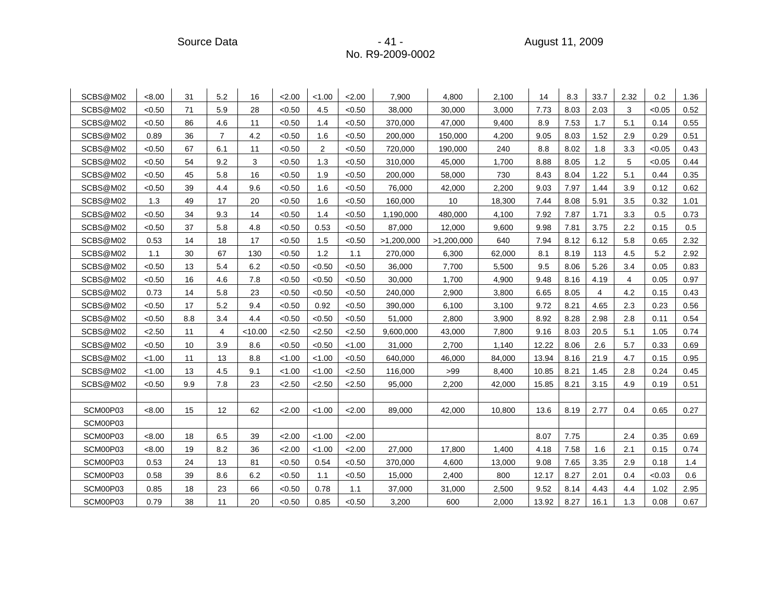Source Data - 41 - August 11, 2009

| SCBS@M02 | < 8.00 | 31  | 5.2            | 16        | 2.00   | < 1.00         | 2.00   | 7,900      | 4,800      | 2,100  | 14    | 8.3  | 33.7 | 2.32 | 0.2    | 1.36 |
|----------|--------|-----|----------------|-----------|--------|----------------|--------|------------|------------|--------|-------|------|------|------|--------|------|
| SCBS@M02 | < 0.50 | 71  | 5.9            | 28        | < 0.50 | 4.5            | <0.50  | 38,000     | 30,000     | 3,000  | 7.73  | 8.03 | 2.03 | 3    | < 0.05 | 0.52 |
| SCBS@M02 | < 0.50 | 86  | 4.6            | 11        | < 0.50 | 1.4            | < 0.50 | 370,000    | 47,000     | 9,400  | 8.9   | 7.53 | 1.7  | 5.1  | 0.14   | 0.55 |
| SCBS@M02 | 0.89   | 36  | $\overline{7}$ | 4.2       | < 0.50 | 1.6            | < 0.50 | 200,000    | 150,000    | 4,200  | 9.05  | 8.03 | 1.52 | 2.9  | 0.29   | 0.51 |
| SCBS@M02 | < 0.50 | 67  | 6.1            | 11        | < 0.50 | $\overline{2}$ | < 0.50 | 720.000    | 190,000    | 240    | 8.8   | 8.02 | 1.8  | 3.3  | < 0.05 | 0.43 |
| SCBS@M02 | < 0.50 | 54  | 9.2            | 3         | < 0.50 | 1.3            | < 0.50 | 310,000    | 45,000     | 1,700  | 8.88  | 8.05 | 1.2  | 5    | < 0.05 | 0.44 |
| SCBS@M02 | < 0.50 | 45  | 5.8            | 16        | < 0.50 | 1.9            | <0.50  | 200,000    | 58,000     | 730    | 8.43  | 8.04 | 1.22 | 5.1  | 0.44   | 0.35 |
| SCBS@M02 | < 0.50 | 39  | 4.4            | 9.6       | < 0.50 | 1.6            | < 0.50 | 76,000     | 42,000     | 2,200  | 9.03  | 7.97 | 1.44 | 3.9  | 0.12   | 0.62 |
| SCBS@M02 | 1.3    | 49  | 17             | 20        | < 0.50 | 1.6            | < 0.50 | 160,000    | 10         | 18,300 | 7.44  | 8.08 | 5.91 | 3.5  | 0.32   | 1.01 |
| SCBS@M02 | < 0.50 | 34  | 9.3            | 14        | < 0.50 | 1.4            | < 0.50 | 1,190,000  | 480,000    | 4,100  | 7.92  | 7.87 | 1.71 | 3.3  | 0.5    | 0.73 |
| SCBS@M02 | < 0.50 | 37  | 5.8            | 4.8       | < 0.50 | 0.53           | < 0.50 | 87,000     | 12,000     | 9,600  | 9.98  | 7.81 | 3.75 | 2.2  | 0.15   | 0.5  |
| SCBS@M02 | 0.53   | 14  | 18             | 17        | < 0.50 | 1.5            | < 0.50 | >1,200,000 | >1,200,000 | 640    | 7.94  | 8.12 | 6.12 | 5.8  | 0.65   | 2.32 |
| SCBS@M02 | 1.1    | 30  | 67             | 130       | < 0.50 | 1.2            | 1.1    | 270,000    | 6,300      | 62,000 | 8.1   | 8.19 | 113  | 4.5  | 5.2    | 2.92 |
| SCBS@M02 | < 0.50 | 13  | 5.4            | 6.2       | < 0.50 | < 0.50         | < 0.50 | 36,000     | 7,700      | 5,500  | 9.5   | 8.06 | 5.26 | 3.4  | 0.05   | 0.83 |
| SCBS@M02 | < 0.50 | 16  | 4.6            | 7.8       | < 0.50 | < 0.50         | < 0.50 | 30,000     | 1,700      | 4,900  | 9.48  | 8.16 | 4.19 | 4    | 0.05   | 0.97 |
| SCBS@M02 | 0.73   | 14  | 5.8            | 23        | < 0.50 | < 0.50         | < 0.50 | 240,000    | 2,900      | 3,800  | 6.65  | 8.05 | 4    | 4.2  | 0.15   | 0.43 |
| SCBS@M02 | < 0.50 | 17  | 5.2            | 9.4       | < 0.50 | 0.92           | < 0.50 | 390,000    | 6,100      | 3,100  | 9.72  | 8.21 | 4.65 | 2.3  | 0.23   | 0.56 |
| SCBS@M02 | < 0.50 | 8.8 | 3.4            | 4.4       | < 0.50 | < 0.50         | < 0.50 | 51,000     | 2,800      | 3,900  | 8.92  | 8.28 | 2.98 | 2.8  | 0.11   | 0.54 |
| SCBS@M02 | < 2.50 | 11  | 4              | $<$ 10.00 | < 2.50 | 2.50           | 2.50   | 9,600,000  | 43,000     | 7,800  | 9.16  | 8.03 | 20.5 | 5.1  | 1.05   | 0.74 |
| SCBS@M02 | < 0.50 | 10  | 3.9            | 8.6       | < 0.50 | < 0.50         | < 1.00 | 31,000     | 2,700      | 1,140  | 12.22 | 8.06 | 2.6  | 5.7  | 0.33   | 0.69 |
| SCBS@M02 | < 1.00 | 11  | 13             | 8.8       | < 1.00 | < 1.00         | < 0.50 | 640,000    | 46,000     | 84,000 | 13.94 | 8.16 | 21.9 | 4.7  | 0.15   | 0.95 |
| SCBS@M02 | < 1.00 | 13  | 4.5            | 9.1       | < 1.00 | < 1.00         | 2.50   | 116,000    | >99        | 8,400  | 10.85 | 8.21 | 1.45 | 2.8  | 0.24   | 0.45 |
| SCBS@M02 | < 0.50 | 9.9 | 7.8            | 23        | 2.50   | < 2.50         | 2.50   | 95,000     | 2,200      | 42,000 | 15.85 | 8.21 | 3.15 | 4.9  | 0.19   | 0.51 |
|          |        |     |                |           |        |                |        |            |            |        |       |      |      |      |        |      |
| SCM00P03 | < 8.00 | 15  | 12             | 62        | 2.00   | < 1.00         | 2.00   | 89,000     | 42,000     | 10,800 | 13.6  | 8.19 | 2.77 | 0.4  | 0.65   | 0.27 |
| SCM00P03 |        |     |                |           |        |                |        |            |            |        |       |      |      |      |        |      |
| SCM00P03 | < 8.00 | 18  | 6.5            | 39        | 2.00   | < 1.00         | 2.00   |            |            |        | 8.07  | 7.75 |      | 2.4  | 0.35   | 0.69 |
| SCM00P03 | < 8.00 | 19  | 8.2            | 36        | 2.00   | < 1.00         | 2.00   | 27.000     | 17,800     | 1.400  | 4.18  | 7.58 | 1.6  | 2.1  | 0.15   | 0.74 |
| SCM00P03 | 0.53   | 24  | 13             | 81        | < 0.50 | 0.54           | < 0.50 | 370,000    | 4,600      | 13,000 | 9.08  | 7.65 | 3.35 | 2.9  | 0.18   | 1.4  |
| SCM00P03 | 0.58   | 39  | 8.6            | 6.2       | < 0.50 | 1.1            | < 0.50 | 15,000     | 2,400      | 800    | 12.17 | 8.27 | 2.01 | 0.4  | < 0.03 | 0.6  |
| SCM00P03 | 0.85   | 18  | 23             | 66        | < 0.50 | 0.78           | 1.1    | 37,000     | 31,000     | 2,500  | 9.52  | 8.14 | 4.43 | 4.4  | 1.02   | 2.95 |
| SCM00P03 | 0.79   | 38  | 11             | 20        | < 0.50 | 0.85           | < 0.50 | 3,200      | 600        | 2,000  | 13.92 | 8.27 | 16.1 | 1.3  | 0.08   | 0.67 |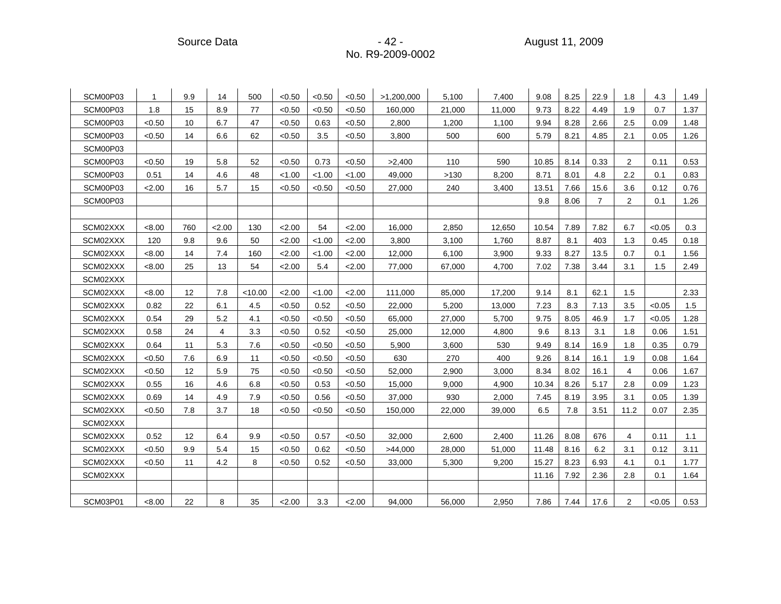Source Data - 42 - August 11, 2009

| SCM00P03 | 1      | 9.9 | 14             | 500     | < 0.50 | < 0.50 | < 0.50 | >1,200,000 | 5,100  | 7,400  | 9.08  | 8.25 | 22.9           | 1.8            | 4.3    | 1.49 |
|----------|--------|-----|----------------|---------|--------|--------|--------|------------|--------|--------|-------|------|----------------|----------------|--------|------|
| SCM00P03 | 1.8    | 15  | 8.9            | 77      | < 0.50 | < 0.50 | < 0.50 | 160,000    | 21,000 | 11,000 | 9.73  | 8.22 | 4.49           | 1.9            | 0.7    | 1.37 |
| SCM00P03 | < 0.50 | 10  | 6.7            | 47      | < 0.50 | 0.63   | < 0.50 | 2,800      | 1,200  | 1,100  | 9.94  | 8.28 | 2.66           | 2.5            | 0.09   | 1.48 |
| SCM00P03 | < 0.50 | 14  | 6.6            | 62      | < 0.50 | 3.5    | < 0.50 | 3,800      | 500    | 600    | 5.79  | 8.21 | 4.85           | 2.1            | 0.05   | 1.26 |
| SCM00P03 |        |     |                |         |        |        |        |            |        |        |       |      |                |                |        |      |
| SCM00P03 | < 0.50 | 19  | 5.8            | 52      | < 0.50 | 0.73   | < 0.50 | >2,400     | 110    | 590    | 10.85 | 8.14 | 0.33           | $\overline{2}$ | 0.11   | 0.53 |
| SCM00P03 | 0.51   | 14  | 4.6            | 48      | < 1.00 | < 1.00 | < 1.00 | 49,000     | >130   | 8,200  | 8.71  | 8.01 | 4.8            | 2.2            | 0.1    | 0.83 |
| SCM00P03 | 2.00   | 16  | 5.7            | 15      | < 0.50 | < 0.50 | < 0.50 | 27,000     | 240    | 3,400  | 13.51 | 7.66 | 15.6           | 3.6            | 0.12   | 0.76 |
| SCM00P03 |        |     |                |         |        |        |        |            |        |        | 9.8   | 8.06 | $\overline{7}$ | 2              | 0.1    | 1.26 |
|          |        |     |                |         |        |        |        |            |        |        |       |      |                |                |        |      |
| SCM02XXX | < 8.00 | 760 | 2.00           | 130     | 2.00   | 54     | 2.00   | 16,000     | 2,850  | 12,650 | 10.54 | 7.89 | 7.82           | 6.7            | < 0.05 | 0.3  |
| SCM02XXX | 120    | 9.8 | 9.6            | 50      | 2.00   | < 1.00 | 2.00   | 3,800      | 3,100  | 1,760  | 8.87  | 8.1  | 403            | 1.3            | 0.45   | 0.18 |
| SCM02XXX | < 8.00 | 14  | 7.4            | 160     | 2.00   | < 1.00 | 2.00   | 12,000     | 6,100  | 3,900  | 9.33  | 8.27 | 13.5           | 0.7            | 0.1    | 1.56 |
| SCM02XXX | < 8.00 | 25  | 13             | 54      | 2.00   | 5.4    | 2.00   | 77,000     | 67,000 | 4,700  | 7.02  | 7.38 | 3.44           | 3.1            | 1.5    | 2.49 |
| SCM02XXX |        |     |                |         |        |        |        |            |        |        |       |      |                |                |        |      |
| SCM02XXX | < 8.00 | 12  | 7.8            | < 10.00 | 2.00   | < 1.00 | 2.00   | 111,000    | 85,000 | 17,200 | 9.14  | 8.1  | 62.1           | 1.5            |        | 2.33 |
| SCM02XXX | 0.82   | 22  | 6.1            | 4.5     | < 0.50 | 0.52   | < 0.50 | 22,000     | 5,200  | 13,000 | 7.23  | 8.3  | 7.13           | 3.5            | < 0.05 | 1.5  |
| SCM02XXX | 0.54   | 29  | 5.2            | 4.1     | < 0.50 | < 0.50 | < 0.50 | 65,000     | 27,000 | 5,700  | 9.75  | 8.05 | 46.9           | 1.7            | < 0.05 | 1.28 |
| SCM02XXX | 0.58   | 24  | $\overline{4}$ | 3.3     | < 0.50 | 0.52   | < 0.50 | 25,000     | 12,000 | 4,800  | 9.6   | 8.13 | 3.1            | 1.8            | 0.06   | 1.51 |
| SCM02XXX | 0.64   | 11  | 5.3            | 7.6     | < 0.50 | < 0.50 | < 0.50 | 5,900      | 3,600  | 530    | 9.49  | 8.14 | 16.9           | 1.8            | 0.35   | 0.79 |
| SCM02XXX | < 0.50 | 7.6 | 6.9            | 11      | < 0.50 | < 0.50 | < 0.50 | 630        | 270    | 400    | 9.26  | 8.14 | 16.1           | 1.9            | 0.08   | 1.64 |
| SCM02XXX | < 0.50 | 12  | 5.9            | 75      | < 0.50 | < 0.50 | < 0.50 | 52,000     | 2,900  | 3,000  | 8.34  | 8.02 | 16.1           | 4              | 0.06   | 1.67 |
| SCM02XXX | 0.55   | 16  | 4.6            | 6.8     | < 0.50 | 0.53   | < 0.50 | 15,000     | 9,000  | 4,900  | 10.34 | 8.26 | 5.17           | 2.8            | 0.09   | 1.23 |
| SCM02XXX | 0.69   | 14  | 4.9            | 7.9     | < 0.50 | 0.56   | < 0.50 | 37,000     | 930    | 2,000  | 7.45  | 8.19 | 3.95           | 3.1            | 0.05   | 1.39 |
| SCM02XXX | < 0.50 | 7.8 | 3.7            | 18      | < 0.50 | < 0.50 | < 0.50 | 150,000    | 22,000 | 39,000 | 6.5   | 7.8  | 3.51           | 11.2           | 0.07   | 2.35 |
| SCM02XXX |        |     |                |         |        |        |        |            |        |        |       |      |                |                |        |      |
| SCM02XXX | 0.52   | 12  | 6.4            | 9.9     | < 0.50 | 0.57   | < 0.50 | 32.000     | 2,600  | 2,400  | 11.26 | 8.08 | 676            | 4              | 0.11   | 1.1  |
| SCM02XXX | < 0.50 | 9.9 | 5.4            | 15      | < 0.50 | 0.62   | < 0.50 | >44,000    | 28,000 | 51,000 | 11.48 | 8.16 | 6.2            | 3.1            | 0.12   | 3.11 |
| SCM02XXX | < 0.50 | 11  | 4.2            | 8       | < 0.50 | 0.52   | < 0.50 | 33,000     | 5,300  | 9,200  | 15.27 | 8.23 | 6.93           | 4.1            | 0.1    | 1.77 |
| SCM02XXX |        |     |                |         |        |        |        |            |        |        | 11.16 | 7.92 | 2.36           | 2.8            | 0.1    | 1.64 |
|          |        |     |                |         |        |        |        |            |        |        |       |      |                |                |        |      |
| SCM03P01 | < 8.00 | 22  | 8              | 35      | 2.00   | 3.3    | < 2.00 | 94,000     | 56,000 | 2,950  | 7.86  | 7.44 | 17.6           | $\overline{2}$ | < 0.05 | 0.53 |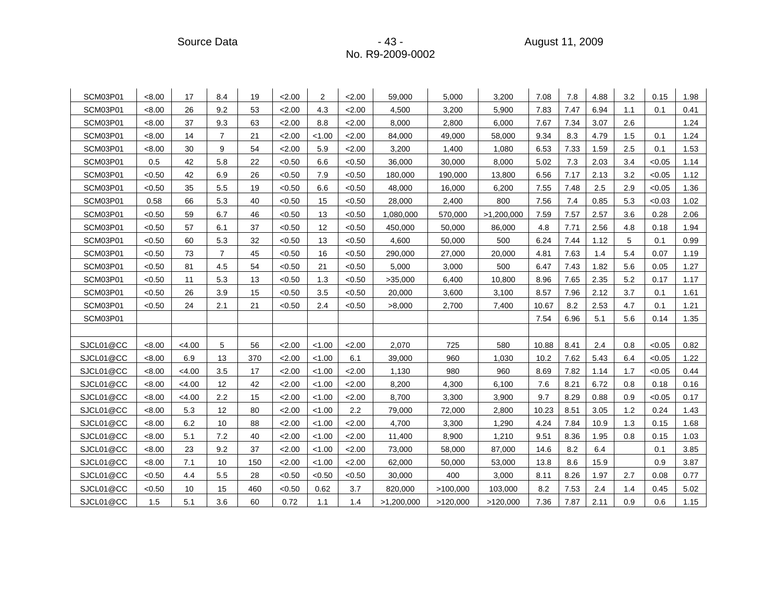Source Data - 43 - August 11, 2009

| SCM03P01  | < 8.00 | 17     | 8.4            | 19  | 2.00   | $\overline{2}$ | 2.00   | 59,000     | 5,000    | 3,200      | 7.08  | 7.8  | 4.88 | 3.2 | 0.15   | 1.98 |
|-----------|--------|--------|----------------|-----|--------|----------------|--------|------------|----------|------------|-------|------|------|-----|--------|------|
| SCM03P01  | < 8.00 | 26     | 9.2            | 53  | 2.00   | 4.3            | 2.00   | 4,500      | 3,200    | 5,900      | 7.83  | 7.47 | 6.94 | 1.1 | 0.1    | 0.41 |
| SCM03P01  | < 8.00 | 37     | 9.3            | 63  | 2.00   | 8.8            | 2.00   | 8,000      | 2,800    | 6,000      | 7.67  | 7.34 | 3.07 | 2.6 |        | 1.24 |
| SCM03P01  | < 8.00 | 14     | $\overline{7}$ | 21  | 2.00   | < 1.00         | 2.00   | 84,000     | 49,000   | 58,000     | 9.34  | 8.3  | 4.79 | 1.5 | 0.1    | 1.24 |
| SCM03P01  | < 8.00 | 30     | 9              | 54  | 2.00   | 5.9            | 2.00   | 3,200      | 1,400    | 1,080      | 6.53  | 7.33 | 1.59 | 2.5 | 0.1    | 1.53 |
| SCM03P01  | 0.5    | 42     | 5.8            | 22  | < 0.50 | 6.6            | < 0.50 | 36,000     | 30,000   | 8,000      | 5.02  | 7.3  | 2.03 | 3.4 | < 0.05 | 1.14 |
| SCM03P01  | < 0.50 | 42     | 6.9            | 26  | < 0.50 | 7.9            | < 0.50 | 180,000    | 190,000  | 13,800     | 6.56  | 7.17 | 2.13 | 3.2 | < 0.05 | 1.12 |
| SCM03P01  | < 0.50 | 35     | 5.5            | 19  | < 0.50 | 6.6            | < 0.50 | 48,000     | 16,000   | 6,200      | 7.55  | 7.48 | 2.5  | 2.9 | < 0.05 | 1.36 |
| SCM03P01  | 0.58   | 66     | 5.3            | 40  | < 0.50 | 15             | < 0.50 | 28,000     | 2,400    | 800        | 7.56  | 7.4  | 0.85 | 5.3 | < 0.03 | 1.02 |
| SCM03P01  | < 0.50 | 59     | 6.7            | 46  | < 0.50 | 13             | < 0.50 | 1,080,000  | 570,000  | >1,200,000 | 7.59  | 7.57 | 2.57 | 3.6 | 0.28   | 2.06 |
| SCM03P01  | <0.50  | 57     | 6.1            | 37  | < 0.50 | 12             | < 0.50 | 450,000    | 50,000   | 86,000     | 4.8   | 7.71 | 2.56 | 4.8 | 0.18   | 1.94 |
| SCM03P01  | < 0.50 | 60     | 5.3            | 32  | < 0.50 | 13             | < 0.50 | 4,600      | 50,000   | 500        | 6.24  | 7.44 | 1.12 | 5   | 0.1    | 0.99 |
| SCM03P01  | <0.50  | 73     | $\overline{7}$ | 45  | < 0.50 | 16             | < 0.50 | 290,000    | 27,000   | 20,000     | 4.81  | 7.63 | 1.4  | 5.4 | 0.07   | 1.19 |
| SCM03P01  | <0.50  | 81     | 4.5            | 54  | < 0.50 | 21             | < 0.50 | 5,000      | 3,000    | 500        | 6.47  | 7.43 | 1.82 | 5.6 | 0.05   | 1.27 |
| SCM03P01  | < 0.50 | 11     | 5.3            | 13  | < 0.50 | 1.3            | < 0.50 | >35,000    | 6,400    | 10,800     | 8.96  | 7.65 | 2.35 | 5.2 | 0.17   | 1.17 |
| SCM03P01  | < 0.50 | 26     | 3.9            | 15  | < 0.50 | 3.5            | < 0.50 | 20,000     | 3,600    | 3,100      | 8.57  | 7.96 | 2.12 | 3.7 | 0.1    | 1.61 |
| SCM03P01  | < 0.50 | 24     | 2.1            | 21  | < 0.50 | 2.4            | < 0.50 | >8,000     | 2,700    | 7,400      | 10.67 | 8.2  | 2.53 | 4.7 | 0.1    | 1.21 |
| SCM03P01  |        |        |                |     |        |                |        |            |          |            | 7.54  | 6.96 | 5.1  | 5.6 | 0.14   | 1.35 |
|           |        |        |                |     |        |                |        |            |          |            |       |      |      |     |        |      |
| SJCL01@CC | < 8.00 | < 4.00 | 5              | 56  | 2.00   | < 1.00         | 2.00   | 2,070      | 725      | 580        | 10.88 | 8.41 | 2.4  | 0.8 | < 0.05 | 0.82 |
| SJCL01@CC | < 8.00 | 6.9    | 13             | 370 | 2.00   | < 1.00         | 6.1    | 39,000     | 960      | 1,030      | 10.2  | 7.62 | 5.43 | 6.4 | < 0.05 | 1.22 |
| SJCL01@CC | <8.00  | < 4.00 | 3.5            | 17  | 2.00   | < 1.00         | 2.00   | 1,130      | 980      | 960        | 8.69  | 7.82 | 1.14 | 1.7 | < 0.05 | 0.44 |
| SJCL01@CC | < 8.00 | < 4.00 | 12             | 42  | 2.00   | < 1.00         | 2.00   | 8,200      | 4,300    | 6,100      | 7.6   | 8.21 | 6.72 | 0.8 | 0.18   | 0.16 |
| SJCL01@CC | < 8.00 | <4.00  | 2.2            | 15  | 2.00   | < 1.00         | 2.00   | 8,700      | 3,300    | 3,900      | 9.7   | 8.29 | 0.88 | 0.9 | < 0.05 | 0.17 |
| SJCL01@CC | < 8.00 | 5.3    | 12             | 80  | 2.00   | < 1.00         | 2.2    | 79,000     | 72,000   | 2,800      | 10.23 | 8.51 | 3.05 | 1.2 | 0.24   | 1.43 |
| SJCL01@CC | < 8.00 | 6.2    | 10             | 88  | 2.00   | < 1.00         | 2.00   | 4,700      | 3,300    | 1,290      | 4.24  | 7.84 | 10.9 | 1.3 | 0.15   | 1.68 |
| SJCL01@CC | < 8.00 | 5.1    | 7.2            | 40  | 2.00   | < 1.00         | 2.00   | 11,400     | 8,900    | 1,210      | 9.51  | 8.36 | 1.95 | 0.8 | 0.15   | 1.03 |
| SJCL01@CC | < 8.00 | 23     | 9.2            | 37  | 2.00   | < 1.00         | 2.00   | 73,000     | 58,000   | 87,000     | 14.6  | 8.2  | 6.4  |     | 0.1    | 3.85 |
| SJCL01@CC | < 8.00 | 7.1    | 10             | 150 | 2.00   | < 1.00         | 2.00   | 62,000     | 50,000   | 53,000     | 13.8  | 8.6  | 15.9 |     | 0.9    | 3.87 |
| SJCL01@CC | < 0.50 | 4.4    | 5.5            | 28  | < 0.50 | < 0.50         | < 0.50 | 30,000     | 400      | 3,000      | 8.11  | 8.26 | 1.97 | 2.7 | 0.08   | 0.77 |
| SJCL01@CC | < 0.50 | 10     | 15             | 460 | < 0.50 | 0.62           | 3.7    | 820,000    | >100,000 | 103,000    | 8.2   | 7.53 | 2.4  | 1.4 | 0.45   | 5.02 |
| SJCL01@CC | 1.5    | 5.1    | 3.6            | 60  | 0.72   | 1.1            | 1.4    | >1,200,000 | >120,000 | >120,000   | 7.36  | 7.87 | 2.11 | 0.9 | 0.6    | 1.15 |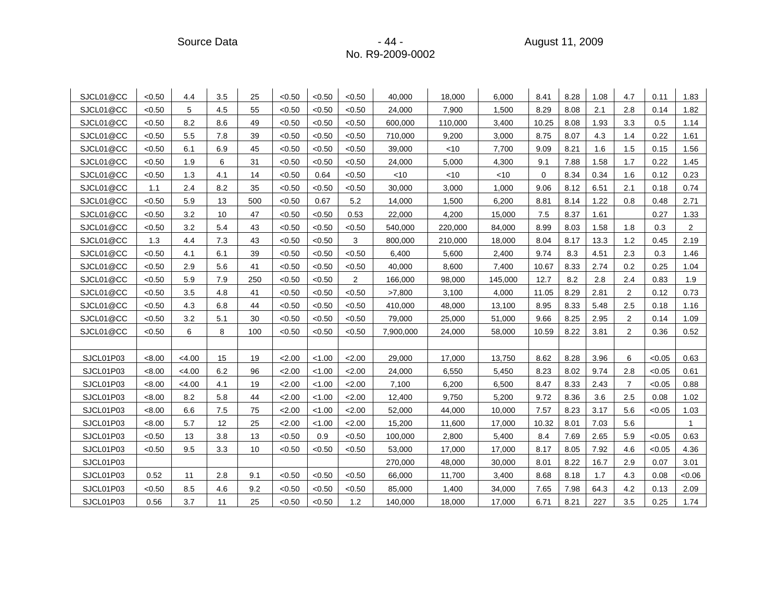Source Data **Contract Contract Contract Contract Contract Contract Contract Contract Contract Contract Contract Contract Contract Contract Contract Contract Contract Contract Contract Contract Contract Contract Contract Co** 

| SJCL01@CC | < 0.50 | 4.4    | 3.5 | 25  | < 0.50 | < 0.50 | <0.50          | 40,000    | 18,000  | 6,000   | 8.41  | 8.28 | 1.08 | 4.7            | 0.11   | 1.83           |
|-----------|--------|--------|-----|-----|--------|--------|----------------|-----------|---------|---------|-------|------|------|----------------|--------|----------------|
| SJCL01@CC | < 0.50 | 5      | 4.5 | 55  | < 0.50 | < 0.50 | < 0.50         | 24,000    | 7,900   | 1,500   | 8.29  | 8.08 | 2.1  | 2.8            | 0.14   | 1.82           |
| SJCL01@CC | < 0.50 | 8.2    | 8.6 | 49  | < 0.50 | < 0.50 | < 0.50         | 600,000   | 110,000 | 3,400   | 10.25 | 8.08 | 1.93 | 3.3            | 0.5    | 1.14           |
| SJCL01@CC | < 0.50 | 5.5    | 7.8 | 39  | < 0.50 | < 0.50 | < 0.50         | 710,000   | 9,200   | 3,000   | 8.75  | 8.07 | 4.3  | 1.4            | 0.22   | 1.61           |
| SJCL01@CC | < 0.50 | 6.1    | 6.9 | 45  | < 0.50 | < 0.50 | < 0.50         | 39,000    | $<$ 10  | 7,700   | 9.09  | 8.21 | 1.6  | 1.5            | 0.15   | 1.56           |
| SJCL01@CC | < 0.50 | 1.9    | 6   | 31  | < 0.50 | < 0.50 | < 0.50         | 24,000    | 5,000   | 4,300   | 9.1   | 7.88 | 1.58 | 1.7            | 0.22   | 1.45           |
| SJCL01@CC | < 0.50 | 1.3    | 4.1 | 14  | < 0.50 | 0.64   | <0.50          | < 10      | <10     | < 10    | 0     | 8.34 | 0.34 | 1.6            | 0.12   | 0.23           |
| SJCL01@CC | 1.1    | 2.4    | 8.2 | 35  | < 0.50 | < 0.50 | <0.50          | 30,000    | 3,000   | 1,000   | 9.06  | 8.12 | 6.51 | 2.1            | 0.18   | 0.74           |
| SJCL01@CC | < 0.50 | 5.9    | 13  | 500 | < 0.50 | 0.67   | 5.2            | 14,000    | 1,500   | 6,200   | 8.81  | 8.14 | 1.22 | 0.8            | 0.48   | 2.71           |
| SJCL01@CC | < 0.50 | 3.2    | 10  | 47  | < 0.50 | < 0.50 | 0.53           | 22,000    | 4,200   | 15,000  | 7.5   | 8.37 | 1.61 |                | 0.27   | 1.33           |
| SJCL01@CC | < 0.50 | 3.2    | 5.4 | 43  | < 0.50 | < 0.50 | < 0.50         | 540,000   | 220,000 | 84,000  | 8.99  | 8.03 | 1.58 | 1.8            | 0.3    | $\overline{2}$ |
| SJCL01@CC | 1.3    | 4.4    | 7.3 | 43  | < 0.50 | < 0.50 | 3              | 800,000   | 210,000 | 18,000  | 8.04  | 8.17 | 13.3 | 1.2            | 0.45   | 2.19           |
| SJCL01@CC | < 0.50 | 4.1    | 6.1 | 39  | < 0.50 | < 0.50 | < 0.50         | 6,400     | 5,600   | 2,400   | 9.74  | 8.3  | 4.51 | 2.3            | 0.3    | 1.46           |
| SJCL01@CC | < 0.50 | 2.9    | 5.6 | 41  | < 0.50 | < 0.50 | < 0.50         | 40,000    | 8,600   | 7,400   | 10.67 | 8.33 | 2.74 | 0.2            | 0.25   | 1.04           |
| SJCL01@CC | < 0.50 | 5.9    | 7.9 | 250 | < 0.50 | < 0.50 | $\overline{2}$ | 166,000   | 98,000  | 145,000 | 12.7  | 8.2  | 2.8  | 2.4            | 0.83   | 1.9            |
| SJCL01@CC | < 0.50 | 3.5    | 4.8 | 41  | < 0.50 | < 0.50 | < 0.50         | >7,800    | 3,100   | 4,000   | 11.05 | 8.29 | 2.81 | 2              | 0.12   | 0.73           |
| SJCL01@CC | < 0.50 | 4.3    | 6.8 | 44  | < 0.50 | < 0.50 | < 0.50         | 410,000   | 48,000  | 13,100  | 8.95  | 8.33 | 5.48 | 2.5            | 0.18   | 1.16           |
| SJCL01@CC | < 0.50 | 3.2    | 5.1 | 30  | < 0.50 | < 0.50 | < 0.50         | 79,000    | 25,000  | 51,000  | 9.66  | 8.25 | 2.95 | 2              | 0.14   | 1.09           |
| SJCL01@CC | < 0.50 | 6      | 8   | 100 | < 0.50 | < 0.50 | < 0.50         | 7,900,000 | 24,000  | 58,000  | 10.59 | 8.22 | 3.81 | 2              | 0.36   | 0.52           |
|           |        |        |     |     |        |        |                |           |         |         |       |      |      |                |        |                |
| SJCL01P03 | < 8.00 | <4.00  | 15  | 19  | 2.00   | < 1.00 | 2.00           | 29,000    | 17,000  | 13,750  | 8.62  | 8.28 | 3.96 | 6              | < 0.05 | 0.63           |
| SJCL01P03 | <8.00  | <4.00  | 6.2 | 96  | 2.00   | < 1.00 | 2.00           | 24,000    | 6,550   | 5,450   | 8.23  | 8.02 | 9.74 | 2.8            | < 0.05 | 0.61           |
| SJCL01P03 | <8.00  | < 4.00 | 4.1 | 19  | 2.00   | < 1.00 | 2.00           | 7,100     | 6,200   | 6,500   | 8.47  | 8.33 | 2.43 | $\overline{7}$ | < 0.05 | 0.88           |
| SJCL01P03 | < 8.00 | 8.2    | 5.8 | 44  | 2.00   | < 1.00 | 2.00           | 12,400    | 9,750   | 5,200   | 9.72  | 8.36 | 3.6  | 2.5            | 0.08   | 1.02           |
| SJCL01P03 | < 8.00 | 6.6    | 7.5 | 75  | 2.00   | < 1.00 | 2.00           | 52,000    | 44,000  | 10,000  | 7.57  | 8.23 | 3.17 | 5.6            | < 0.05 | 1.03           |
| SJCL01P03 | < 8.00 | 5.7    | 12  | 25  | 2.00   | < 1.00 | 2.00           | 15,200    | 11,600  | 17,000  | 10.32 | 8.01 | 7.03 | 5.6            |        | $\overline{1}$ |
| SJCL01P03 | < 0.50 | 13     | 3.8 | 13  | < 0.50 | 0.9    | < 0.50         | 100,000   | 2,800   | 5,400   | 8.4   | 7.69 | 2.65 | 5.9            | < 0.05 | 0.63           |
| SJCL01P03 | < 0.50 | 9.5    | 3.3 | 10  | < 0.50 | < 0.50 | < 0.50         | 53,000    | 17,000  | 17,000  | 8.17  | 8.05 | 7.92 | 4.6            | < 0.05 | 4.36           |
| SJCL01P03 |        |        |     |     |        |        |                | 270,000   | 48,000  | 30,000  | 8.01  | 8.22 | 16.7 | 2.9            | 0.07   | 3.01           |
| SJCL01P03 | 0.52   | 11     | 2.8 | 9.1 | < 0.50 | < 0.50 | < 0.50         | 66,000    | 11,700  | 3,400   | 8.68  | 8.18 | 1.7  | 4.3            | 0.08   | <0.06          |
| SJCL01P03 | < 0.50 | 8.5    | 4.6 | 9.2 | < 0.50 | < 0.50 | < 0.50         | 85,000    | 1,400   | 34,000  | 7.65  | 7.98 | 64.3 | 4.2            | 0.13   | 2.09           |
| SJCL01P03 | 0.56   | 3.7    | 11  | 25  | < 0.50 | < 0.50 | 1.2            | 140,000   | 18,000  | 17,000  | 6.71  | 8.21 | 227  | 3.5            | 0.25   | 1.74           |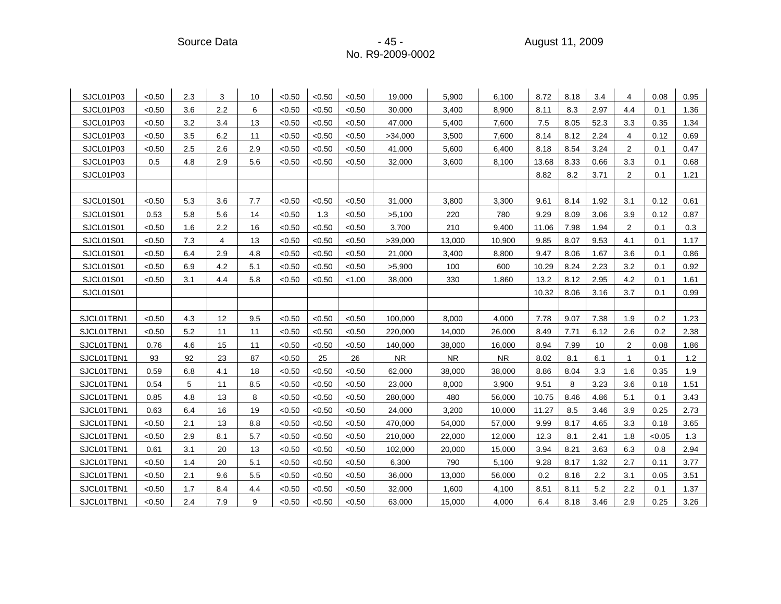Source Data - 45 - August 11, 2009

| SJCL01P03        | < 0.50 | 2.3 | 3   | 10  | < 0.50 | < 0.50 | < 0.50 | 19,000    | 5,900     | 6,100     | 8.72  | 8.18 | 3.4  | 4              | 0.08   | 0.95 |
|------------------|--------|-----|-----|-----|--------|--------|--------|-----------|-----------|-----------|-------|------|------|----------------|--------|------|
| SJCL01P03        | < 0.50 | 3.6 | 2.2 | 6   | < 0.50 | < 0.50 | < 0.50 | 30,000    | 3,400     | 8,900     | 8.11  | 8.3  | 2.97 | 4.4            | 0.1    | 1.36 |
| SJCL01P03        | < 0.50 | 3.2 | 3.4 | 13  | < 0.50 | < 0.50 | < 0.50 | 47,000    | 5,400     | 7,600     | 7.5   | 8.05 | 52.3 | 3.3            | 0.35   | 1.34 |
| SJCL01P03        | < 0.50 | 3.5 | 6.2 | 11  | < 0.50 | < 0.50 | < 0.50 | >34,000   | 3,500     | 7,600     | 8.14  | 8.12 | 2.24 | 4              | 0.12   | 0.69 |
| SJCL01P03        | < 0.50 | 2.5 | 2.6 | 2.9 | < 0.50 | < 0.50 | < 0.50 | 41,000    | 5,600     | 6,400     | 8.18  | 8.54 | 3.24 | 2              | 0.1    | 0.47 |
| SJCL01P03        | 0.5    | 4.8 | 2.9 | 5.6 | < 0.50 | < 0.50 | < 0.50 | 32,000    | 3,600     | 8,100     | 13.68 | 8.33 | 0.66 | 3.3            | 0.1    | 0.68 |
| SJCL01P03        |        |     |     |     |        |        |        |           |           |           | 8.82  | 8.2  | 3.71 | 2              | 0.1    | 1.21 |
|                  |        |     |     |     |        |        |        |           |           |           |       |      |      |                |        |      |
| SJCL01S01        | < 0.50 | 5.3 | 3.6 | 7.7 | < 0.50 | < 0.50 | < 0.50 | 31,000    | 3,800     | 3,300     | 9.61  | 8.14 | 1.92 | 3.1            | 0.12   | 0.61 |
| SJCL01S01        | 0.53   | 5.8 | 5.6 | 14  | < 0.50 | 1.3    | < 0.50 | >5,100    | 220       | 780       | 9.29  | 8.09 | 3.06 | 3.9            | 0.12   | 0.87 |
| SJCL01S01        | <0.50  | 1.6 | 2.2 | 16  | < 0.50 | < 0.50 | < 0.50 | 3,700     | 210       | 9.400     | 11.06 | 7.98 | 1.94 | 2              | 0.1    | 0.3  |
| SJCL01S01        | < 0.50 | 7.3 | 4   | 13  | < 0.50 | < 0.50 | < 0.50 | >39,000   | 13,000    | 10,900    | 9.85  | 8.07 | 9.53 | 4.1            | 0.1    | 1.17 |
| SJCL01S01        | <0.50  | 6.4 | 2.9 | 4.8 | < 0.50 | < 0.50 | < 0.50 | 21,000    | 3,400     | 8,800     | 9.47  | 8.06 | 1.67 | 3.6            | 0.1    | 0.86 |
| <b>SJCL01S01</b> | <0.50  | 6.9 | 4.2 | 5.1 | < 0.50 | < 0.50 | < 0.50 | >5,900    | 100       | 600       | 10.29 | 8.24 | 2.23 | 3.2            | 0.1    | 0.92 |
| SJCL01S01        | < 0.50 | 3.1 | 4.4 | 5.8 | < 0.50 | < 0.50 | < 1.00 | 38,000    | 330       | 1,860     | 13.2  | 8.12 | 2.95 | 4.2            | 0.1    | 1.61 |
| SJCL01S01        |        |     |     |     |        |        |        |           |           |           | 10.32 | 8.06 | 3.16 | 3.7            | 0.1    | 0.99 |
|                  |        |     |     |     |        |        |        |           |           |           |       |      |      |                |        |      |
| SJCL01TBN1       | < 0.50 | 4.3 | 12  | 9.5 | < 0.50 | < 0.50 | < 0.50 | 100,000   | 8,000     | 4,000     | 7.78  | 9.07 | 7.38 | 1.9            | 0.2    | 1.23 |
| SJCL01TBN1       | < 0.50 | 5.2 | 11  | 11  | < 0.50 | < 0.50 | < 0.50 | 220,000   | 14,000    | 26,000    | 8.49  | 7.71 | 6.12 | 2.6            | 0.2    | 2.38 |
| SJCL01TBN1       | 0.76   | 4.6 | 15  | 11  | < 0.50 | < 0.50 | < 0.50 | 140,000   | 38,000    | 16,000    | 8.94  | 7.99 | 10   | $\overline{2}$ | 0.08   | 1.86 |
| SJCL01TBN1       | 93     | 92  | 23  | 87  | < 0.50 | 25     | 26     | <b>NR</b> | <b>NR</b> | <b>NR</b> | 8.02  | 8.1  | 6.1  | 1              | 0.1    | 1.2  |
| SJCL01TBN1       | 0.59   | 6.8 | 4.1 | 18  | < 0.50 | < 0.50 | < 0.50 | 62,000    | 38,000    | 38,000    | 8.86  | 8.04 | 3.3  | 1.6            | 0.35   | 1.9  |
| SJCL01TBN1       | 0.54   | 5   | 11  | 8.5 | < 0.50 | < 0.50 | < 0.50 | 23,000    | 8,000     | 3,900     | 9.51  | 8    | 3.23 | 3.6            | 0.18   | 1.51 |
| SJCL01TBN1       | 0.85   | 4.8 | 13  | 8   | < 0.50 | < 0.50 | <0.50  | 280,000   | 480       | 56,000    | 10.75 | 8.46 | 4.86 | 5.1            | 0.1    | 3.43 |
| SJCL01TBN1       | 0.63   | 6.4 | 16  | 19  | < 0.50 | < 0.50 | < 0.50 | 24,000    | 3,200     | 10,000    | 11.27 | 8.5  | 3.46 | 3.9            | 0.25   | 2.73 |
| SJCL01TBN1       | <0.50  | 2.1 | 13  | 8.8 | < 0.50 | < 0.50 | < 0.50 | 470,000   | 54,000    | 57,000    | 9.99  | 8.17 | 4.65 | 3.3            | 0.18   | 3.65 |
| SJCL01TBN1       | < 0.50 | 2.9 | 8.1 | 5.7 | < 0.50 | < 0.50 | < 0.50 | 210,000   | 22,000    | 12,000    | 12.3  | 8.1  | 2.41 | 1.8            | < 0.05 | 1.3  |
| SJCL01TBN1       | 0.61   | 3.1 | 20  | 13  | < 0.50 | < 0.50 | < 0.50 | 102,000   | 20,000    | 15,000    | 3.94  | 8.21 | 3.63 | 6.3            | 0.8    | 2.94 |
| SJCL01TBN1       | <0.50  | 1.4 | 20  | 5.1 | < 0.50 | < 0.50 | < 0.50 | 6,300     | 790       | 5,100     | 9.28  | 8.17 | 1.32 | 2.7            | 0.11   | 3.77 |
| SJCL01TBN1       | < 0.50 | 2.1 | 9.6 | 5.5 | < 0.50 | < 0.50 | < 0.50 | 36,000    | 13,000    | 56,000    | 0.2   | 8.16 | 2.2  | 3.1            | 0.05   | 3.51 |
| SJCL01TBN1       | < 0.50 | 1.7 | 8.4 | 4.4 | < 0.50 | < 0.50 | < 0.50 | 32,000    | 1,600     | 4,100     | 8.51  | 8.11 | 5.2  | 2.2            | 0.1    | 1.37 |
| SJCL01TBN1       | <0.50  | 2.4 | 7.9 | 9   | < 0.50 | < 0.50 | < 0.50 | 63,000    | 15,000    | 4,000     | 6.4   | 8.18 | 3.46 | 2.9            | 0.25   | 3.26 |